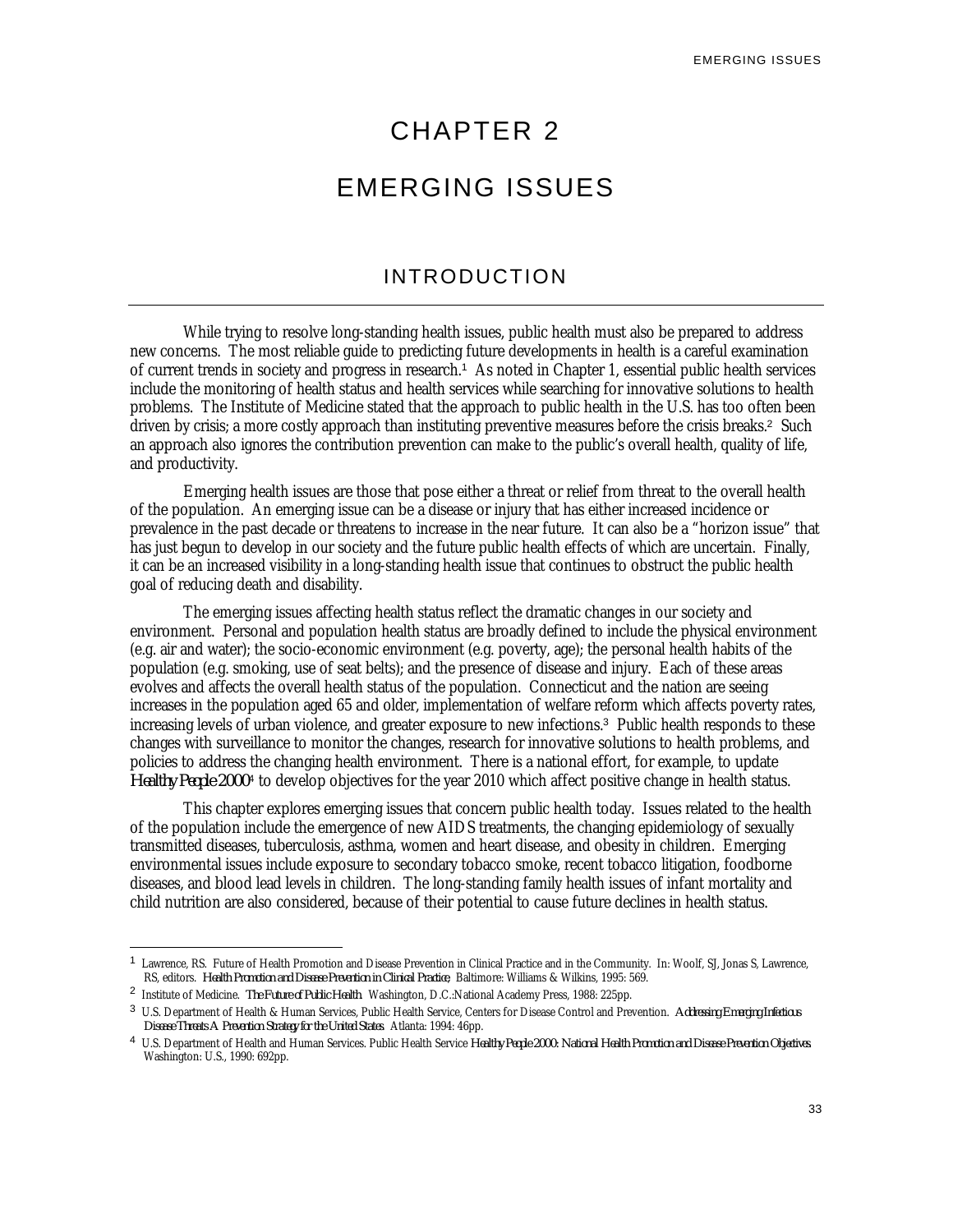# CHAPTER 2

# EMERGING ISSUES

## INTRODUCTION

While trying to resolve long-standing health issues, public health must also be prepared to address new concerns. The most reliable guide to predicting future developments in health is a careful examination of current trends in society and progress in research.<sup>1</sup> As noted in Chapter 1, essential public health services include the monitoring of health status and health services while searching for innovative solutions to health problems. The Institute of Medicine stated that the approach to public health in the U.S. has too often been driven by crisis; a more costly approach than instituting preventive measures before the crisis breaks.<sup>2</sup> Such an approach also ignores the contribution prevention can make to the public's overall health, quality of life, and productivity.

Emerging health issues are those that pose either a threat or relief from threat to the overall health of the population. An emerging issue can be a disease or injury that has either increased incidence or prevalence in the past decade or threatens to increase in the near future. It can also be a "horizon issue" that has just begun to develop in our society and the future public health effects of which are uncertain. Finally, it can be an increased visibility in a long-standing health issue that continues to obstruct the public health goal of reducing death and disability.

The emerging issues affecting health status reflect the dramatic changes in our society and environment. Personal and population health status are broadly defined to include the physical environment (e.g. air and water); the socio-economic environment (e.g. poverty, age); the personal health habits of the population (e.g. smoking, use of seat belts); and the presence of disease and injury. Each of these areas evolves and affects the overall health status of the population. Connecticut and the nation are seeing increases in the population aged 65 and older, implementation of welfare reform which affects poverty rates, increasing levels of urban violence, and greater exposure to new infections.<sup>3</sup> Public health responds to these changes with surveillance to monitor the changes, research for innovative solutions to health problems, and policies to address the changing health environment. There is a national effort, for example, to update Healthy People 2000<sup>4</sup> to develop objectives for the year 2010 which affect positive change in health status.

This chapter explores emerging issues that concern public health today. Issues related to the health of the population include the emergence of new AIDS treatments, the changing epidemiology of sexually transmitted diseases, tuberculosis, asthma, women and heart disease, and obesity in children. Emerging environmental issues include exposure to secondary tobacco smoke, recent tobacco litigation, foodborne diseases, and blood lead levels in children. The long-standing family health issues of infant mortality and child nutrition are also considered, because of their potential to cause future declines in health status.

<sup>1</sup> Lawrence, RS. Future of Health Promotion and Disease Prevention in Clinical Practice and in the Community. In: Woolf, SJ, Jonas S, Lawrence, RS, editors. *Health Promotion and Disease Prevention in Clinical Practice*, Baltimore: Williams & Wilkins, 1995: 569.

<sup>2</sup> Institute of Medicine. *The Future of Public Health*. Washington, D.C.:National Academy Press, 1988: 225pp.

<sup>3</sup> U.S. Department of Health & Human Services, Public Health Service, Centers for Disease Control and Prevention. *Addressing Emerging Infectious Disease Threats A Prevention Strategy for the United States*. Atlanta: 1994: 46pp.

<sup>4</sup> U.S. Department of Health and Human Services. Public Health Service *Healthy People 2000: National Health Promotion and Disease Prevention Objectives*. Washington: U.S., 1990: 692pp.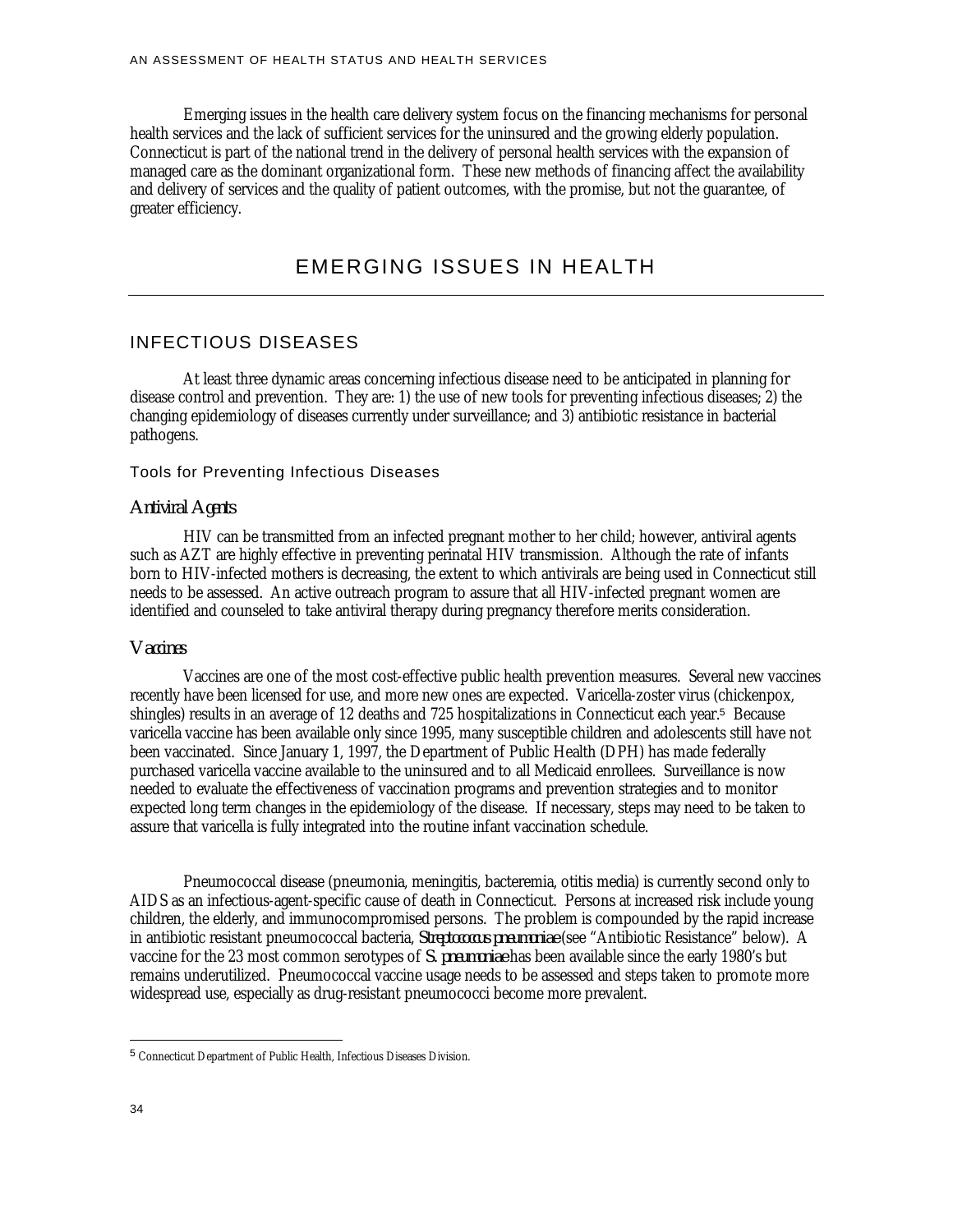Emerging issues in the health care delivery system focus on the financing mechanisms for personal health services and the lack of sufficient services for the uninsured and the growing elderly population. Connecticut is part of the national trend in the delivery of personal health services with the expansion of managed care as the dominant organizational form. These new methods of financing affect the availability and delivery of services and the quality of patient outcomes, with the promise, but not the guarantee, of greater efficiency.

## EMERGING ISSUES IN HEALTH

## INFECTIOUS DISEASES

At least three dynamic areas concerning infectious disease need to be anticipated in planning for disease control and prevention. They are: 1) the use of new tools for preventing infectious diseases; 2) the changing epidemiology of diseases currently under surveillance; and 3) antibiotic resistance in bacterial pathogens.

#### Tools for Preventing Infectious Diseases

#### *Antiviral Agents*

HIV can be transmitted from an infected pregnant mother to her child; however, antiviral agents such as AZT are highly effective in preventing perinatal HIV transmission. Although the rate of infants born to HIV-infected mothers is decreasing, the extent to which antivirals are being used in Connecticut still needs to be assessed. An active outreach program to assure that all HIV-infected pregnant women are identified and counseled to take antiviral therapy during pregnancy therefore merits consideration.

#### *Vaccines*

Vaccines are one of the most cost-effective public health prevention measures. Several new vaccines recently have been licensed for use, and more new ones are expected. Varicella-zoster virus (chickenpox, shingles) results in an average of 12 deaths and 725 hospitalizations in Connecticut each year.<sup>5</sup> Because varicella vaccine has been available only since 1995, many susceptible children and adolescents still have not been vaccinated. Since January 1, 1997, the Department of Public Health (DPH) has made federally purchased varicella vaccine available to the uninsured and to all Medicaid enrollees. Surveillance is now needed to evaluate the effectiveness of vaccination programs and prevention strategies and to monitor expected long term changes in the epidemiology of the disease. If necessary, steps may need to be taken to assure that varicella is fully integrated into the routine infant vaccination schedule.

Pneumococcal disease (pneumonia, meningitis, bacteremia, otitis media) is currently second only to AIDS as an infectious-agent-specific cause of death in Connecticut. Persons at increased risk include young children, the elderly, and immunocompromised persons. The problem is compounded by the rapid increase in antibiotic resistant pneumococcal bacteria, *Streptococcus pneumoniae* (see "Antibiotic Resistance" below). A vaccine for the 23 most common serotypes of *S. pneumoniae* has been available since the early 1980's but remains underutilized. Pneumococcal vaccine usage needs to be assessed and steps taken to promote more widespread use, especially as drug-resistant pneumococci become more prevalent.

<u>.</u>

<sup>5</sup> Connecticut Department of Public Health, Infectious Diseases Division.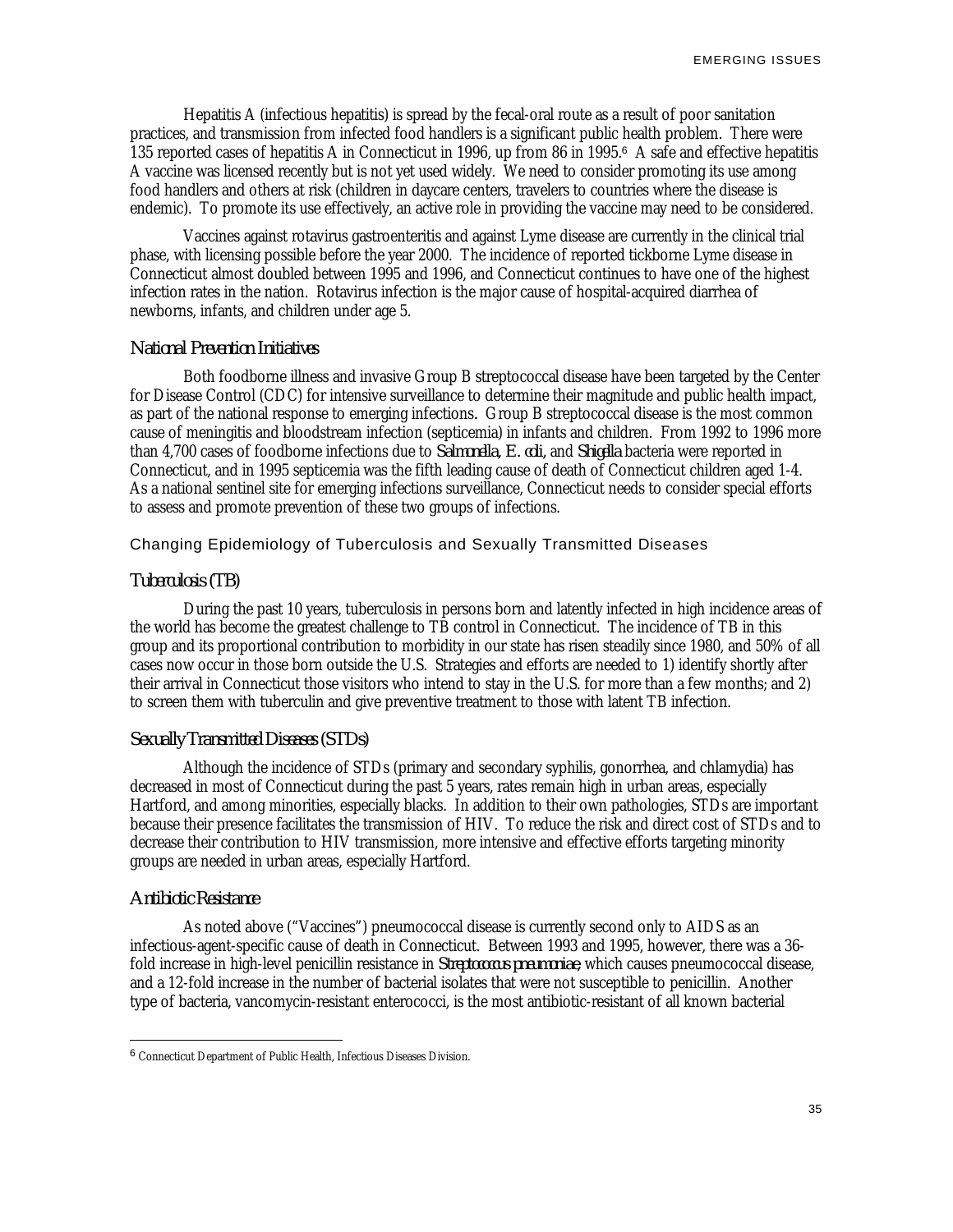Hepatitis A (infectious hepatitis) is spread by the fecal-oral route as a result of poor sanitation practices, and transmission from infected food handlers is a significant public health problem. There were 135 reported cases of hepatitis A in Connecticut in 1996, up from 86 in 1995.<sup>6</sup> A safe and effective hepatitis A vaccine was licensed recently but is not yet used widely. We need to consider promoting its use among food handlers and others at risk (children in daycare centers, travelers to countries where the disease is endemic). To promote its use effectively, an active role in providing the vaccine may need to be considered.

Vaccines against rotavirus gastroenteritis and against Lyme disease are currently in the clinical trial phase, with licensing possible before the year 2000. The incidence of reported tickborne Lyme disease in Connecticut almost doubled between 1995 and 1996, and Connecticut continues to have one of the highest infection rates in the nation. Rotavirus infection is the major cause of hospital-acquired diarrhea of newborns, infants, and children under age 5.

#### *National Prevention Initiatives*

Both foodborne illness and invasive Group B streptococcal disease have been targeted by the Center for Disease Control (CDC) for intensive surveillance to determine their magnitude and public health impact, as part of the national response to emerging infections*.* Group B streptococcal disease is the most common cause of meningitis and bloodstream infection (septicemia) in infants and children. From 1992 to 1996 more than 4,700 cases of foodborne infections due to *Salmonella, E. coli,* and *Shigella* bacteria were reported in Connecticut, and in 1995 septicemia was the fifth leading cause of death of Connecticut children aged 1-4. As a national sentinel site for emerging infections surveillance, Connecticut needs to consider special efforts to assess and promote prevention of these two groups of infections.

## Changing Epidemiology of Tuberculosis and Sexually Transmitted Diseases

## *Tuberculosis (TB)*

During the past 10 years, tuberculosis in persons born and latently infected in high incidence areas of the world has become the greatest challenge to TB control in Connecticut. The incidence of TB in this group and its proportional contribution to morbidity in our state has risen steadily since 1980, and 50% of all cases now occur in those born outside the U.S. Strategies and efforts are needed to 1) identify shortly after their arrival in Connecticut those visitors who intend to stay in the U.S. for more than a few months; and 2) to screen them with tuberculin and give preventive treatment to those with latent TB infection.

## *Sexually Transmitted Diseases (STDs)*

Although the incidence of STDs (primary and secondary syphilis, gonorrhea, and chlamydia) has decreased in most of Connecticut during the past 5 years, rates remain high in urban areas, especially Hartford, and among minorities, especially blacks. In addition to their own pathologies, STDs are important because their presence facilitates the transmission of HIV. To reduce the risk and direct cost of STDs and to decrease their contribution to HIV transmission, more intensive and effective efforts targeting minority groups are needed in urban areas, especially Hartford.

#### *Antibiotic Resistance*

<u>.</u>

As noted above ("Vaccines") pneumococcal disease is currently second only to AIDS as an infectious-agent-specific cause of death in Connecticut. Between 1993 and 1995, however, there was a 36 fold increase in high-level penicillin resistance in *Streptococcus pneumoniae*, which causes pneumococcal disease, and a 12-fold increase in the number of bacterial isolates that were not susceptible to penicillin. Another type of bacteria, vancomycin-resistant enterococci, is the most antibiotic-resistant of all known bacterial

<sup>6</sup> Connecticut Department of Public Health, Infectious Diseases Division.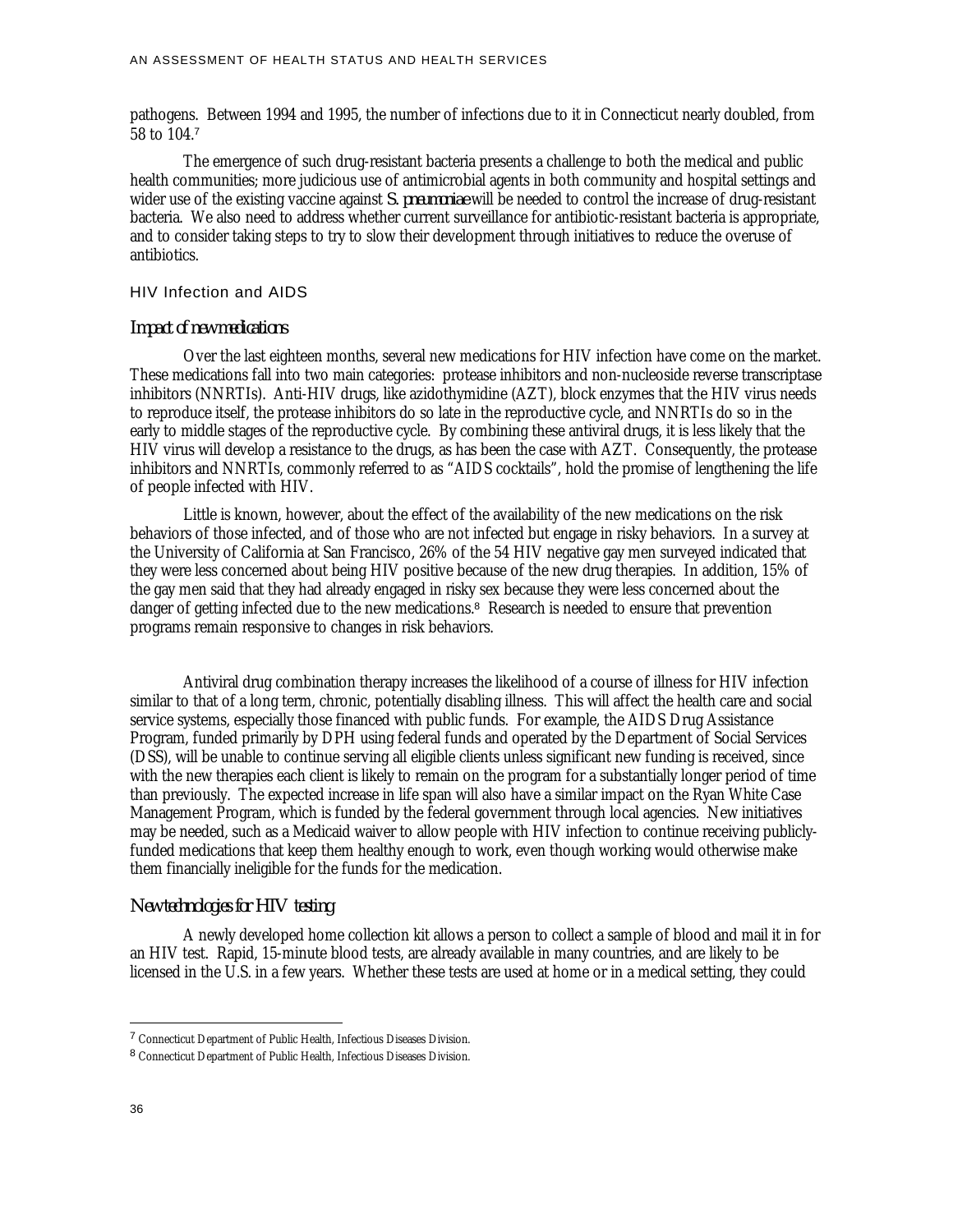pathogens. Between 1994 and 1995, the number of infections due to it in Connecticut nearly doubled, from 58 to 104.<sup>7</sup>

The emergence of such drug-resistant bacteria presents a challenge to both the medical and public health communities; more judicious use of antimicrobial agents in both community and hospital settings and wider use of the existing vaccine against *S. pneumoniae* will be needed to control the increase of drug-resistant bacteria. We also need to address whether current surveillance for antibiotic-resistant bacteria is appropriate, and to consider taking steps to try to slow their development through initiatives to reduce the overuse of antibiotics.

#### HIV Infection and AIDS

#### *Impact of new medications*

Over the last eighteen months, several new medications for HIV infection have come on the market. These medications fall into two main categories: protease inhibitors and non-nucleoside reverse transcriptase inhibitors (NNRTIs). Anti-HIV drugs, like azidothymidine (AZT), block enzymes that the HIV virus needs to reproduce itself, the protease inhibitors do so late in the reproductive cycle, and NNRTIs do so in the early to middle stages of the reproductive cycle. By combining these antiviral drugs, it is less likely that the HIV virus will develop a resistance to the drugs, as has been the case with AZT. Consequently, the protease inhibitors and NNRTIs, commonly referred to as "AIDS cocktails", hold the promise of lengthening the life of people infected with HIV.

Little is known, however, about the effect of the availability of the new medications on the risk behaviors of those infected, and of those who are not infected but engage in risky behaviors. In a survey at the University of California at San Francisco, 26% of the 54 HIV negative gay men surveyed indicated that they were less concerned about being HIV positive because of the new drug therapies. In addition, 15% of the gay men said that they had already engaged in risky sex because they were less concerned about the danger of getting infected due to the new medications.<sup>8</sup> Research is needed to ensure that prevention programs remain responsive to changes in risk behaviors.

Antiviral drug combination therapy increases the likelihood of a course of illness for HIV infection similar to that of a long term, chronic, potentially disabling illness. This will affect the health care and social service systems, especially those financed with public funds. For example, the AIDS Drug Assistance Program, funded primarily by DPH using federal funds and operated by the Department of Social Services (DSS), will be unable to continue serving all eligible clients unless significant new funding is received, since with the new therapies each client is likely to remain on the program for a substantially longer period of time than previously. The expected increase in life span will also have a similar impact on the Ryan White Case Management Program, which is funded by the federal government through local agencies. New initiatives may be needed, such as a Medicaid waiver to allow people with HIV infection to continue receiving publiclyfunded medications that keep them healthy enough to work, even though working would otherwise make them financially ineligible for the funds for the medication.

## *New technologies for HIV testing*

A newly developed home collection kit allows a person to collect a sample of blood and mail it in for an HIV test. Rapid, 15-minute blood tests, are already available in many countries, and are likely to be licensed in the U.S. in a few years. Whether these tests are used at home or in a medical setting, they could

<u>.</u>

<sup>&</sup>lt;sup>7</sup> Connecticut Department of Public Health, Infectious Diseases Division.

<sup>8</sup> Connecticut Department of Public Health, Infectious Diseases Division.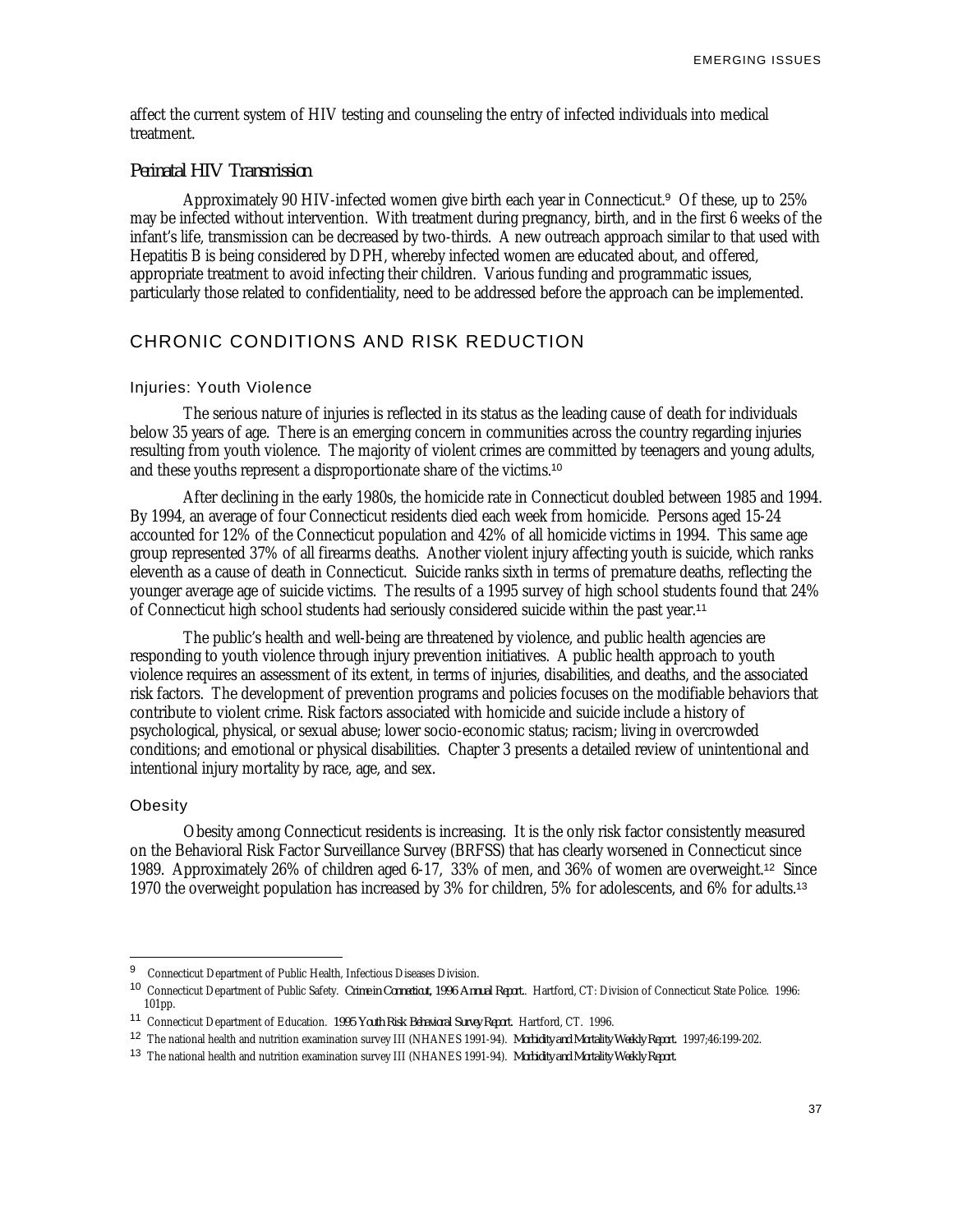affect the current system of HIV testing and counseling the entry of infected individuals into medical treatment.

## *Perinatal HIV Transmission*

Approximately 90 HIV-infected women give birth each year in Connecticut.<sup>9</sup> Of these, up to 25% may be infected without intervention. With treatment during pregnancy, birth, and in the first 6 weeks of the infant's life, transmission can be decreased by two-thirds. A new outreach approach similar to that used with Hepatitis B is being considered by DPH, whereby infected women are educated about, and offered, appropriate treatment to avoid infecting their children. Various funding and programmatic issues, particularly those related to confidentiality, need to be addressed before the approach can be implemented.

## CHRONIC CONDITIONS AND RISK REDUCTION

#### Injuries: Youth Violence

The serious nature of injuries is reflected in its status as the leading cause of death for individuals below 35 years of age. There is an emerging concern in communities across the country regarding injuries resulting from youth violence. The majority of violent crimes are committed by teenagers and young adults, and these youths represent a disproportionate share of the victims.<sup>10</sup>

After declining in the early 1980s, the homicide rate in Connecticut doubled between 1985 and 1994. By 1994, an average of four Connecticut residents died each week from homicide. Persons aged 15-24 accounted for 12% of the Connecticut population and 42% of all homicide victims in 1994. This same age group represented 37% of all firearms deaths. Another violent injury affecting youth is suicide, which ranks eleventh as a cause of death in Connecticut. Suicide ranks sixth in terms of premature deaths, reflecting the younger average age of suicide victims. The results of a 1995 survey of high school students found that 24% of Connecticut high school students had seriously considered suicide within the past year.<sup>11</sup>

The public's health and well-being are threatened by violence, and public health agencies are responding to youth violence through injury prevention initiatives. A public health approach to youth violence requires an assessment of its extent, in terms of injuries, disabilities, and deaths, and the associated risk factors. The development of prevention programs and policies focuses on the modifiable behaviors that contribute to violent crime. Risk factors associated with homicide and suicide include a history of psychological, physical, or sexual abuse; lower socio-economic status; racism; living in overcrowded conditions; and emotional or physical disabilities. Chapter 3 presents a detailed review of unintentional and intentional injury mortality by race, age, and sex.

## **Obesity**

-

Obesity among Connecticut residents is increasing. It is the only risk factor consistently measured on the Behavioral Risk Factor Surveillance Survey (BRFSS) that has clearly worsened in Connecticut since 1989. Approximately 26% of children aged 6-17, 33% of men, and 36% of women are overweight.<sup>12</sup> Since 1970 the overweight population has increased by 3% for children, 5% for adolescents, and 6% for adults.<sup>13</sup>

<sup>&</sup>lt;sup>9</sup> Connecticut Department of Public Health, Infectious Diseases Division.

<sup>10</sup> Connecticut Department of Public Safety. *Crime in Connecticut, 1996 Annual Report.*. Hartford, CT: Division of Connecticut State Police. 1996: 101pp.

<sup>11</sup> Connecticut Department of Education. *1995 Youth Risk Behavioral Survey Report.* Hartford, CT. 1996.

<sup>12</sup> The national health and nutrition examination survey III (NHANES 1991-94). *Morbidity and Mortality Weekly Report.* 1997;46:199-202.

<sup>13</sup> The national health and nutrition examination survey III (NHANES 1991-94). *Morbidity and Mortality Weekly Report*.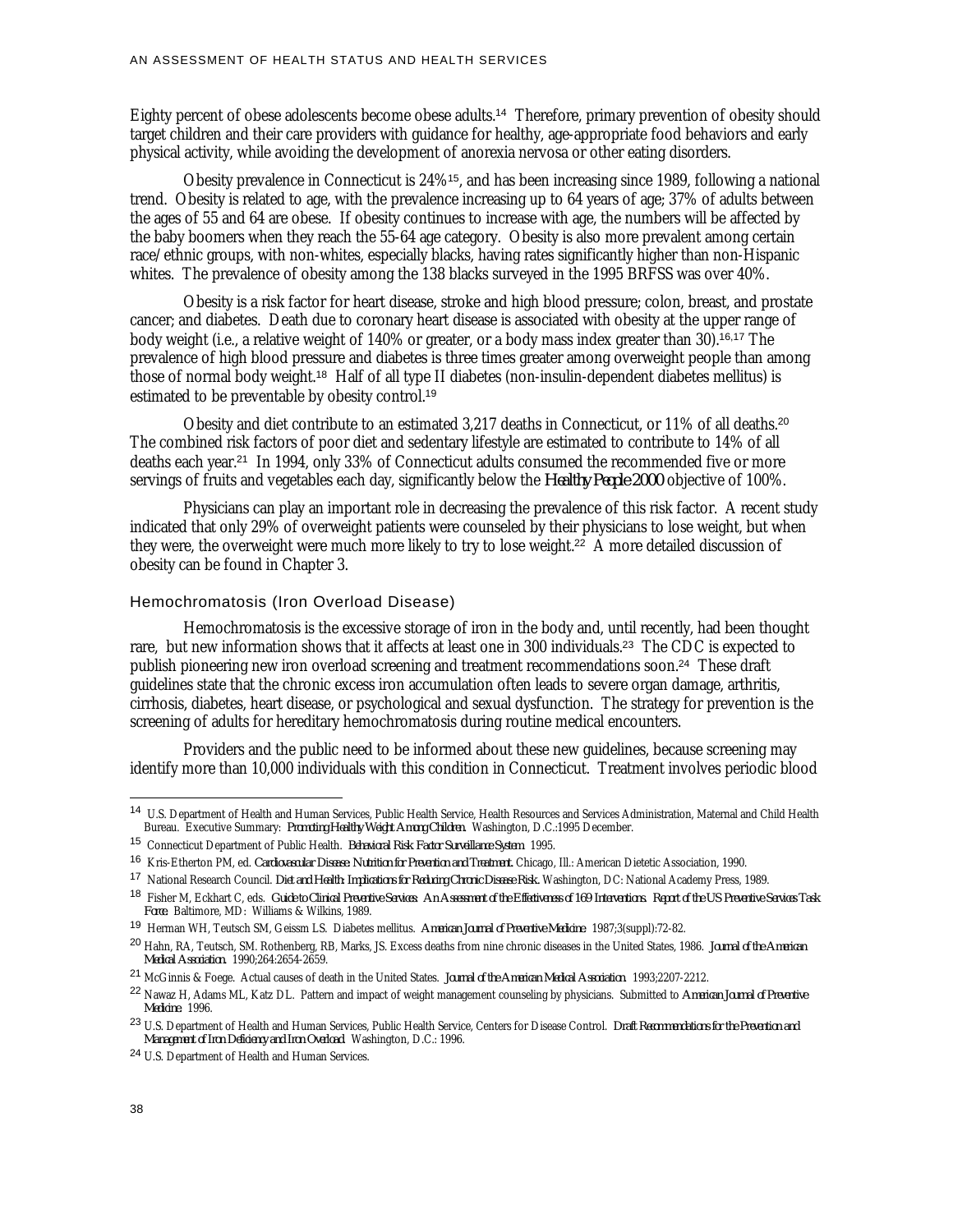Eighty percent of obese adolescents become obese adults.<sup>14</sup> Therefore, primary prevention of obesity should target children and their care providers with guidance for healthy, age-appropriate food behaviors and early physical activity, while avoiding the development of anorexia nervosa or other eating disorders.

Obesity prevalence in Connecticut is 24%<sup>15</sup>, and has been increasing since 1989, following a national trend. Obesity is related to age, with the prevalence increasing up to 64 years of age; 37% of adults between the ages of 55 and 64 are obese. If obesity continues to increase with age, the numbers will be affected by the baby boomers when they reach the 55-64 age category. Obesity is also more prevalent among certain race/ethnic groups, with non-whites, especially blacks, having rates significantly higher than non-Hispanic whites. The prevalence of obesity among the 138 blacks surveyed in the 1995 BRFSS was over 40%.

Obesity is a risk factor for heart disease, stroke and high blood pressure; colon, breast, and prostate cancer; and diabetes. Death due to coronary heart disease is associated with obesity at the upper range of body weight (i.e., a relative weight of 140% or greater, or a body mass index greater than 30).16,17 The prevalence of high blood pressure and diabetes is three times greater among overweight people than among those of normal body weight.<sup>18</sup> Half of all type II diabetes (non-insulin-dependent diabetes mellitus) is estimated to be preventable by obesity control.<sup>19</sup>

Obesity and diet contribute to an estimated 3,217 deaths in Connecticut, or 11% of all deaths.<sup>20</sup> The combined risk factors of poor diet and sedentary lifestyle are estimated to contribute to 14% of all deaths each year.<sup>21</sup> In 1994, only 33% of Connecticut adults consumed the recommended five or more servings of fruits and vegetables each day, significantly below the *Healthy People 2000* objective of 100%.

Physicians can play an important role in decreasing the prevalence of this risk factor. A recent study indicated that only 29% of overweight patients were counseled by their physicians to lose weight, but when they were, the overweight were much more likely to try to lose weight.<sup>22</sup> A more detailed discussion of obesity can be found in Chapter 3.

#### Hemochromatosis (Iron Overload Disease)

Hemochromatosis is the excessive storage of iron in the body and, until recently, had been thought rare, but new information shows that it affects at least one in 300 individuals.<sup>23</sup> The CDC is expected to publish pioneering new iron overload screening and treatment recommendations soon.<sup>24</sup> These draft guidelines state that the chronic excess iron accumulation often leads to severe organ damage, arthritis, cirrhosis, diabetes, heart disease, or psychological and sexual dysfunction. The strategy for prevention is the screening of adults for hereditary hemochromatosis during routine medical encounters.

Providers and the public need to be informed about these new guidelines, because screening may identify more than 10,000 individuals with this condition in Connecticut. Treatment involves periodic blood

<u>.</u>

<sup>14</sup> U.S. Department of Health and Human Services, Public Health Service, Health Resources and Services Administration, Maternal and Child Health Bureau. Executive Summary: *Promoting Healthy Weight Among Children.* Washington, D.C.:1995 December.

<sup>15</sup> Connecticut Department of Public Health. *Behavioral Risk Factor Surveillance System*. 1995.

<sup>16</sup> Kris-Etherton PM, ed. *Cardiovascular Disease: Nutrition for Prevention and Treatment.* Chicago, Ill.: American Dietetic Association, 1990.

<sup>17</sup> National Research Council. *Diet and Health: Implications for Reducing Chronic Disease Risk.* Washington, DC: National Academy Press, 1989.

<sup>18</sup> Fisher M, Eckhart C, eds. *Guide to Clinical Preventive Services: An Assessment of the Effectiveness of 169 Interventions. Report of the US Preventive Services Task Force.* Baltimore, MD: Williams & Wilkins, 1989.

<sup>19</sup> Herman WH, Teutsch SM, Geissm LS. Diabetes mellitus. *American Journal of Preventive Medicine*. 1987;3(suppl):72-82.

<sup>20</sup> Hahn, RA, Teutsch, SM. Rothenberg, RB, Marks, JS. Excess deaths from nine chronic diseases in the United States, 1986. *Journal of the American Medical Association.* 1990;264:2654-2659.

<sup>21</sup> McGinnis & Foege. Actual causes of death in the United States. *Journal of the American Medical Association*. 1993;2207-2212.

<sup>22</sup> Nawaz H, Adams ML, Katz DL. Pattern and impact of weight management counseling by physicians. Submitted to *American Journal of Preventive Medicine.* 1996.

<sup>23</sup> U.S. Department of Health and Human Services, Public Health Service, Centers for Disease Control. *Draft Recommendations for the Prevention and Management of Iron Deficiency and Iron Overload*. Washington, D.C.: 1996.

<sup>24</sup> U.S. Department of Health and Human Services.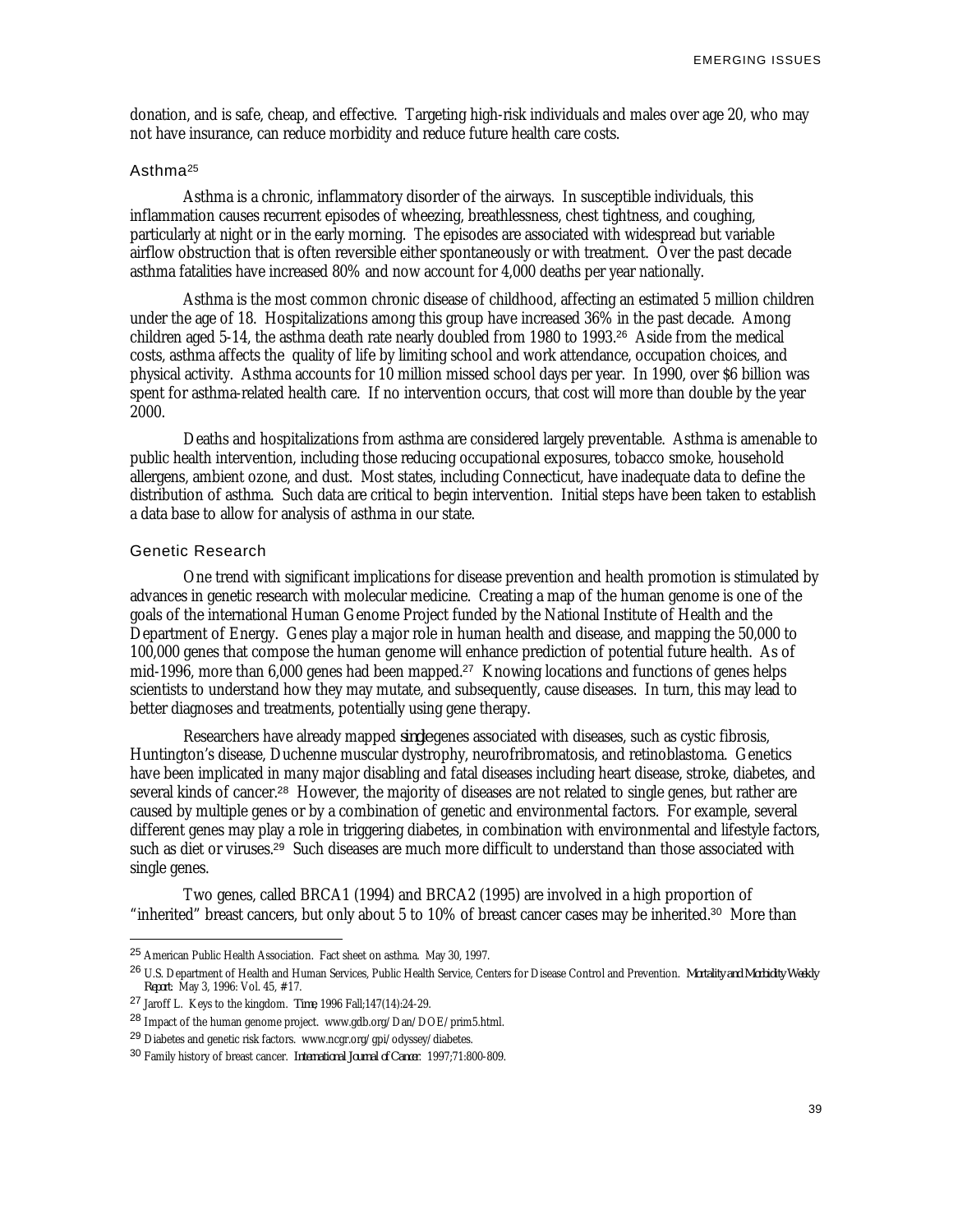donation, and is safe, cheap, and effective. Targeting high-risk individuals and males over age 20, who may not have insurance, can reduce morbidity and reduce future health care costs.

## Asthma<sup>25</sup>

Asthma is a chronic, inflammatory disorder of the airways. In susceptible individuals, this inflammation causes recurrent episodes of wheezing, breathlessness, chest tightness, and coughing, particularly at night or in the early morning. The episodes are associated with widespread but variable airflow obstruction that is often reversible either spontaneously or with treatment. Over the past decade asthma fatalities have increased 80% and now account for 4,000 deaths per year nationally.

Asthma is the most common chronic disease of childhood, affecting an estimated 5 million children under the age of 18. Hospitalizations among this group have increased 36% in the past decade. Among children aged 5-14, the asthma death rate nearly doubled from 1980 to 1993.<sup>26</sup> Aside from the medical costs, asthma affects the quality of life by limiting school and work attendance, occupation choices, and physical activity. Asthma accounts for 10 million missed school days per year. In 1990, over \$6 billion was spent for asthma-related health care. If no intervention occurs, that cost will more than double by the year 2000.

Deaths and hospitalizations from asthma are considered largely preventable. Asthma is amenable to public health intervention, including those reducing occupational exposures, tobacco smoke, household allergens, ambient ozone, and dust. Most states, including Connecticut, have inadequate data to define the distribution of asthma. Such data are critical to begin intervention. Initial steps have been taken to establish a data base to allow for analysis of asthma in our state.

#### Genetic Research

-

One trend with significant implications for disease prevention and health promotion is stimulated by advances in genetic research with molecular medicine. Creating a map of the human genome is one of the goals of the international Human Genome Project funded by the National Institute of Health and the Department of Energy. Genes play a major role in human health and disease, and mapping the 50,000 to 100,000 genes that compose the human genome will enhance prediction of potential future health. As of mid-1996, more than 6,000 genes had been mapped.<sup>27</sup> Knowing locations and functions of genes helps scientists to understand how they may mutate, and subsequently, cause diseases. In turn, this may lead to better diagnoses and treatments, potentially using gene therapy.

Researchers have already mapped *single* genes associated with diseases, such as cystic fibrosis, Huntington's disease, Duchenne muscular dystrophy, neurofribromatosis, and retinoblastoma. Genetics have been implicated in many major disabling and fatal diseases including heart disease, stroke, diabetes, and several kinds of cancer.<sup>28</sup> However, the majority of diseases are not related to single genes, but rather are caused by multiple genes or by a combination of genetic and environmental factors. For example, several different genes may play a role in triggering diabetes, in combination with environmental and lifestyle factors, such as diet or viruses.<sup>29</sup> Such diseases are much more difficult to understand than those associated with single genes.

Two genes, called BRCA1 (1994) and BRCA2 (1995) are involved in a high proportion of "inherited" breast cancers, but only about 5 to 10% of breast cancer cases may be inherited.<sup>30</sup> More than

<sup>25</sup> American Public Health Association. Fact sheet on asthma. May 30, 1997.

<sup>26</sup> U.S. Department of Health and Human Services, Public Health Service, Centers for Disease Control and Prevention. *Mortality and Morbidity Weekly Report*: May 3, 1996: Vol. 45, #17.

<sup>27</sup> Jaroff L. Keys to the kingdom. *Time*, 1996 Fall;147(14):24-29.

<sup>28</sup> Impact of the human genome project. www.gdb.org/Dan/DOE/prim5.html.

<sup>&</sup>lt;sup>29</sup> Diabetes and genetic risk factors. www.ncgr.org/gpi/odyssey/diabetes.

<sup>30</sup> Family history of breast cancer. *International Journal of Cancer*. 1997;71:800-809.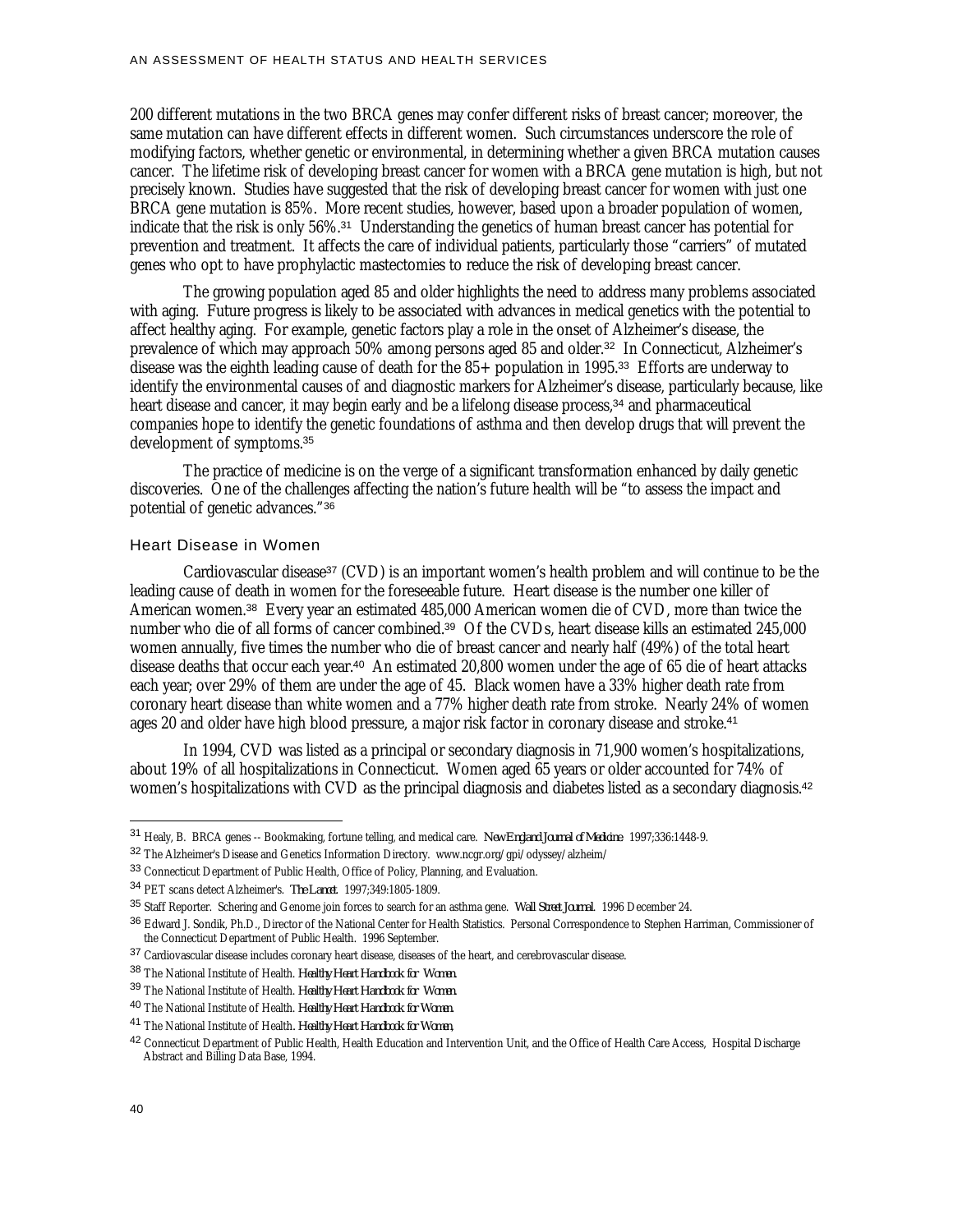200 different mutations in the two BRCA genes may confer different risks of breast cancer; moreover, the same mutation can have different effects in different women. Such circumstances underscore the role of modifying factors, whether genetic or environmental, in determining whether a given BRCA mutation causes cancer. The lifetime risk of developing breast cancer for women with a BRCA gene mutation is high, but not precisely known. Studies have suggested that the risk of developing breast cancer for women with just one BRCA gene mutation is 85%. More recent studies, however, based upon a broader population of women, indicate that the risk is only 56%.<sup>31</sup> Understanding the genetics of human breast cancer has potential for prevention and treatment. It affects the care of individual patients, particularly those "carriers" of mutated genes who opt to have prophylactic mastectomies to reduce the risk of developing breast cancer.

The growing population aged 85 and older highlights the need to address many problems associated with aging. Future progress is likely to be associated with advances in medical genetics with the potential to affect healthy aging. For example, genetic factors play a role in the onset of Alzheimer's disease, the prevalence of which may approach 50% among persons aged 85 and older.<sup>32</sup> In Connecticut, Alzheimer's disease was the eighth leading cause of death for the 85+ population in 1995.<sup>33</sup> Efforts are underway to identify the environmental causes of and diagnostic markers for Alzheimer's disease, particularly because, like heart disease and cancer, it may begin early and be a lifelong disease process,<sup>34</sup> and pharmaceutical companies hope to identify the genetic foundations of asthma and then develop drugs that will prevent the development of symptoms.<sup>35</sup>

The practice of medicine is on the verge of a significant transformation enhanced by daily genetic discoveries. One of the challenges affecting the nation's future health will be "to assess the impact and potential of genetic advances."<sup>36</sup>

#### Heart Disease in Women

Cardiovascular disease<sup>37</sup> (CVD) is an important women's health problem and will continue to be the leading cause of death in women for the foreseeable future. Heart disease is the number one killer of American women.<sup>38</sup> Every year an estimated 485,000 American women die of CVD, more than twice the number who die of all forms of cancer combined.<sup>39</sup> Of the CVDs, heart disease kills an estimated 245,000 women annually, five times the number who die of breast cancer and nearly half (49%) of the total heart disease deaths that occur each year.<sup>40</sup> An estimated 20,800 women under the age of 65 die of heart attacks each year; over 29% of them are under the age of 45. Black women have a 33% higher death rate from coronary heart disease than white women and a 77% higher death rate from stroke. Nearly 24% of women ages 20 and older have high blood pressure, a major risk factor in coronary disease and stroke.<sup>41</sup>

In 1994, CVD was listed as a principal or secondary diagnosis in 71,900 women's hospitalizations, about 19% of all hospitalizations in Connecticut. Women aged 65 years or older accounted for 74% of women's hospitalizations with CVD as the principal diagnosis and diabetes listed as a secondary diagnosis.<sup>42</sup>

<u>.</u>

<sup>31</sup> Healy, B. BRCA genes -- Bookmaking, fortune telling, and medical care. *New England Journal of Medicine*. 1997;336:1448-9.

<sup>32</sup> The Alzheimer's Disease and Genetics Information Directory. www.ncgr.org/gpi/odyssey/alzheim/

<sup>33</sup> Connecticut Department of Public Health, Office of Policy, Planning, and Evaluation.

<sup>34</sup> PET scans detect Alzheimer's. *The Lancet*. 1997;349:1805-1809.

<sup>35</sup> Staff Reporter. Schering and Genome join forces to search for an asthma gene. *Wall Street Journal*. 1996 December 24.

<sup>36</sup> Edward J. Sondik, Ph.D., Director of the National Center for Health Statistics. Personal Correspondence to Stephen Harriman, Commissioner of the Connecticut Department of Public Health. 1996 September.

<sup>37</sup> Cardiovascular disease includes coronary heart disease, diseases of the heart, and cerebrovascular disease.

<sup>38</sup> The National Institute of Health. *Healthy Heart Handbook for Women.*

<sup>39</sup> The National Institute of Health. *Healthy Heart Handbook for Women.*

<sup>40</sup> The National Institute of Health. *Healthy Heart Handbook for Women.*

<sup>41</sup> The National Institute of Health*. Healthy Heart Handbook for Women*,

<sup>42</sup> Connecticut Department of Public Health, Health Education and Intervention Unit, and the Office of Health Care Access, Hospital Discharge Abstract and Billing Data Base, 1994.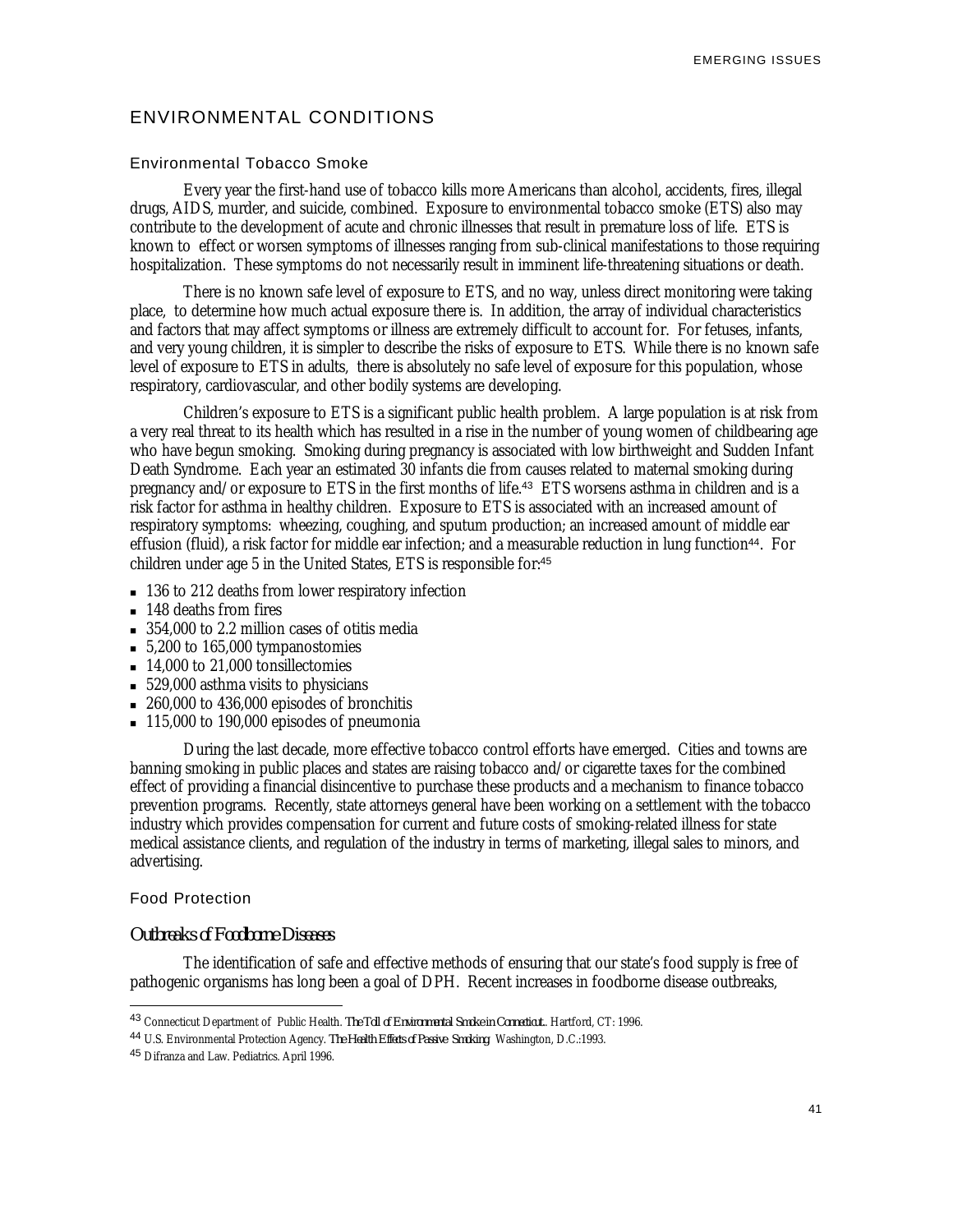## ENVIRONMENTAL CONDITIONS

#### Environmental Tobacco Smoke

Every year the first-hand use of tobacco kills more Americans than alcohol, accidents, fires, illegal drugs, AIDS, murder, and suicide, combined. Exposure to environmental tobacco smoke (ETS) also may contribute to the development of acute and chronic illnesses that result in premature loss of life. ETS is known to effect or worsen symptoms of illnesses ranging from sub-clinical manifestations to those requiring hospitalization. These symptoms do not necessarily result in imminent life-threatening situations or death.

There is no known safe level of exposure to ETS, and no way, unless direct monitoring were taking place, to determine how much actual exposure there is. In addition, the array of individual characteristics and factors that may affect symptoms or illness are extremely difficult to account for. For fetuses, infants, and very young children, it is simpler to describe the risks of exposure to ETS. While there is no known safe level of exposure to ETS in adults, there is absolutely no safe level of exposure for this population, whose respiratory, cardiovascular, and other bodily systems are developing.

Children's exposure to ETS is a significant public health problem. A large population is at risk from a very real threat to its health which has resulted in a rise in the number of young women of childbearing age who have begun smoking. Smoking during pregnancy is associated with low birthweight and Sudden Infant Death Syndrome. Each year an estimated 30 infants die from causes related to maternal smoking during pregnancy and/or exposure to ETS in the first months of life.<sup>43</sup> ETS worsens asthma in children and is a risk factor for asthma in healthy children. Exposure to ETS is associated with an increased amount of respiratory symptoms: wheezing, coughing, and sputum production; an increased amount of middle ear effusion (fluid), a risk factor for middle ear infection; and a measurable reduction in lung function<sup>44</sup>. For children under age 5 in the United States, ETS is responsible for:<sup>45</sup>

- 136 to 212 deaths from lower respiratory infection
- **148 deaths from fires**
- $= 354,000$  to 2.2 million cases of otitis media
- $= 5,200$  to 165,000 tympanostomies
- $\blacksquare$  14,000 to 21,000 tonsillectomies
- $= 529,000$  asthma visits to physicians
- $\approx 260,000$  to 436,000 episodes of bronchitis
- $\blacksquare$  115,000 to 190,000 episodes of pneumonia

During the last decade, more effective tobacco control efforts have emerged. Cities and towns are banning smoking in public places and states are raising tobacco and/or cigarette taxes for the combined effect of providing a financial disincentive to purchase these products and a mechanism to finance tobacco prevention programs. Recently, state attorneys general have been working on a settlement with the tobacco industry which provides compensation for current and future costs of smoking-related illness for state medical assistance clients, and regulation of the industry in terms of marketing, illegal sales to minors, and advertising.

#### Food Protection

-

## *Outbreaks of Foodborne Diseases*

The identification of safe and effective methods of ensuring that our state's food supply is free of pathogenic organisms has long been a goal of DPH. Recent increases in foodborne disease outbreaks,

<sup>43</sup> Connecticut Department of Public Health. *The Toll of Environmental Smoke in Connecticut.*. Hartford, CT: 1996.

<sup>44</sup> U.S. Environmental Protection Agency. *The Health Effects of Passive Smoking*. Washington, D.C.:1993.

<sup>45</sup> Difranza and Law. Pediatrics. April 1996.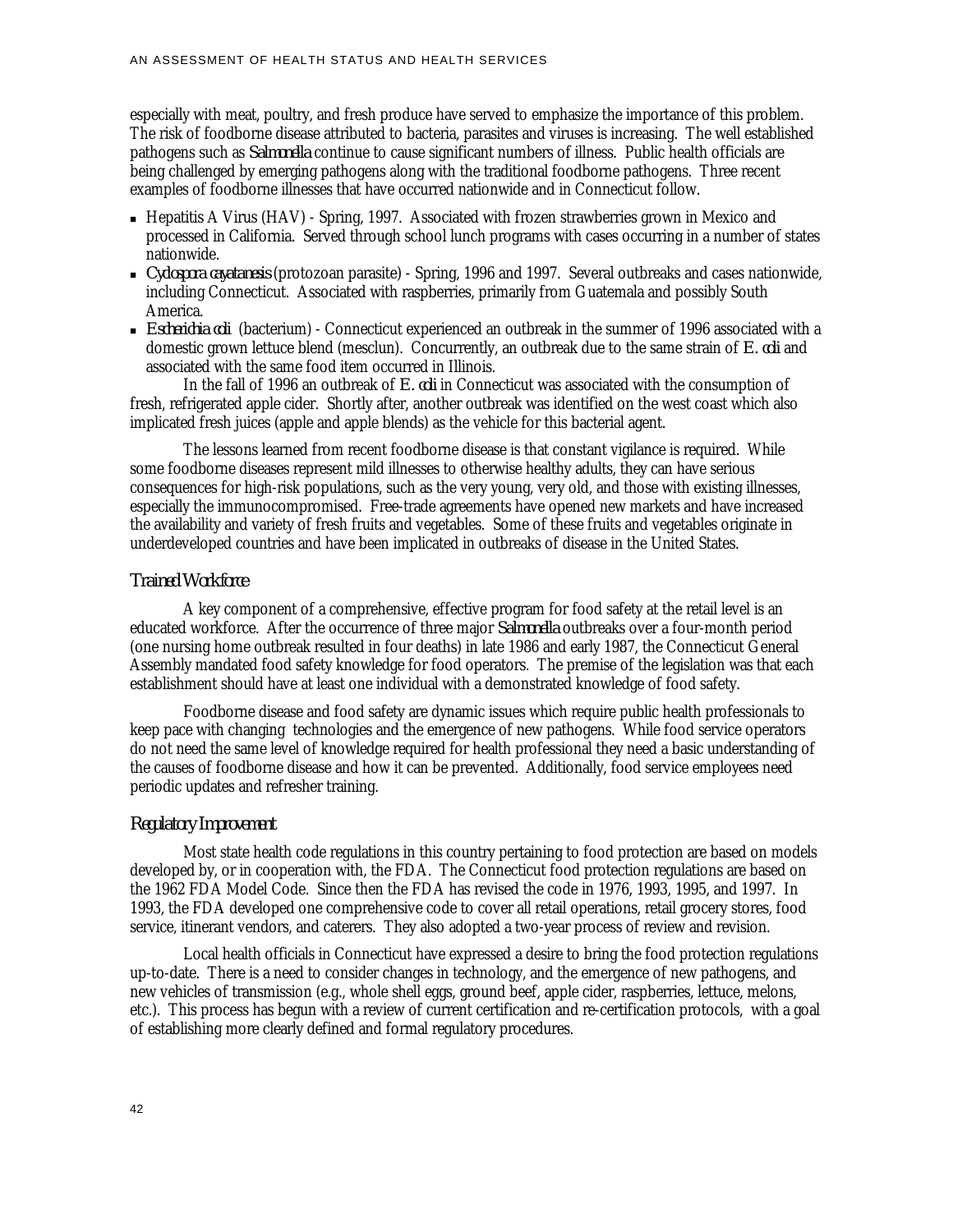especially with meat, poultry, and fresh produce have served to emphasize the importance of this problem. The risk of foodborne disease attributed to bacteria, parasites and viruses is increasing. The well established pathogens such as *Salmonella* continue to cause significant numbers of illness. Public health officials are being challenged by emerging pathogens along with the traditional foodborne pathogens. Three recent examples of foodborne illnesses that have occurred nationwide and in Connecticut follow.

- Hepatitis A Virus (HAV) Spring, 1997. Associated with frozen strawberries grown in Mexico and processed in California. Served through school lunch programs with cases occurring in a number of states nationwide.
- <sup>n</sup> *Cyclospora cayatanesis* (protozoan parasite) Spring, 1996 and 1997. Several outbreaks and cases nationwide, including Connecticut. Associated with raspberries, primarily from Guatemala and possibly South America.
- <sup>n</sup> *Escherichia coli* (bacterium) Connecticut experienced an outbreak in the summer of 1996 associated with a domestic grown lettuce blend (mesclun). Concurrently, an outbreak due to the same strain of *E. coli* and associated with the same food item occurred in Illinois.

In the fall of 1996 an outbreak of *E. coli* in Connecticut was associated with the consumption of fresh, refrigerated apple cider. Shortly after, another outbreak was identified on the west coast which also implicated fresh juices (apple and apple blends) as the vehicle for this bacterial agent.

The lessons learned from recent foodborne disease is that constant vigilance is required. While some foodborne diseases represent mild illnesses to otherwise healthy adults, they can have serious consequences for high-risk populations, such as the very young, very old, and those with existing illnesses, especially the immunocompromised. Free-trade agreements have opened new markets and have increased the availability and variety of fresh fruits and vegetables. Some of these fruits and vegetables originate in underdeveloped countries and have been implicated in outbreaks of disease in the United States.

## *Trained Workforce*

A key component of a comprehensive, effective program for food safety at the retail level is an educated workforce. After the occurrence of three major *Salmonella* outbreaks over a four-month period (one nursing home outbreak resulted in four deaths) in late 1986 and early 1987, the Connecticut General Assembly mandated food safety knowledge for food operators. The premise of the legislation was that each establishment should have at least one individual with a demonstrated knowledge of food safety.

Foodborne disease and food safety are dynamic issues which require public health professionals to keep pace with changing technologies and the emergence of new pathogens. While food service operators do not need the same level of knowledge required for health professional they need a basic understanding of the causes of foodborne disease and how it can be prevented. Additionally, food service employees need periodic updates and refresher training.

#### *Regulatory Improvement*

Most state health code regulations in this country pertaining to food protection are based on models developed by, or in cooperation with, the FDA. The Connecticut food protection regulations are based on the 1962 FDA Model Code. Since then the FDA has revised the code in 1976, 1993, 1995, and 1997. In 1993, the FDA developed one comprehensive code to cover all retail operations, retail grocery stores, food service, itinerant vendors, and caterers. They also adopted a two-year process of review and revision.

Local health officials in Connecticut have expressed a desire to bring the food protection regulations up-to-date. There is a need to consider changes in technology, and the emergence of new pathogens, and new vehicles of transmission (e.g., whole shell eggs, ground beef, apple cider, raspberries, lettuce, melons, etc.). This process has begun with a review of current certification and re-certification protocols, with a goal of establishing more clearly defined and formal regulatory procedures.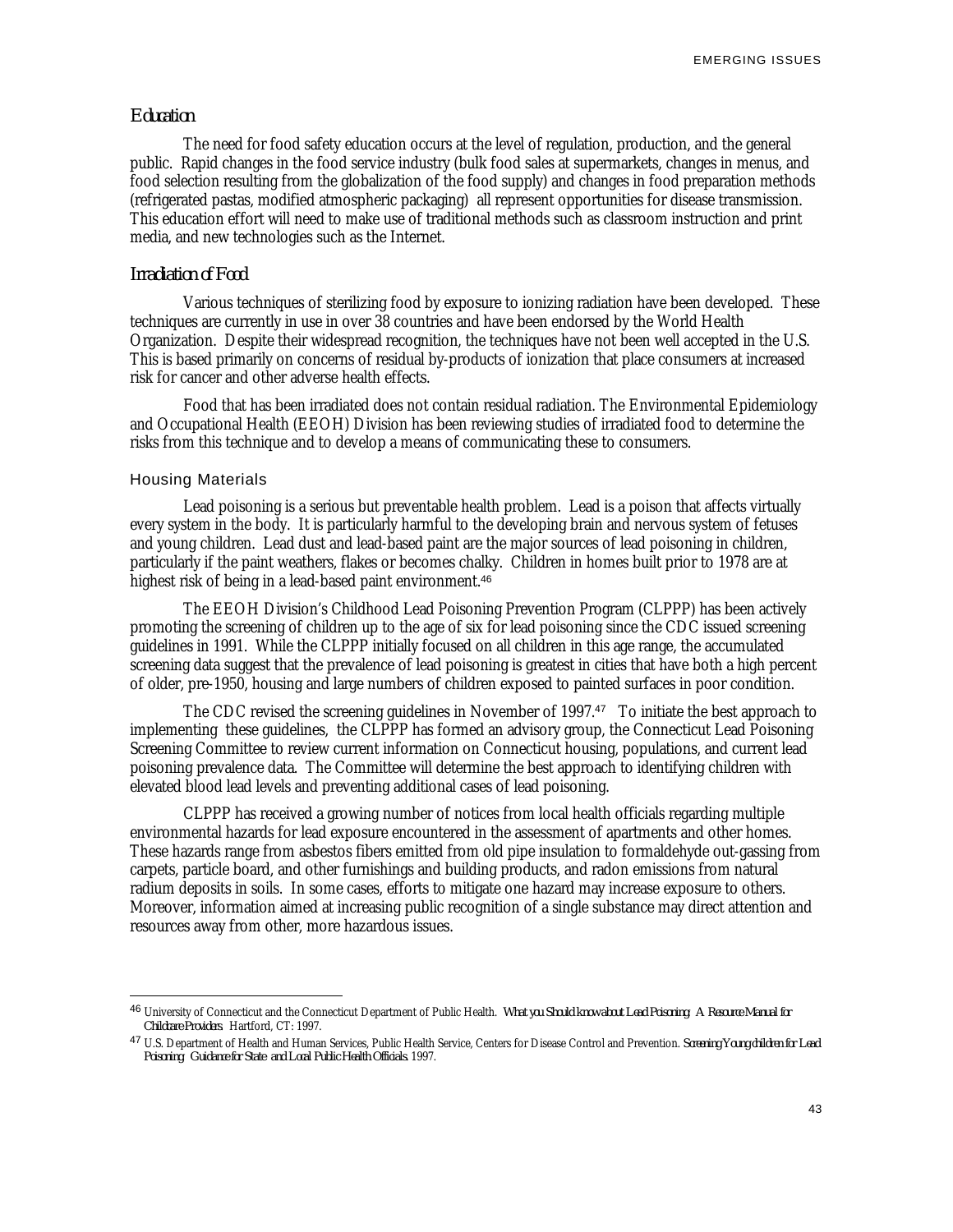EMERGING ISSUES

#### *Education*

The need for food safety education occurs at the level of regulation, production, and the general public. Rapid changes in the food service industry (bulk food sales at supermarkets, changes in menus, and food selection resulting from the globalization of the food supply) and changes in food preparation methods (refrigerated pastas, modified atmospheric packaging) all represent opportunities for disease transmission. This education effort will need to make use of traditional methods such as classroom instruction and print media, and new technologies such as the Internet.

#### *Irradiation of Food*

Various techniques of sterilizing food by exposure to ionizing radiation have been developed. These techniques are currently in use in over 38 countries and have been endorsed by the World Health Organization. Despite their widespread recognition, the techniques have not been well accepted in the U.S. This is based primarily on concerns of residual by-products of ionization that place consumers at increased risk for cancer and other adverse health effects.

Food that has been irradiated does not contain residual radiation. The Environmental Epidemiology and Occupational Health (EEOH) Division has been reviewing studies of irradiated food to determine the risks from this technique and to develop a means of communicating these to consumers.

#### Housing Materials

-

Lead poisoning is a serious but preventable health problem. Lead is a poison that affects virtually every system in the body. It is particularly harmful to the developing brain and nervous system of fetuses and young children. Lead dust and lead-based paint are the major sources of lead poisoning in children, particularly if the paint weathers, flakes or becomes chalky. Children in homes built prior to 1978 are at highest risk of being in a lead-based paint environment.<sup>46</sup>

The EEOH Division's Childhood Lead Poisoning Prevention Program (CLPPP) has been actively promoting the screening of children up to the age of six for lead poisoning since the CDC issued screening guidelines in 1991. While the CLPPP initially focused on all children in this age range, the accumulated screening data suggest that the prevalence of lead poisoning is greatest in cities that have both a high percent of older, pre-1950, housing and large numbers of children exposed to painted surfaces in poor condition.

The CDC revised the screening guidelines in November of 1997.<sup>47</sup> To initiate the best approach to implementing these guidelines, the CLPPP has formed an advisory group, the Connecticut Lead Poisoning Screening Committee to review current information on Connecticut housing, populations, and current lead poisoning prevalence data. The Committee will determine the best approach to identifying children with elevated blood lead levels and preventing additional cases of lead poisoning.

CLPPP has received a growing number of notices from local health officials regarding multiple environmental hazards for lead exposure encountered in the assessment of apartments and other homes. These hazards range from asbestos fibers emitted from old pipe insulation to formaldehyde out-gassing from carpets, particle board, and other furnishings and building products, and radon emissions from natural radium deposits in soils. In some cases, efforts to mitigate one hazard may increase exposure to others. Moreover, information aimed at increasing public recognition of a single substance may direct attention and resources away from other, more hazardous issues.

<sup>46</sup> University of Connecticut and the Connecticut Department of Public Health. *What you Should know about Lead Poisoning: A Resource Manual for Childcare Providers*. Hartford, CT: 1997.

<sup>47</sup> U.S. Department of Health and Human Services, Public Health Service, Centers for Disease Control and Prevention. *Screening Young children for Lead Poisoning: Guidance for State and Local Public Health Officials.* 1997.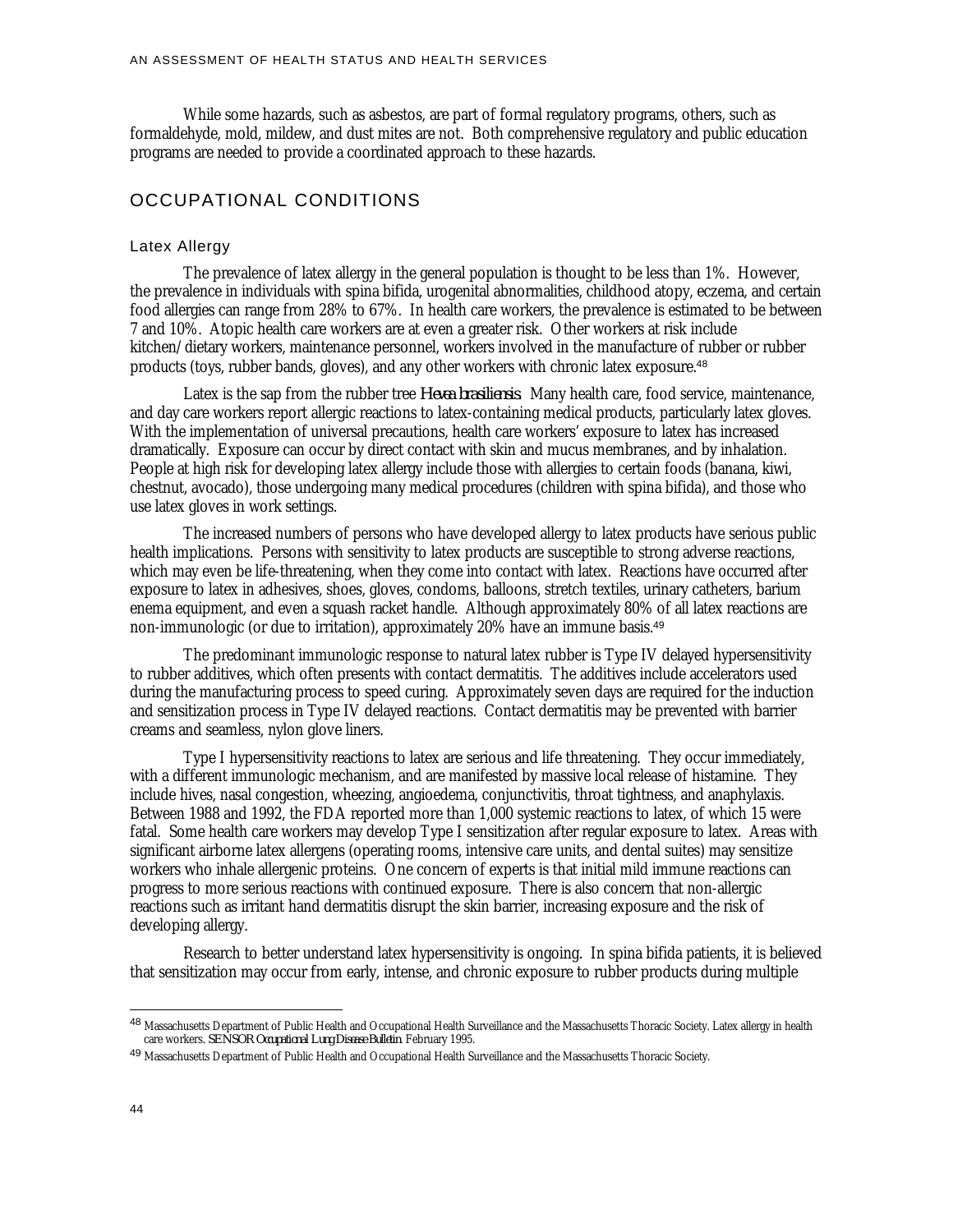While some hazards, such as asbestos, are part of formal regulatory programs, others, such as formaldehyde, mold, mildew, and dust mites are not. Both comprehensive regulatory and public education programs are needed to provide a coordinated approach to these hazards.

## OCCUPATIONAL CONDITIONS

## Latex Allergy

The prevalence of latex allergy in the general population is thought to be less than 1%. However, the prevalence in individuals with spina bifida, urogenital abnormalities, childhood atopy, eczema, and certain food allergies can range from 28% to 67%. In health care workers, the prevalence is estimated to be between 7 and 10%. Atopic health care workers are at even a greater risk. Other workers at risk include kitchen/dietary workers, maintenance personnel, workers involved in the manufacture of rubber or rubber products (toys, rubber bands, gloves), and any other workers with chronic latex exposure.<sup>48</sup>

Latex is the sap from the rubber tree *Hevea brasiliensis*. Many health care, food service, maintenance, and day care workers report allergic reactions to latex-containing medical products, particularly latex gloves. With the implementation of universal precautions, health care workers' exposure to latex has increased dramatically. Exposure can occur by direct contact with skin and mucus membranes, and by inhalation. People at high risk for developing latex allergy include those with allergies to certain foods (banana, kiwi, chestnut, avocado), those undergoing many medical procedures (children with spina bifida), and those who use latex gloves in work settings.

The increased numbers of persons who have developed allergy to latex products have serious public health implications. Persons with sensitivity to latex products are susceptible to strong adverse reactions, which may even be life-threatening, when they come into contact with latex. Reactions have occurred after exposure to latex in adhesives, shoes, gloves, condoms, balloons, stretch textiles, urinary catheters, barium enema equipment, and even a squash racket handle. Although approximately 80% of all latex reactions are non-immunologic (or due to irritation), approximately 20% have an immune basis.<sup>49</sup>

The predominant immunologic response to natural latex rubber is Type IV delayed hypersensitivity to rubber additives, which often presents with contact dermatitis. The additives include accelerators used during the manufacturing process to speed curing. Approximately seven days are required for the induction and sensitization process in Type IV delayed reactions. Contact dermatitis may be prevented with barrier creams and seamless, nylon glove liners.

Type I hypersensitivity reactions to latex are serious and life threatening. They occur immediately, with a different immunologic mechanism, and are manifested by massive local release of histamine. They include hives, nasal congestion, wheezing, angioedema, conjunctivitis, throat tightness, and anaphylaxis. Between 1988 and 1992, the FDA reported more than 1,000 systemic reactions to latex, of which 15 were fatal. Some health care workers may develop Type I sensitization after regular exposure to latex. Areas with significant airborne latex allergens (operating rooms, intensive care units, and dental suites) may sensitize workers who inhale allergenic proteins. One concern of experts is that initial mild immune reactions can progress to more serious reactions with continued exposure. There is also concern that non-allergic reactions such as irritant hand dermatitis disrupt the skin barrier, increasing exposure and the risk of developing allergy.

Research to better understand latex hypersensitivity is ongoing. In spina bifida patients, it is believed that sensitization may occur from early, intense, and chronic exposure to rubber products during multiple

<sup>48</sup> Massachusetts Department of Public Health and Occupational Health Surveillance and the Massachusetts Thoracic Society. Latex allergy in health care workers*. SENSOR Occupational Lung Disease Bulletin*. February 1995.

<sup>49</sup> Massachusetts Department of Public Health and Occupational Health Surveillance and the Massachusetts Thoracic Society.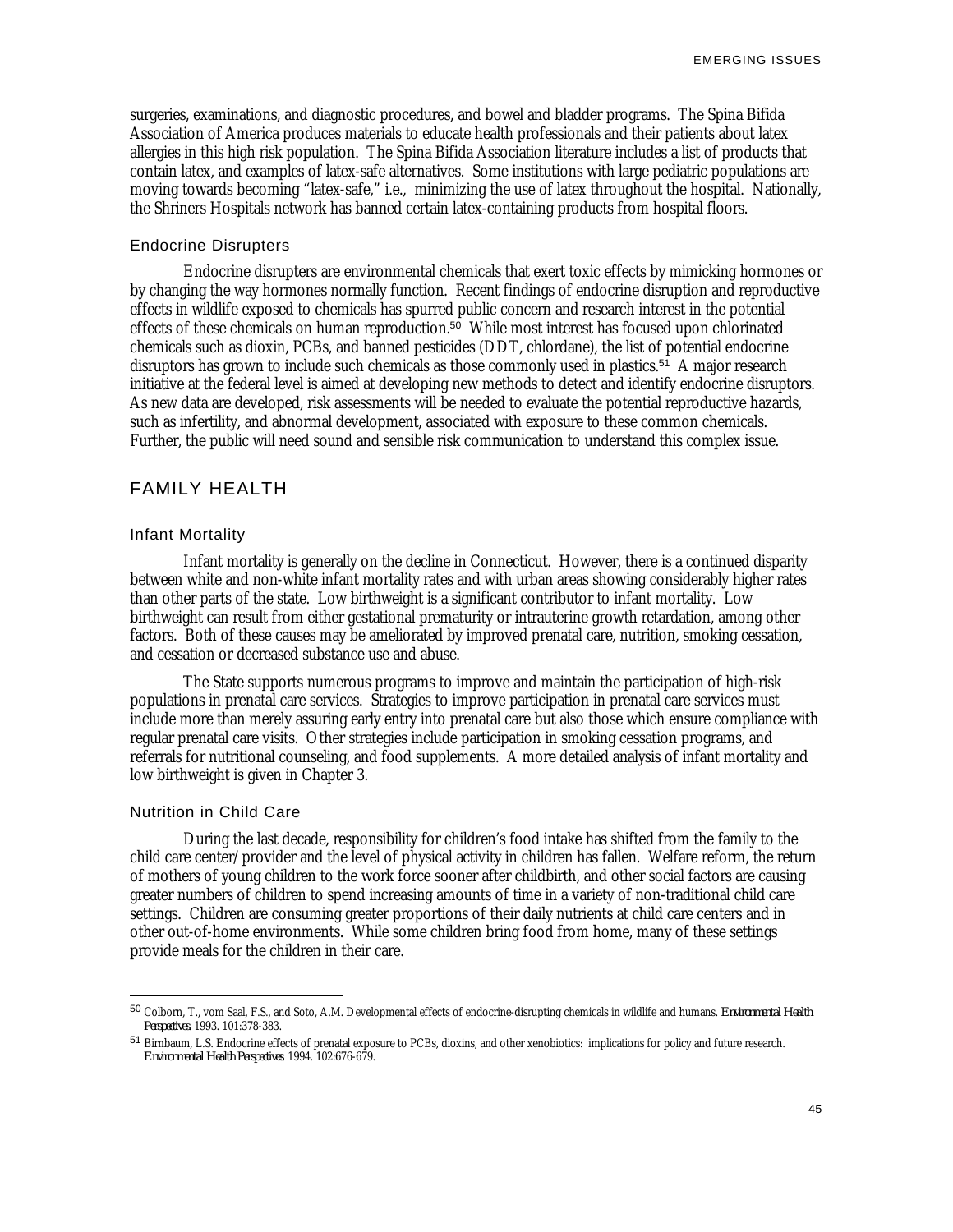surgeries, examinations, and diagnostic procedures, and bowel and bladder programs. The Spina Bifida Association of America produces materials to educate health professionals and their patients about latex allergies in this high risk population. The Spina Bifida Association literature includes a list of products that contain latex, and examples of latex-safe alternatives. Some institutions with large pediatric populations are moving towards becoming "latex-safe," i.e., minimizing the use of latex throughout the hospital. Nationally, the Shriners Hospitals network has banned certain latex-containing products from hospital floors.

#### Endocrine Disrupters

Endocrine disrupters are environmental chemicals that exert toxic effects by mimicking hormones or by changing the way hormones normally function. Recent findings of endocrine disruption and reproductive effects in wildlife exposed to chemicals has spurred public concern and research interest in the potential effects of these chemicals on human reproduction.<sup>50</sup> While most interest has focused upon chlorinated chemicals such as dioxin, PCBs, and banned pesticides (DDT, chlordane), the list of potential endocrine disruptors has grown to include such chemicals as those commonly used in plastics.<sup>51</sup> A major research initiative at the federal level is aimed at developing new methods to detect and identify endocrine disruptors. As new data are developed, risk assessments will be needed to evaluate the potential reproductive hazards, such as infertility, and abnormal development, associated with exposure to these common chemicals. Further, the public will need sound and sensible risk communication to understand this complex issue.

## FAMILY HEALTH

#### Infant Mortality

Infant mortality is generally on the decline in Connecticut. However, there is a continued disparity between white and non-white infant mortality rates and with urban areas showing considerably higher rates than other parts of the state. Low birthweight is a significant contributor to infant mortality. Low birthweight can result from either gestational prematurity or intrauterine growth retardation, among other factors. Both of these causes may be ameliorated by improved prenatal care, nutrition, smoking cessation, and cessation or decreased substance use and abuse.

The State supports numerous programs to improve and maintain the participation of high-risk populations in prenatal care services. Strategies to improve participation in prenatal care services must include more than merely assuring early entry into prenatal care but also those which ensure compliance with regular prenatal care visits. Other strategies include participation in smoking cessation programs, and referrals for nutritional counseling, and food supplements. A more detailed analysis of infant mortality and low birthweight is given in Chapter 3.

## Nutrition in Child Care

-

During the last decade, responsibility for children's food intake has shifted from the family to the child care center/provider and the level of physical activity in children has fallen. Welfare reform, the return of mothers of young children to the work force sooner after childbirth, and other social factors are causing greater numbers of children to spend increasing amounts of time in a variety of non-traditional child care settings. Children are consuming greater proportions of their daily nutrients at child care centers and in other out-of-home environments. While some children bring food from home, many of these settings provide meals for the children in their care.

<sup>50</sup> Colborn, T., vom Saal, F.S., and Soto, A.M. Developmental effects of endocrine-disrupting chemicals in wildlife and humans. *Environmental Health Perspectives*. 1993. 101:378-383.

<sup>51</sup> Birnbaum, L.S. Endocrine effects of prenatal exposure to PCBs, dioxins, and other xenobiotics: implications for policy and future research. *Environmental Health Perspectives*. 1994. 102:676-679.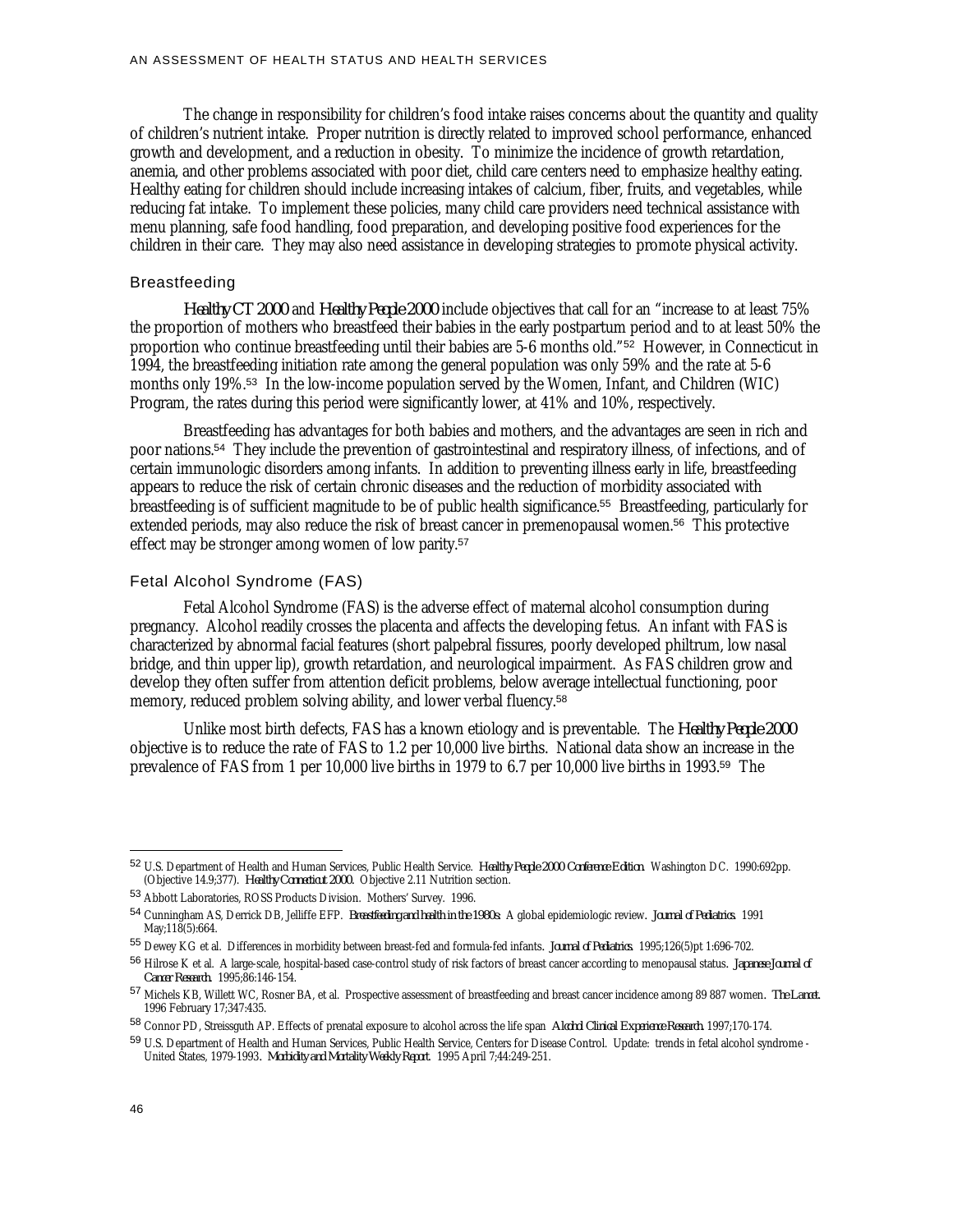The change in responsibility for children's food intake raises concerns about the quantity and quality of children's nutrient intake. Proper nutrition is directly related to improved school performance, enhanced growth and development, and a reduction in obesity. To minimize the incidence of growth retardation, anemia, and other problems associated with poor diet, child care centers need to emphasize healthy eating. Healthy eating for children should include increasing intakes of calcium, fiber, fruits, and vegetables, while reducing fat intake. To implement these policies, many child care providers need technical assistance with menu planning, safe food handling, food preparation, and developing positive food experiences for the children in their care. They may also need assistance in developing strategies to promote physical activity.

#### Breastfeeding

*Healthy CT 2000* and *Healthy People 2000* include objectives that call for an "increase to at least 75% the proportion of mothers who breastfeed their babies in the early postpartum period and to at least 50% the proportion who continue breastfeeding until their babies are 5-6 months old."<sup>52</sup> However, in Connecticut in 1994, the breastfeeding initiation rate among the general population was only 59% and the rate at 5-6 months only 19%.<sup>53</sup> In the low-income population served by the Women, Infant, and Children (WIC) Program, the rates during this period were significantly lower, at 41% and 10%, respectively.

Breastfeeding has advantages for both babies and mothers, and the advantages are seen in rich and poor nations.<sup>54</sup> They include the prevention of gastrointestinal and respiratory illness, of infections, and of certain immunologic disorders among infants. In addition to preventing illness early in life, breastfeeding appears to reduce the risk of certain chronic diseases and the reduction of morbidity associated with breastfeeding is of sufficient magnitude to be of public health significance.<sup>55</sup> Breastfeeding, particularly for extended periods, may also reduce the risk of breast cancer in premenopausal women.<sup>56</sup> This protective effect may be stronger among women of low parity.<sup>57</sup>

## Fetal Alcohol Syndrome (FAS)

Fetal Alcohol Syndrome (FAS) is the adverse effect of maternal alcohol consumption during pregnancy. Alcohol readily crosses the placenta and affects the developing fetus. An infant with FAS is characterized by abnormal facial features (short palpebral fissures, poorly developed philtrum, low nasal bridge, and thin upper lip), growth retardation, and neurological impairment. As FAS children grow and develop they often suffer from attention deficit problems, below average intellectual functioning, poor memory, reduced problem solving ability, and lower verbal fluency.<sup>58</sup>

Unlike most birth defects, FAS has a known etiology and is preventable. The *Healthy People 2000* objective is to reduce the rate of FAS to 1.2 per 10,000 live births. National data show an increase in the prevalence of FAS from 1 per 10,000 live births in 1979 to 6.7 per 10,000 live births in 1993.<sup>59</sup> The

<u>.</u>

<sup>52</sup> U.S. Department of Health and Human Services, Public Health Service. *Healthy People 2000 Conference Edition*. Washington DC. 1990:692pp. (Objective 14.9;377). *Healthy Connecticut 2000.* Objective 2.11 Nutrition section.

<sup>53</sup> Abbott Laboratories, ROSS Products Division. Mothers' Survey. 1996.

<sup>54</sup> Cunningham AS, Derrick DB, Jelliffe EFP. *Breastfeeding and health in the 1980s:* A global epidemiologic review*. Journal of Pediatrics.* 1991 May;118(5):664.

<sup>55</sup> Dewey KG et al. Differences in morbidity between breast-fed and formula-fed infants*. Journal of Pediatrics.* 1995;126(5)pt 1:696-702.

<sup>56</sup> Hilrose K et al. A large-scale, hospital-based case-control study of risk factors of breast cancer according to menopausal status*. Japanese Journal of Cancer Research.* 1995;86:146-154.

<sup>57</sup> Michels KB, Willett WC, Rosner BA, et al. Prospective assessment of breastfeeding and breast cancer incidence among 89 887 women*. The Lancet.* 1996 February 17;347:435.

<sup>58</sup> Connor PD, Streissguth AP. Effects of prenatal exposure to alcohol across the life span *Alcohol Clinical Experience Research.* 1997;170-174.

<sup>59</sup> U.S. Department of Health and Human Services, Public Health Service, Centers for Disease Control. Update: trends in fetal alcohol syndrome -United States, 1979-1993*. Morbidity and Mortality Weekly Report*. 1995 April 7;44:249-251.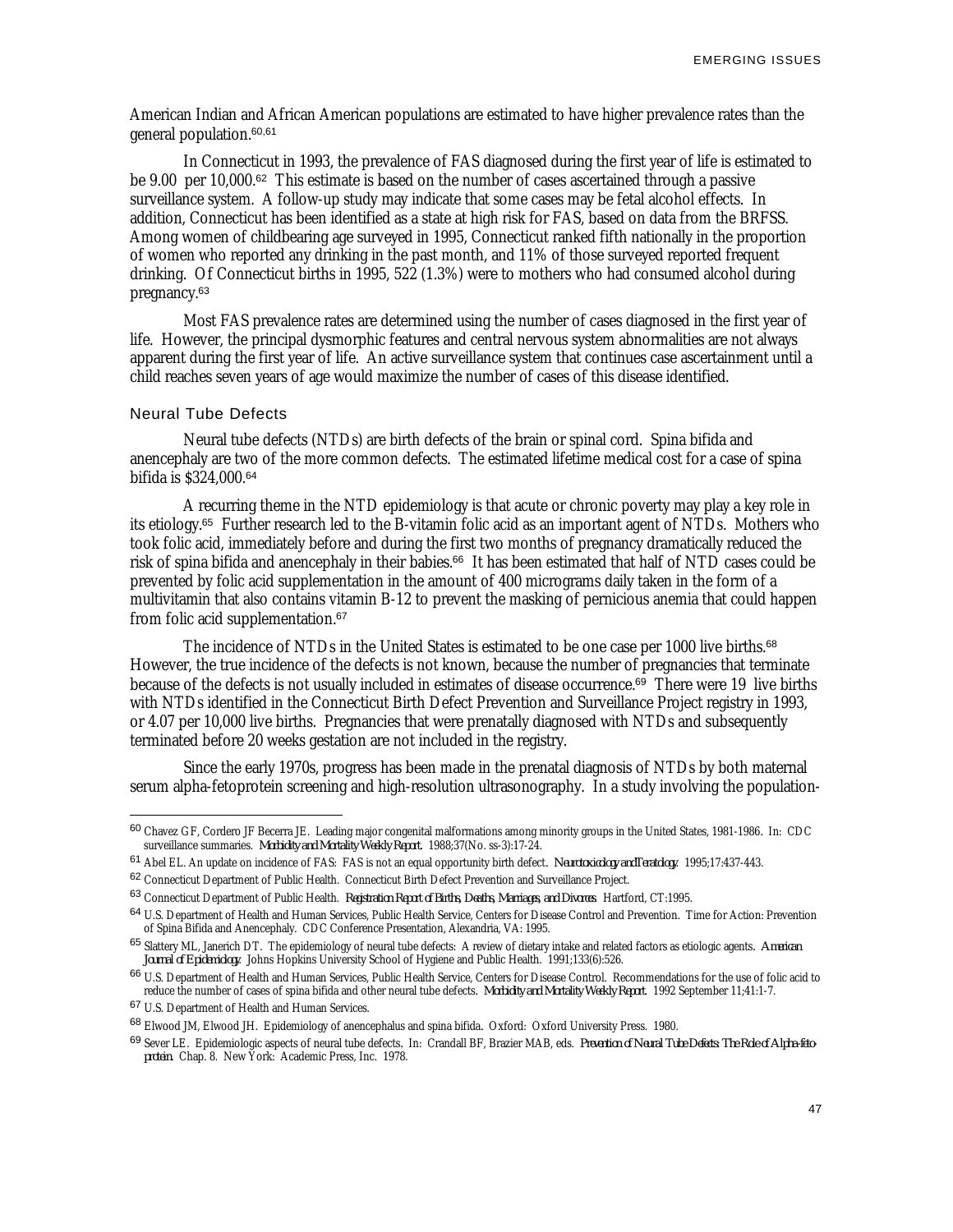American Indian and African American populations are estimated to have higher prevalence rates than the general population.60,61

In Connecticut in 1993, the prevalence of FAS diagnosed during the first year of life is estimated to be 9.00 per 10,000.<sup>62</sup> This estimate is based on the number of cases ascertained through a passive surveillance system. A follow-up study may indicate that some cases may be fetal alcohol effects. In addition, Connecticut has been identified as a state at high risk for FAS, based on data from the BRFSS. Among women of childbearing age surveyed in 1995, Connecticut ranked fifth nationally in the proportion of women who reported any drinking in the past month, and 11% of those surveyed reported frequent drinking. Of Connecticut births in 1995, 522 (1.3%) were to mothers who had consumed alcohol during pregnancy.<sup>63</sup>

Most FAS prevalence rates are determined using the number of cases diagnosed in the first year of life. However, the principal dysmorphic features and central nervous system abnormalities are not always apparent during the first year of life. An active surveillance system that continues case ascertainment until a child reaches seven years of age would maximize the number of cases of this disease identified.

### Neural Tube Defects

<u>.</u>

Neural tube defects (NTDs) are birth defects of the brain or spinal cord. Spina bifida and anencephaly are two of the more common defects. The estimated lifetime medical cost for a case of spina bifida is \$324,000.<sup>64</sup>

A recurring theme in the NTD epidemiology is that acute or chronic poverty may play a key role in its etiology.<sup>65</sup> Further research led to the B-vitamin folic acid as an important agent of NTDs. Mothers who took folic acid, immediately before and during the first two months of pregnancy dramatically reduced the risk of spina bifida and anencephaly in their babies.<sup>66</sup> It has been estimated that half of NTD cases could be prevented by folic acid supplementation in the amount of 400 micrograms daily taken in the form of a multivitamin that also contains vitamin B-12 to prevent the masking of pernicious anemia that could happen from folic acid supplementation.<sup>67</sup>

The incidence of NTDs in the United States is estimated to be one case per 1000 live births.<sup>68</sup> However, the true incidence of the defects is not known, because the number of pregnancies that terminate because of the defects is not usually included in estimates of disease occurrence.<sup>69</sup> There were 19 live births with NTDs identified in the Connecticut Birth Defect Prevention and Surveillance Project registry in 1993, or 4.07 per 10,000 live births. Pregnancies that were prenatally diagnosed with NTDs and subsequently terminated before 20 weeks gestation are not included in the registry.

Since the early 1970s, progress has been made in the prenatal diagnosis of NTDs by both maternal serum alpha-fetoprotein screening and high-resolution ultrasonography. In a study involving the population-

<sup>60</sup> Chavez GF, Cordero JF Becerra JE. Leading major congenital malformations among minority groups in the United States, 1981-1986*.* In: CDC surveillance summaries. *Morbidity and Mortality Weekly Report.* 1988;37(No. ss-3):17-24.

<sup>61</sup> Abel EL. An update on incidence of FAS: FAS is not an equal opportunity birth defect*. Neurotoxicology andTeratology*. 1995;17:437-443.

<sup>62</sup> Connecticut Department of Public Health. Connecticut Birth Defect Prevention and Surveillance Project.

<sup>63</sup> Connecticut Department of Public Health. *Registration Report of Births, Deaths, Marriages, and Divorces*. Hartford, CT:1995.

<sup>64</sup> U.S. Department of Health and Human Services, Public Health Service, Centers for Disease Control and Prevention. Time for Action: Prevention of Spina Bifida and Anencephaly. CDC Conference Presentation, Alexandria, VA: 1995.

<sup>65</sup> Slattery ML, Janerich DT. The epidemiology of neural tube defects: A review of dietary intake and related factors as etiologic agents*. American Journal of Epidemiology*. Johns Hopkins University School of Hygiene and Public Health. 1991;133(6):526.

<sup>66</sup> U.S. Department of Health and Human Services, Public Health Service, Centers for Disease Control. Recommendations for the use of folic acid to reduce the number of cases of spina bifida and other neural tube defects*. Morbidity and Mortality Weekly Report*. 1992 September 11;41:1-7.

<sup>67</sup> U.S. Department of Health and Human Services.

<sup>68</sup> Elwood JM, Elwood JH. Epidemiology of anencephalus and spina bifida*.* Oxford: Oxford University Press. 1980.

<sup>69</sup> Sever LE. Epidemiologic aspects of neural tube defects*.* In: Crandall BF, Brazier MAB, eds. *Prevention of Neural Tube Defects: The Role of Alpha-fetoprotein.* Chap. 8. New York: Academic Press, Inc. 1978.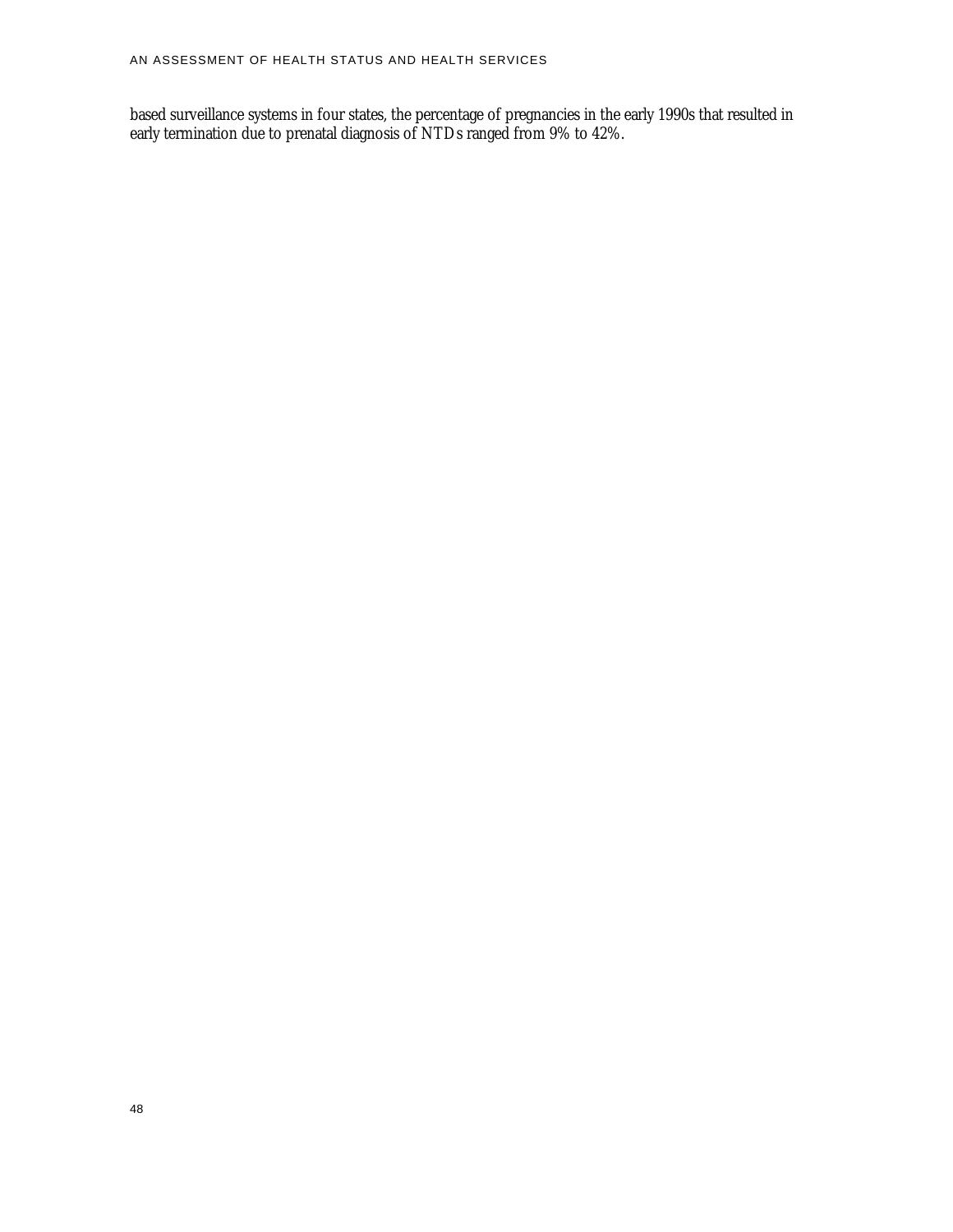based surveillance systems in four states, the percentage of pregnancies in the early 1990s that resulted in early termination due to prenatal diagnosis of NTDs ranged from 9% to 42%.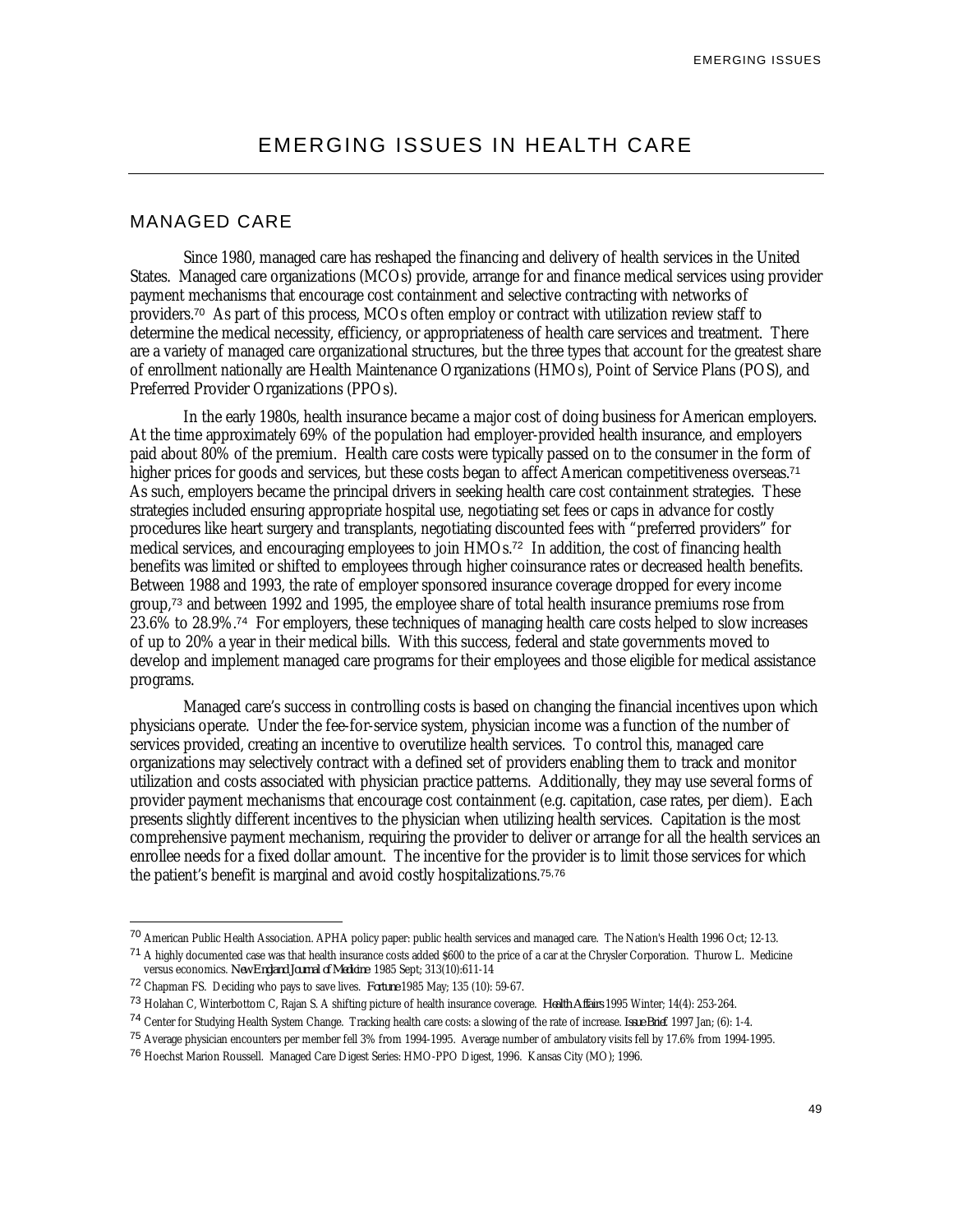## MANAGED CARE

Since 1980, managed care has reshaped the financing and delivery of health services in the United States. Managed care organizations (MCOs) provide, arrange for and finance medical services using provider payment mechanisms that encourage cost containment and selective contracting with networks of providers.<sup>70</sup> As part of this process, MCOs often employ or contract with utilization review staff to determine the medical necessity, efficiency, or appropriateness of health care services and treatment. There are a variety of managed care organizational structures, but the three types that account for the greatest share of enrollment nationally are Health Maintenance Organizations (HMOs), Point of Service Plans (POS), and Preferred Provider Organizations (PPOs).

In the early 1980s, health insurance became a major cost of doing business for American employers. At the time approximately 69% of the population had employer-provided health insurance, and employers paid about 80% of the premium. Health care costs were typically passed on to the consumer in the form of higher prices for goods and services, but these costs began to affect American competitiveness overseas.<sup>71</sup> As such, employers became the principal drivers in seeking health care cost containment strategies. These strategies included ensuring appropriate hospital use, negotiating set fees or caps in advance for costly procedures like heart surgery and transplants, negotiating discounted fees with "preferred providers" for medical services, and encouraging employees to join HMOs.<sup>72</sup> In addition, the cost of financing health benefits was limited or shifted to employees through higher coinsurance rates or decreased health benefits. Between 1988 and 1993, the rate of employer sponsored insurance coverage dropped for every income group,<sup>73</sup> and between 1992 and 1995, the employee share of total health insurance premiums rose from 23.6% to 28.9%.<sup>74</sup> For employers, these techniques of managing health care costs helped to slow increases of up to 20% a year in their medical bills. With this success, federal and state governments moved to develop and implement managed care programs for their employees and those eligible for medical assistance programs.

Managed care's success in controlling costs is based on changing the financial incentives upon which physicians operate. Under the fee-for-service system, physician income was a function of the number of services provided, creating an incentive to overutilize health services. To control this, managed care organizations may selectively contract with a defined set of providers enabling them to track and monitor utilization and costs associated with physician practice patterns. Additionally, they may use several forms of provider payment mechanisms that encourage cost containment (e.g. capitation, case rates, per diem). Each presents slightly different incentives to the physician when utilizing health services. Capitation is the most comprehensive payment mechanism, requiring the provider to deliver or arrange for all the health services an enrollee needs for a fixed dollar amount. The incentive for the provider is to limit those services for which the patient's benefit is marginal and avoid costly hospitalizations.75,76

<sup>70</sup> American Public Health Association. APHA policy paper: public health services and managed care. The Nation's Health 1996 Oct; 12-13.

<sup>&</sup>lt;sup>71</sup> A highly documented case was that health insurance costs added \$600 to the price of a car at the Chrysler Corporation. Thurow L. Medicine versus economics. *New England Journal of Medicine* 1985 Sept; 313(10):611-14

<sup>72</sup> Chapman FS. Deciding who pays to save lives. *Fortune* 1985 May; 135 (10): 59-67.

<sup>73</sup> Holahan C, Winterbottom C, Rajan S. A shifting picture of health insurance coverage. *Health Affairs* 1995 Winter; 14(4): 253-264.

<sup>74</sup> Center for Studying Health System Change. Tracking health care costs: a slowing of the rate of increase. *Issue Brief*. 1997 Jan; (6): 1-4.

<sup>75</sup> Average physician encounters per member fell 3% from 1994-1995. Average number of ambulatory visits fell by 17.6% from 1994-1995.

<sup>76</sup> Hoechst Marion Roussell. Managed Care Digest Series: HMO-PPO Digest, 1996. Kansas City (MO); 1996.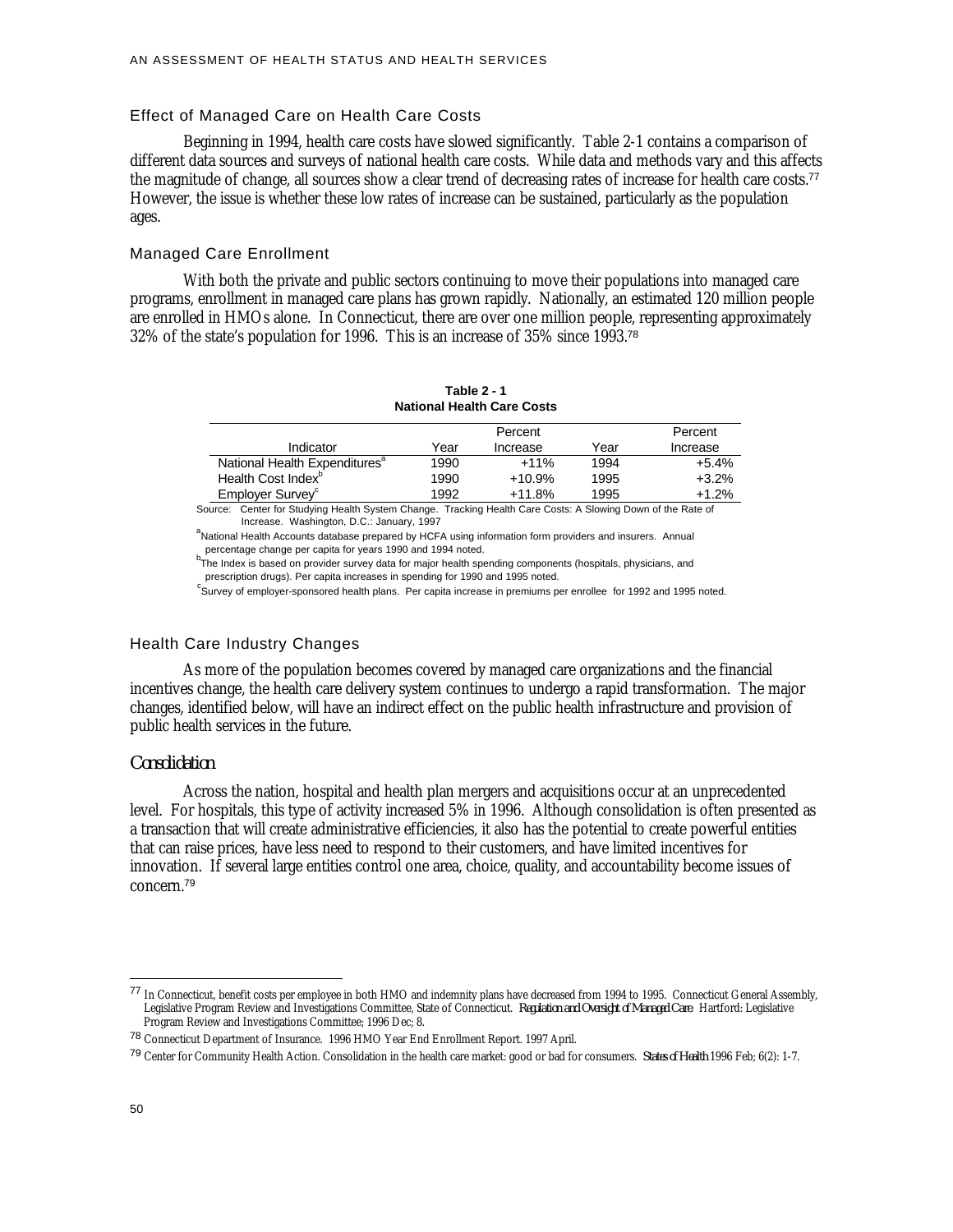## Effect of Managed Care on Health Care Costs

Beginning in 1994, health care costs have slowed significantly. Table 2-1 contains a comparison of different data sources and surveys of national health care costs. While data and methods vary and this affects the magnitude of change, all sources show a clear trend of decreasing rates of increase for health care costs.<sup>77</sup> However, the issue is whether these low rates of increase can be sustained, particularly as the population ages.

## Managed Care Enrollment

With both the private and public sectors continuing to move their populations into managed care programs, enrollment in managed care plans has grown rapidly. Nationally, an estimated 120 million people are enrolled in HMOs alone. In Connecticut, there are over one million people, representing approximately 32% of the state's population for 1996. This is an increase of 35% since 1993.<sup>78</sup>

| Table 2 - 1<br><b>National Health Care Costs</b>                                                            |                    |          |      |          |  |  |
|-------------------------------------------------------------------------------------------------------------|--------------------|----------|------|----------|--|--|
|                                                                                                             | Percent<br>Percent |          |      |          |  |  |
| Indicator                                                                                                   | Year               | Increase | Year | Increase |  |  |
| National Health Expenditures <sup>a</sup>                                                                   | 1990               | $+11%$   | 1994 | $+5.4%$  |  |  |
| Health Cost Index <sup>°</sup>                                                                              | 1990               | $+10.9%$ | 1995 | $+3.2%$  |  |  |
| Employer Survey <sup>c</sup>                                                                                | 1992               | $+11.8%$ | 1995 | $+1.2%$  |  |  |
| Source: Center for Studying Health System Change. Tracking Health Care Costs: A Slowing Down of the Rate of |                    |          |      |          |  |  |

 Increase. Washington, D.C.: January, 1997 a<br>National Health Accounts database prepared by HCFA using information form providers and insurers. Annual percentage change per capita for years 1990 and 1994 noted.

b<br>The Index is based on provider survey data for major health spending components (hospitals, physicians, and prescription drugs). Per capita increases in spending for 1990 and 1995 noted.

<sup>c</sup><br>Survey of employer-sponsored health plans. Per capita increase in premiums per enrollee for 1992 and 1995 noted.

## Health Care Industry Changes

As more of the population becomes covered by managed care organizations and the financial incentives change, the health care delivery system continues to undergo a rapid transformation. The major changes, identified below, will have an indirect effect on the public health infrastructure and provision of public health services in the future.

#### *Consolidation*

Across the nation, hospital and health plan mergers and acquisitions occur at an unprecedented level. For hospitals, this type of activity increased 5% in 1996. Although consolidation is often presented as a transaction that will create administrative efficiencies, it also has the potential to create powerful entities that can raise prices, have less need to respond to their customers, and have limited incentives for innovation. If several large entities control one area, choice, quality, and accountability become issues of concern.<sup>79</sup>

<sup>77</sup> In Connecticut, benefit costs per employee in both HMO and indemnity plans have decreased from 1994 to 1995. Connecticut General Assembly, Legislative Program Review and Investigations Committee, State of Connecticut. *Regulation and Oversight of Managed Care*. Hartford: Legislative Program Review and Investigations Committee; 1996 Dec; 8.

<sup>78</sup> Connecticut Department of Insurance. 1996 HMO Year End Enrollment Report. 1997 April.

<sup>79</sup> Center for Community Health Action. Consolidation in the health care market: good or bad for consumers. *States of Health* 1996 Feb; 6(2): 1-7.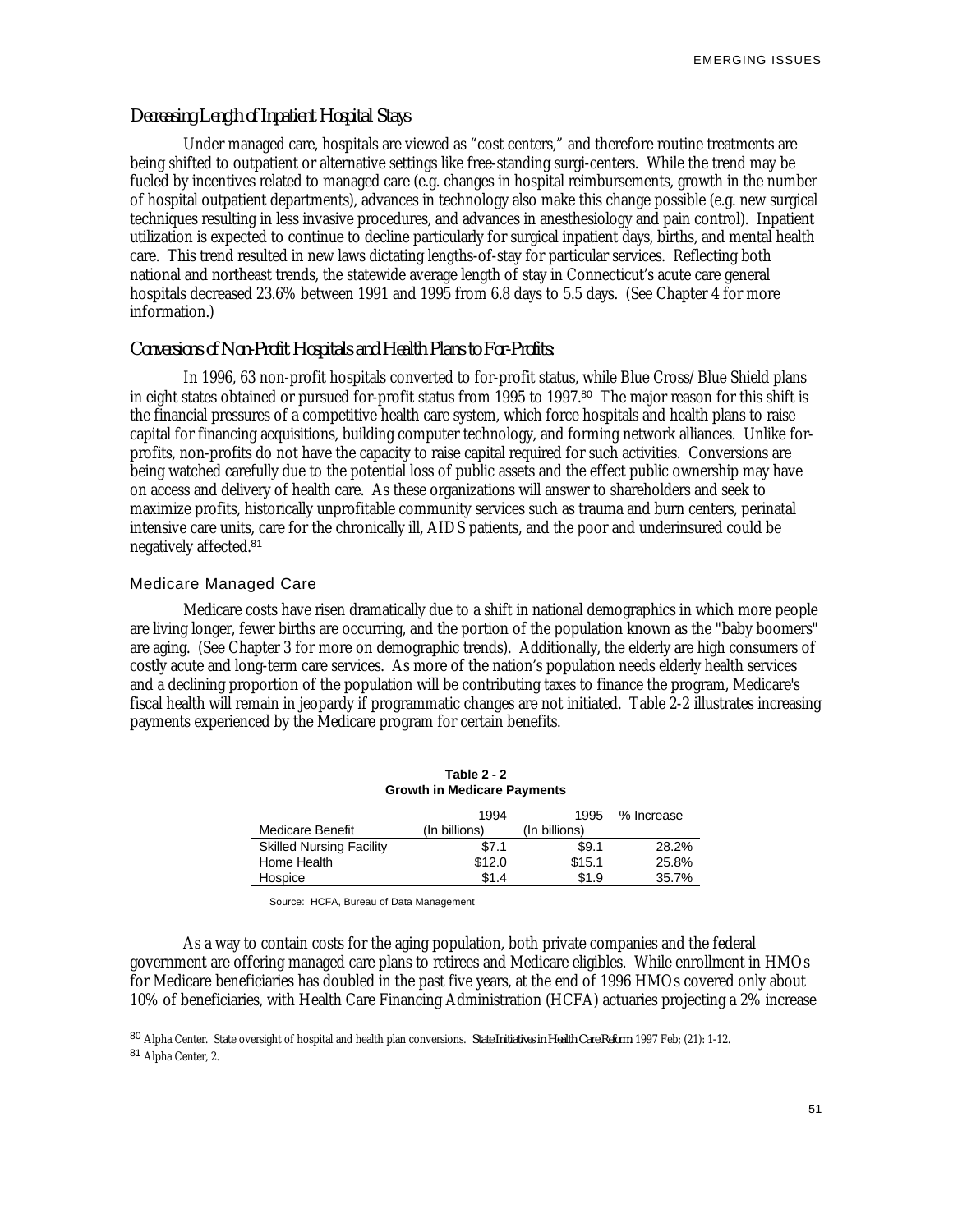### *Decreasing Length of Inpatient Hospital Stays*

Under managed care, hospitals are viewed as "cost centers," and therefore routine treatments are being shifted to outpatient or alternative settings like free-standing surgi-centers. While the trend may be fueled by incentives related to managed care (e.g. changes in hospital reimbursements, growth in the number of hospital outpatient departments), advances in technology also make this change possible (e.g. new surgical techniques resulting in less invasive procedures, and advances in anesthesiology and pain control). Inpatient utilization is expected to continue to decline particularly for surgical inpatient days, births, and mental health care. This trend resulted in new laws dictating lengths-of-stay for particular services. Reflecting both national and northeast trends, the statewide average length of stay in Connecticut's acute care general hospitals decreased 23.6% between 1991 and 1995 from 6.8 days to 5.5 days. (See Chapter 4 for more information.)

## *Conversions of Non-Profit Hospitals and Health Plans to For-Profits:*

In 1996, 63 non-profit hospitals converted to for-profit status, while Blue Cross/Blue Shield plans in eight states obtained or pursued for-profit status from 1995 to 1997.<sup>80</sup> The major reason for this shift is the financial pressures of a competitive health care system, which force hospitals and health plans to raise capital for financing acquisitions, building computer technology, and forming network alliances. Unlike forprofits, non-profits do not have the capacity to raise capital required for such activities. Conversions are being watched carefully due to the potential loss of public assets and the effect public ownership may have on access and delivery of health care. As these organizations will answer to shareholders and seek to maximize profits, historically unprofitable community services such as trauma and burn centers, perinatal intensive care units, care for the chronically ill, AIDS patients, and the poor and underinsured could be negatively affected.<sup>81</sup>

#### Medicare Managed Care

<u>.</u>

Medicare costs have risen dramatically due to a shift in national demographics in which more people are living longer, fewer births are occurring, and the portion of the population known as the "baby boomers" are aging. (See Chapter 3 for more on demographic trends). Additionally, the elderly are high consumers of costly acute and long-term care services. As more of the nation's population needs elderly health services and a declining proportion of the population will be contributing taxes to finance the program, Medicare's fiscal health will remain in jeopardy if programmatic changes are not initiated. Table 2-2 illustrates increasing payments experienced by the Medicare program for certain benefits.

| Table $2 - 2$<br><b>Growth in Medicare Payments</b> |               |               |            |  |  |  |
|-----------------------------------------------------|---------------|---------------|------------|--|--|--|
|                                                     | 1994          | 1995          | % Increase |  |  |  |
| Medicare Benefit                                    | (In billions) | (In billions) |            |  |  |  |
| <b>Skilled Nursing Facility</b>                     | \$7.1         | \$9.1         | 28.2%      |  |  |  |
| Home Health                                         | \$12.0        | \$15.1        | 25.8%      |  |  |  |
| Hospice                                             | \$1.4         | \$1.9         | 35.7%      |  |  |  |

Source: HCFA, Bureau of Data Management

As a way to contain costs for the aging population, both private companies and the federal government are offering managed care plans to retirees and Medicare eligibles. While enrollment in HMOs for Medicare beneficiaries has doubled in the past five years, at the end of 1996 HMOs covered only about 10% of beneficiaries, with Health Care Financing Administration (HCFA) actuaries projecting a 2% increase

<sup>80</sup> Alpha Center. State oversight of hospital and health plan conversions. *State Initiatives in Health Care Reform*. 1997 Feb; (21): 1-12. <sup>81</sup> Alpha Center, 2.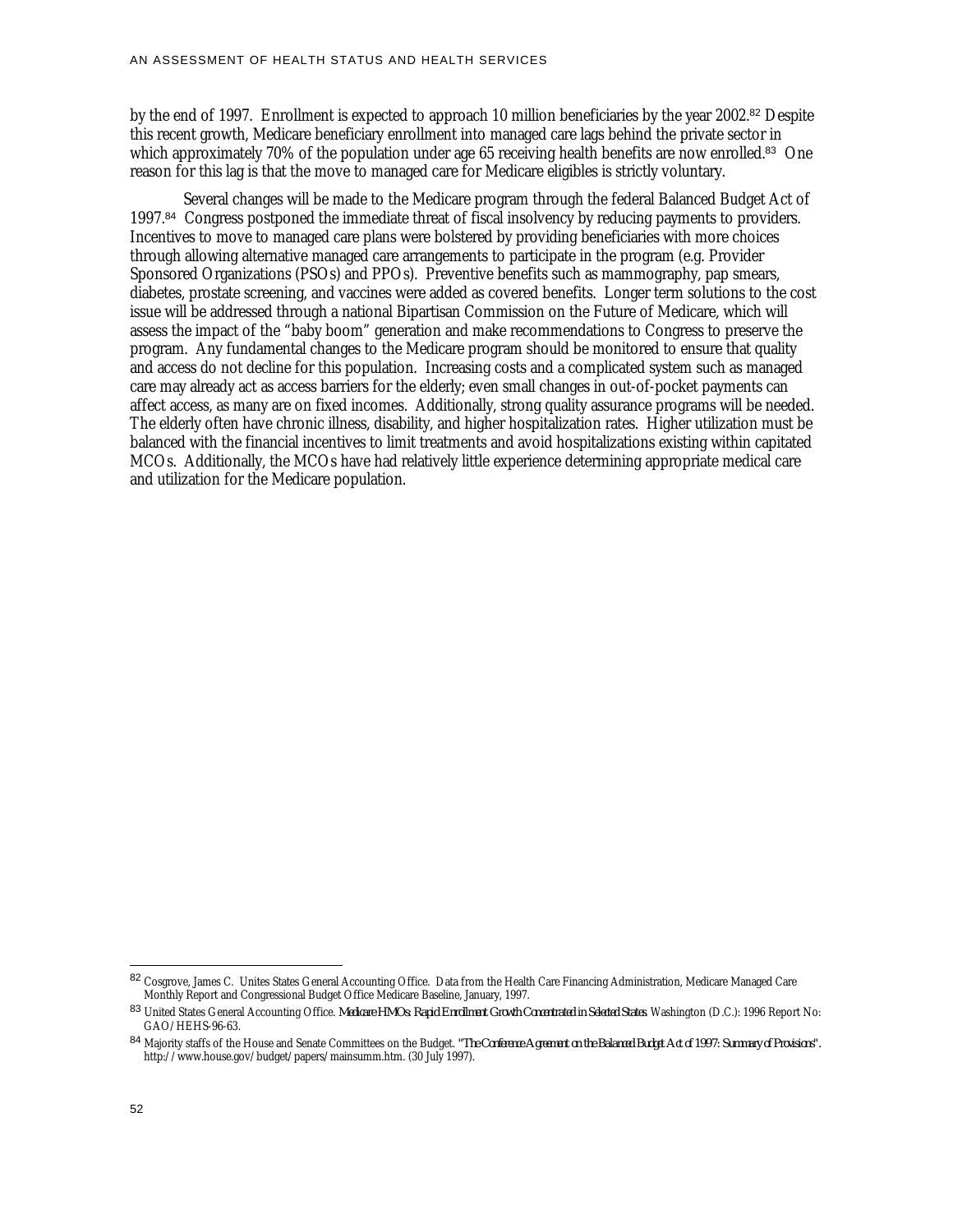by the end of 1997. Enrollment is expected to approach 10 million beneficiaries by the year 2002.<sup>82</sup> Despite this recent growth, Medicare beneficiary enrollment into managed care lags behind the private sector in which approximately 70% of the population under age 65 receiving health benefits are now enrolled.<sup>83</sup> One reason for this lag is that the move to managed care for Medicare eligibles is strictly voluntary.

Several changes will be made to the Medicare program through the federal Balanced Budget Act of 1997.<sup>84</sup> Congress postponed the immediate threat of fiscal insolvency by reducing payments to providers. Incentives to move to managed care plans were bolstered by providing beneficiaries with more choices through allowing alternative managed care arrangements to participate in the program (e.g. Provider Sponsored Organizations (PSOs) and PPOs). Preventive benefits such as mammography, pap smears, diabetes, prostate screening, and vaccines were added as covered benefits. Longer term solutions to the cost issue will be addressed through a national Bipartisan Commission on the Future of Medicare, which will assess the impact of the "baby boom" generation and make recommendations to Congress to preserve the program. Any fundamental changes to the Medicare program should be monitored to ensure that quality and access do not decline for this population. Increasing costs and a complicated system such as managed care may already act as access barriers for the elderly; even small changes in out-of-pocket payments can affect access, as many are on fixed incomes. Additionally, strong quality assurance programs will be needed. The elderly often have chronic illness, disability, and higher hospitalization rates. Higher utilization must be balanced with the financial incentives to limit treatments and avoid hospitalizations existing within capitated MCOs. Additionally, the MCOs have had relatively little experience determining appropriate medical care and utilization for the Medicare population.

<sup>82</sup> Cosgrove, James C. Unites States General Accounting Office. Data from the Health Care Financing Administration, Medicare Managed Care Monthly Report and Congressional Budget Office Medicare Baseline, January, 1997.

<sup>83</sup> United States General Accounting Office. *Medicare HMOs: Rapid Enrollment Growth Concentrated in Selected States*. Washington (D.C.): 1996 Report No: GAO/HEHS-96-63.

<sup>84</sup> Majority staffs of the House and Senate Committees on the Budget. *"The Conference Agreement on the Balanced Budget Act of 1997: Summary of Provisions".* http://www.house.gov/budget/papers/mainsumm.htm. (30 July 1997).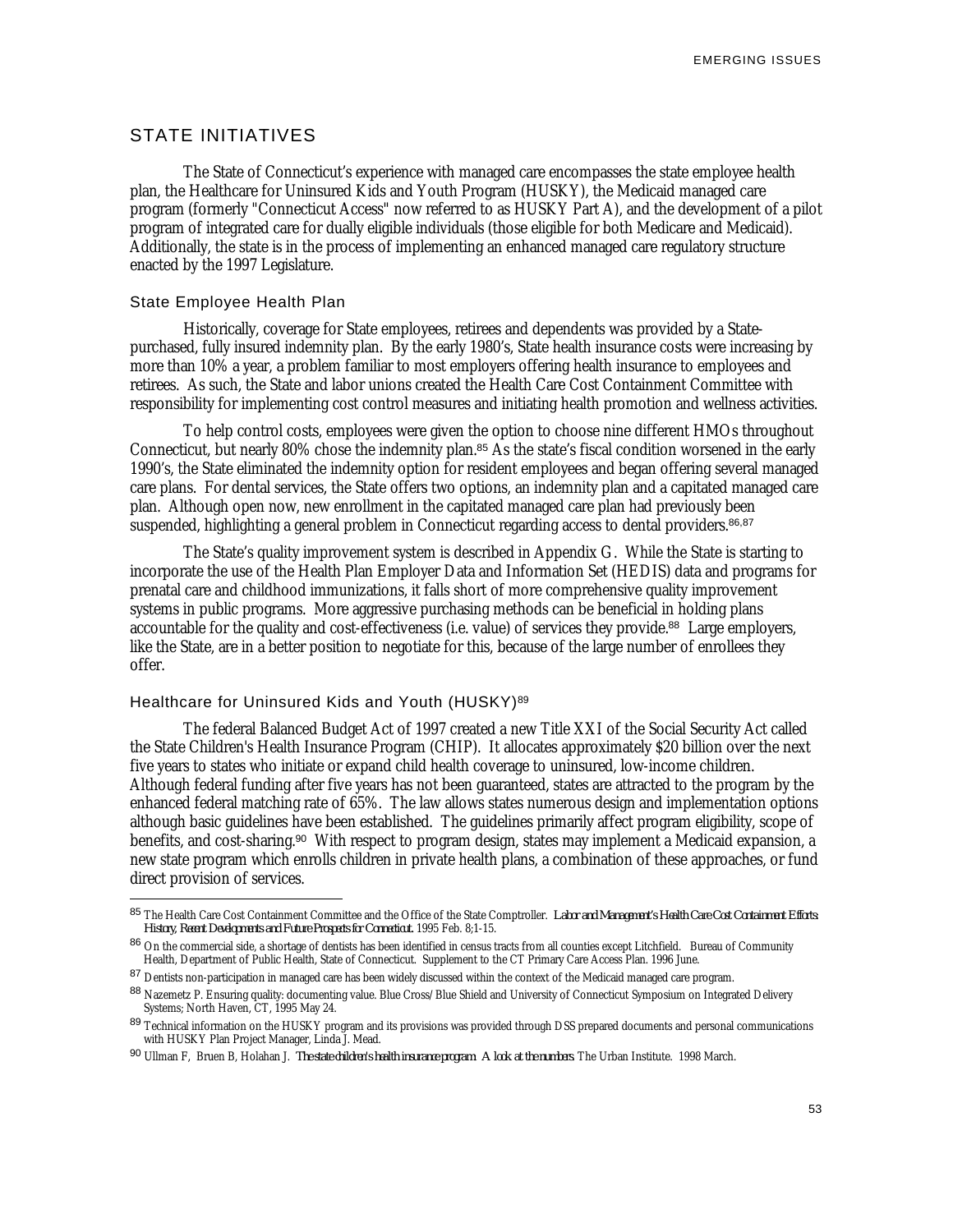EMERGING ISSUES

## STATE INITIATIVES

The State of Connecticut's experience with managed care encompasses the state employee health plan, the Healthcare for Uninsured Kids and Youth Program (HUSKY), the Medicaid managed care program (formerly "Connecticut Access" now referred to as HUSKY Part A), and the development of a pilot program of integrated care for dually eligible individuals (those eligible for both Medicare and Medicaid). Additionally, the state is in the process of implementing an enhanced managed care regulatory structure enacted by the 1997 Legislature.

#### State Employee Health Plan

-

Historically, coverage for State employees, retirees and dependents was provided by a Statepurchased, fully insured indemnity plan. By the early 1980's, State health insurance costs were increasing by more than 10% a year, a problem familiar to most employers offering health insurance to employees and retirees. As such, the State and labor unions created the Health Care Cost Containment Committee with responsibility for implementing cost control measures and initiating health promotion and wellness activities.

To help control costs, employees were given the option to choose nine different HMOs throughout Connecticut, but nearly 80% chose the indemnity plan.<sup>85</sup> As the state's fiscal condition worsened in the early 1990's, the State eliminated the indemnity option for resident employees and began offering several managed care plans. For dental services, the State offers two options, an indemnity plan and a capitated managed care plan. Although open now, new enrollment in the capitated managed care plan had previously been suspended, highlighting a general problem in Connecticut regarding access to dental providers.<sup>86,87</sup>

The State's quality improvement system is described in Appendix G. While the State is starting to incorporate the use of the Health Plan Employer Data and Information Set (HEDIS) data and programs for prenatal care and childhood immunizations, it falls short of more comprehensive quality improvement systems in public programs. More aggressive purchasing methods can be beneficial in holding plans accountable for the quality and cost-effectiveness (i.e. value) of services they provide.<sup>88</sup> Large employers, like the State, are in a better position to negotiate for this, because of the large number of enrollees they offer.

#### Healthcare for Uninsured Kids and Youth (HUSKY)<sup>89</sup>

The federal Balanced Budget Act of 1997 created a new Title XXI of the Social Security Act called the State Children's Health Insurance Program (CHIP). It allocates approximately \$20 billion over the next five years to states who initiate or expand child health coverage to uninsured, low-income children. Although federal funding after five years has not been guaranteed, states are attracted to the program by the enhanced federal matching rate of 65%. The law allows states numerous design and implementation options although basic guidelines have been established. The guidelines primarily affect program eligibility, scope of benefits, and cost-sharing.<sup>90</sup> With respect to program design, states may implement a Medicaid expansion, a new state program which enrolls children in private health plans, a combination of these approaches, or fund direct provision of services.

<sup>85</sup> The Health Care Cost Containment Committee and the Office of the State Comptroller. *Labor and Management's Health Care Cost Containment Efforts: History, Recent Developments and Future Prospects for Connecticut.* 1995 Feb. 8;1-15.

<sup>86</sup> On the commercial side, a shortage of dentists has been identified in census tracts from all counties except Litchfield. Bureau of Community Health, Department of Public Health, State of Connecticut. Supplement to the CT Primary Care Access Plan. 1996 June.

<sup>87</sup> Dentists non-participation in managed care has been widely discussed within the context of the Medicaid managed care program.

<sup>88</sup> Nazemetz P. Ensuring quality: documenting value. Blue Cross/Blue Shield and University of Connecticut Symposium on Integrated Delivery Systems; North Haven, CT, 1995 May 24.

<sup>89</sup> Technical information on the HUSKY program and its provisions was provided through DSS prepared documents and personal communications with HUSKY Plan Project Manager, Linda J. Mead.

<sup>90</sup> Ullman F, Bruen B, Holahan J. *The state children's health insurance program: A look at the numbers*. The Urban Institute. 1998 March.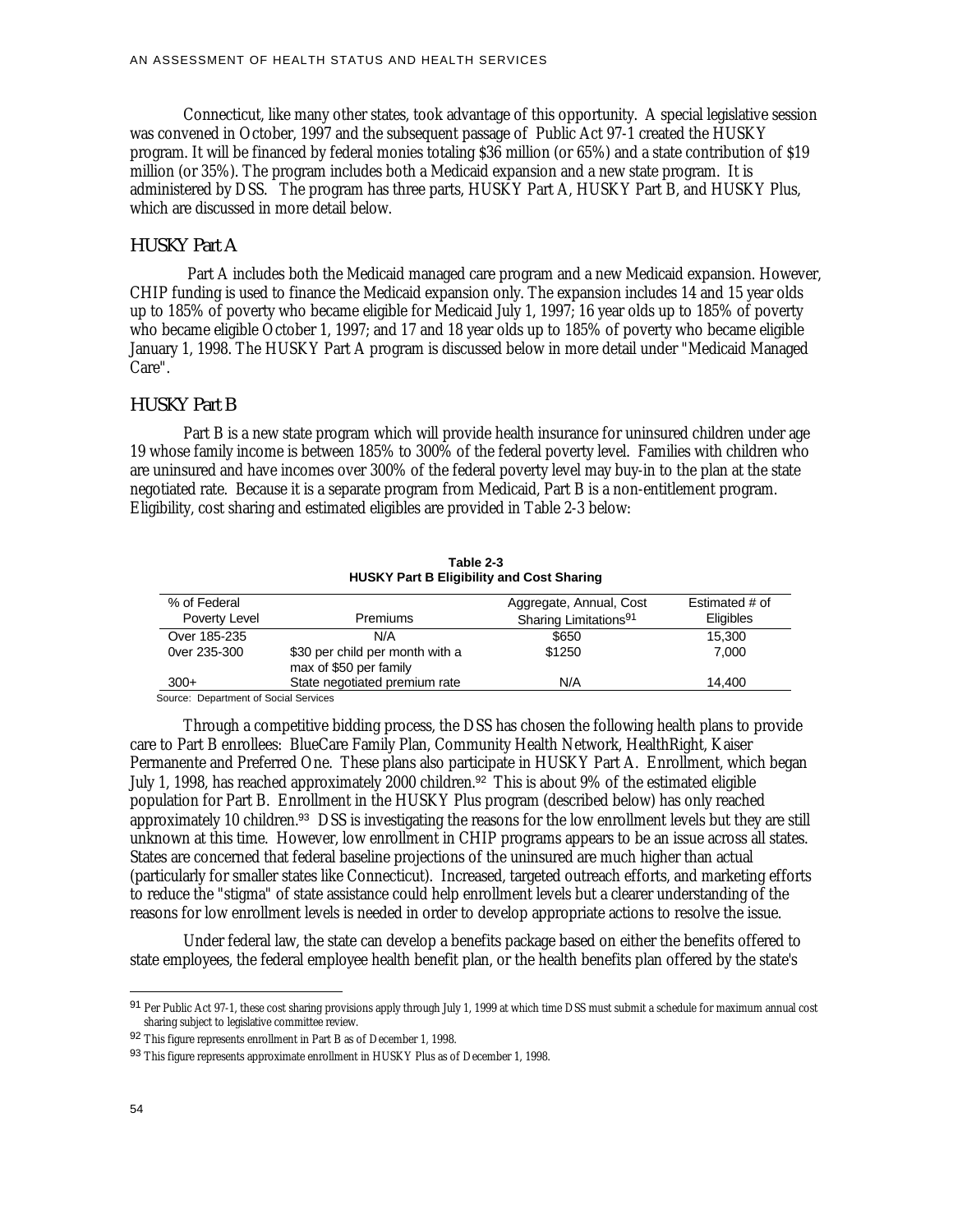Connecticut, like many other states, took advantage of this opportunity. A special legislative session was convened in October, 1997 and the subsequent passage of Public Act 97-1 created the HUSKY program. It will be financed by federal monies totaling \$36 million (or 65%) and a state contribution of \$19 million (or 35%). The program includes both a Medicaid expansion and a new state program. It is administered by DSS. The program has three parts, HUSKY Part A, HUSKY Part B, and HUSKY Plus, which are discussed in more detail below.

#### *HUSKY Part A*

 Part A includes both the Medicaid managed care program and a new Medicaid expansion. However, CHIP funding is used to finance the Medicaid expansion only. The expansion includes 14 and 15 year olds up to 185% of poverty who became eligible for Medicaid July 1, 1997; 16 year olds up to 185% of poverty who became eligible October 1, 1997; and 17 and 18 year olds up to 185% of poverty who became eligible January 1, 1998. The HUSKY Part A program is discussed below in more detail under "Medicaid Managed Care".

## *HUSKY Part B*

Part B is a new state program which will provide health insurance for uninsured children under age 19 whose family income is between 185% to 300% of the federal poverty level. Families with children who are uninsured and have incomes over 300% of the federal poverty level may buy-in to the plan at the state negotiated rate. Because it is a separate program from Medicaid, Part B is a non-entitlement program. Eligibility, cost sharing and estimated eligibles are provided in Table 2-3 below:

| HUSKT Part B Eligibility and Cost Sharing |                                                           |                                   |                |  |  |
|-------------------------------------------|-----------------------------------------------------------|-----------------------------------|----------------|--|--|
| % of Federal                              |                                                           | Aggregate, Annual, Cost           | Estimated # of |  |  |
| Poverty Level                             | <b>Premiums</b>                                           | Sharing Limitations <sup>91</sup> | Eligibles      |  |  |
| Over 185-235                              | N/A                                                       | \$650                             | 15,300         |  |  |
| 0 ver 235-300                             | \$30 per child per month with a<br>max of \$50 per family | \$1250                            | 7.000          |  |  |
| $300+$                                    | State negotiated premium rate                             | N/A                               | 14.400         |  |  |

**Table 2-3 HUSKY Part B Eligibility and Cost Sharing**

Source: Department of Social Services

Through a competitive bidding process, the DSS has chosen the following health plans to provide care to Part B enrollees: BlueCare Family Plan, Community Health Network, HealthRight, Kaiser Permanente and Preferred One. These plans also participate in HUSKY Part A. Enrollment, which began July 1, 1998, has reached approximately 2000 children.<sup>92</sup> This is about 9% of the estimated eligible population for Part B. Enrollment in the HUSKY Plus program (described below) has only reached approximately 10 children.<sup>93</sup> DSS is investigating the reasons for the low enrollment levels but they are still unknown at this time. However, low enrollment in CHIP programs appears to be an issue across all states. States are concerned that federal baseline projections of the uninsured are much higher than actual (particularly for smaller states like Connecticut). Increased, targeted outreach efforts, and marketing efforts to reduce the "stigma" of state assistance could help enrollment levels but a clearer understanding of the reasons for low enrollment levels is needed in order to develop appropriate actions to resolve the issue.

Under federal law, the state can develop a benefits package based on either the benefits offered to state employees, the federal employee health benefit plan, or the health benefits plan offered by the state's

<sup>91</sup> Per Public Act 97-1, these cost sharing provisions apply through July 1, 1999 at which time DSS must submit a schedule for maximum annual cost sharing subject to legislative committee review.

<sup>92</sup> This figure represents enrollment in Part B as of December 1, 1998.

<sup>93</sup> This figure represents approximate enrollment in HUSKY Plus as of December 1, 1998.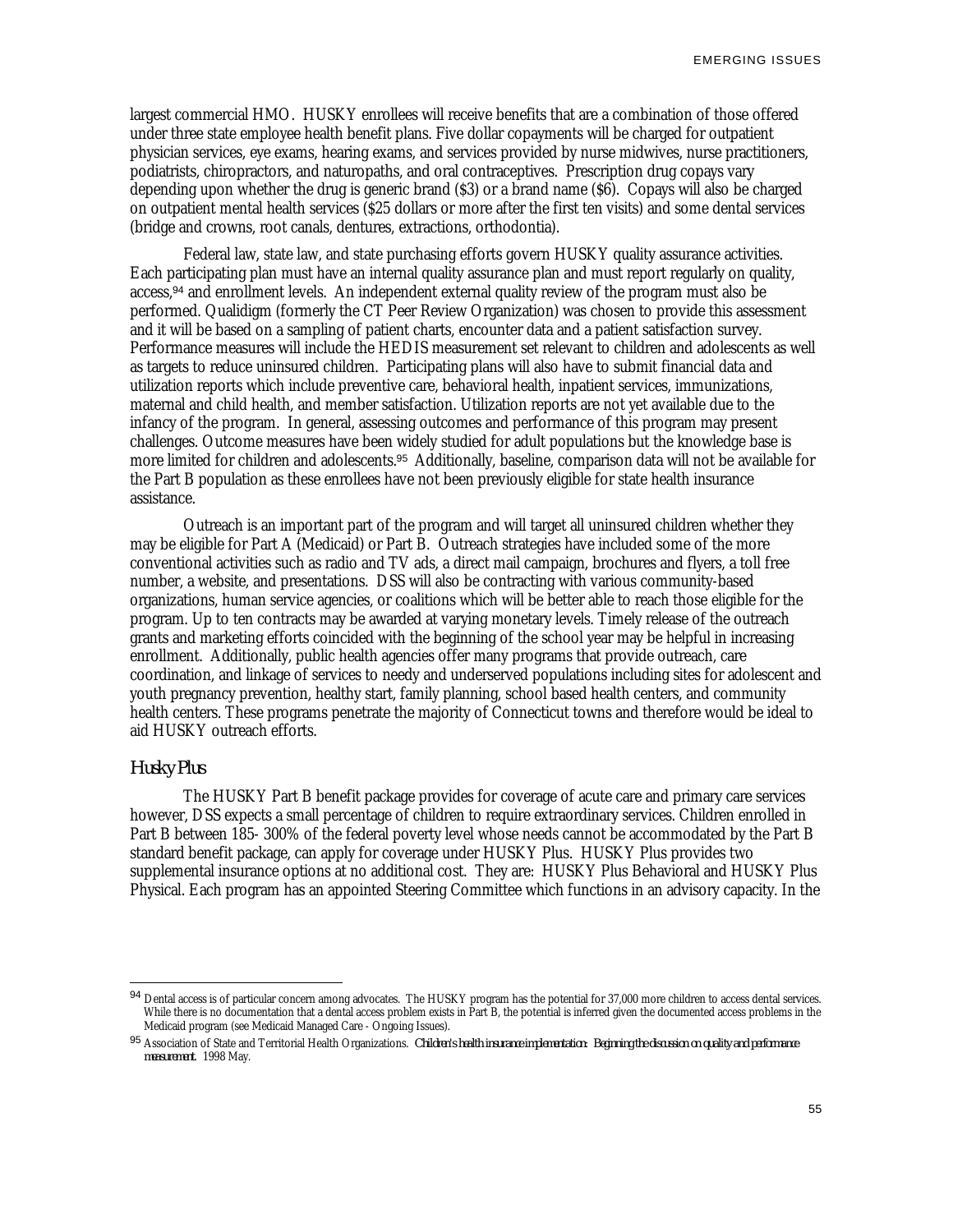largest commercial HMO. HUSKY enrollees will receive benefits that are a combination of those offered under three state employee health benefit plans. Five dollar copayments will be charged for outpatient physician services, eye exams, hearing exams, and services provided by nurse midwives, nurse practitioners, podiatrists, chiropractors, and naturopaths, and oral contraceptives. Prescription drug copays vary depending upon whether the drug is generic brand (\$3) or a brand name (\$6). Copays will also be charged on outpatient mental health services (\$25 dollars or more after the first ten visits) and some dental services (bridge and crowns, root canals, dentures, extractions, orthodontia).

Federal law, state law, and state purchasing efforts govern HUSKY quality assurance activities. Each participating plan must have an internal quality assurance plan and must report regularly on quality, access,<sup>94</sup> and enrollment levels. An independent external quality review of the program must also be performed. Qualidigm (formerly the CT Peer Review Organization) was chosen to provide this assessment and it will be based on a sampling of patient charts, encounter data and a patient satisfaction survey. Performance measures will include the HEDIS measurement set relevant to children and adolescents as well as targets to reduce uninsured children. Participating plans will also have to submit financial data and utilization reports which include preventive care, behavioral health, inpatient services, immunizations, maternal and child health, and member satisfaction. Utilization reports are not yet available due to the infancy of the program. In general, assessing outcomes and performance of this program may present challenges. Outcome measures have been widely studied for adult populations but the knowledge base is more limited for children and adolescents.<sup>95</sup> Additionally, baseline, comparison data will not be available for the Part B population as these enrollees have not been previously eligible for state health insurance assistance.

Outreach is an important part of the program and will target all uninsured children whether they may be eligible for Part A (Medicaid) or Part B. Outreach strategies have included some of the more conventional activities such as radio and TV ads, a direct mail campaign, brochures and flyers, a toll free number, a website, and presentations. DSS will also be contracting with various community-based organizations, human service agencies, or coalitions which will be better able to reach those eligible for the program. Up to ten contracts may be awarded at varying monetary levels. Timely release of the outreach grants and marketing efforts coincided with the beginning of the school year may be helpful in increasing enrollment. Additionally, public health agencies offer many programs that provide outreach, care coordination, and linkage of services to needy and underserved populations including sites for adolescent and youth pregnancy prevention, healthy start, family planning, school based health centers, and community health centers. These programs penetrate the majority of Connecticut towns and therefore would be ideal to aid HUSKY outreach efforts.

## *Husky Plus*

-

The HUSKY Part B benefit package provides for coverage of acute care and primary care services however, DSS expects a small percentage of children to require extraordinary services. Children enrolled in Part B between 185- 300% of the federal poverty level whose needs cannot be accommodated by the Part B standard benefit package, can apply for coverage under HUSKY Plus. HUSKY Plus provides two supplemental insurance options at no additional cost. They are: HUSKY Plus Behavioral and HUSKY Plus Physical. Each program has an appointed Steering Committee which functions in an advisory capacity. In the

<sup>94</sup> Dental access is of particular concern among advocates. The HUSKY program has the potential for 37,000 more children to access dental services. While there is no documentation that a dental access problem exists in Part B, the potential is inferred given the documented access problems in the Medicaid program (see Medicaid Managed Care - Ongoing Issues).

<sup>95</sup> Association of State and Territorial Health Organizations. *Children's health insurance implementation: Beginning the discussion on quality and performance measurement*. 1998 May.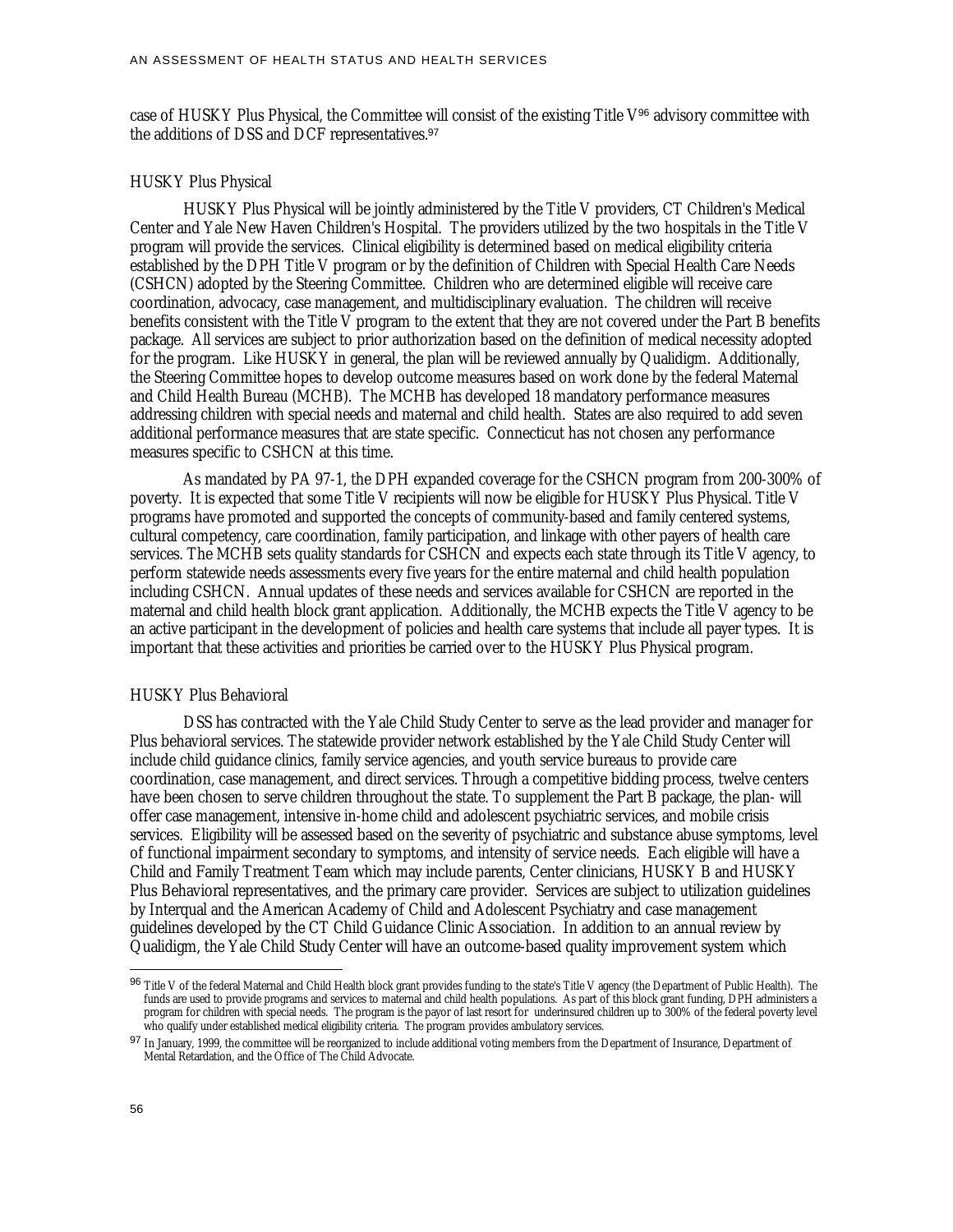case of HUSKY Plus Physical, the Committee will consist of the existing Title V<sup>96</sup> advisory committee with the additions of DSS and DCF representatives.<sup>97</sup>

#### HUSKY Plus Physical

HUSKY Plus Physical will be jointly administered by the Title V providers, CT Children's Medical Center and Yale New Haven Children's Hospital. The providers utilized by the two hospitals in the Title V program will provide the services. Clinical eligibility is determined based on medical eligibility criteria established by the DPH Title V program or by the definition of Children with Special Health Care Needs (CSHCN) adopted by the Steering Committee. Children who are determined eligible will receive care coordination, advocacy, case management, and multidisciplinary evaluation. The children will receive benefits consistent with the Title V program to the extent that they are not covered under the Part B benefits package. All services are subject to prior authorization based on the definition of medical necessity adopted for the program. Like HUSKY in general, the plan will be reviewed annually by Qualidigm. Additionally, the Steering Committee hopes to develop outcome measures based on work done by the federal Maternal and Child Health Bureau (MCHB). The MCHB has developed 18 mandatory performance measures addressing children with special needs and maternal and child health. States are also required to add seven additional performance measures that are state specific. Connecticut has not chosen any performance measures specific to CSHCN at this time.

As mandated by PA 97-1, the DPH expanded coverage for the CSHCN program from 200-300% of poverty. It is expected that some Title V recipients will now be eligible for HUSKY Plus Physical. Title V programs have promoted and supported the concepts of community-based and family centered systems, cultural competency, care coordination, family participation, and linkage with other payers of health care services. The MCHB sets quality standards for CSHCN and expects each state through its Title V agency, to perform statewide needs assessments every five years for the entire maternal and child health population including CSHCN. Annual updates of these needs and services available for CSHCN are reported in the maternal and child health block grant application. Additionally, the MCHB expects the Title V agency to be an active participant in the development of policies and health care systems that include all payer types. It is important that these activities and priorities be carried over to the HUSKY Plus Physical program.

#### HUSKY Plus Behavioral

DSS has contracted with the Yale Child Study Center to serve as the lead provider and manager for Plus behavioral services. The statewide provider network established by the Yale Child Study Center will include child guidance clinics, family service agencies, and youth service bureaus to provide care coordination, case management, and direct services. Through a competitive bidding process, twelve centers have been chosen to serve children throughout the state. To supplement the Part B package, the plan- will offer case management, intensive in-home child and adolescent psychiatric services, and mobile crisis services. Eligibility will be assessed based on the severity of psychiatric and substance abuse symptoms, level of functional impairment secondary to symptoms, and intensity of service needs. Each eligible will have a Child and Family Treatment Team which may include parents, Center clinicians, HUSKY B and HUSKY Plus Behavioral representatives, and the primary care provider. Services are subject to utilization guidelines by Interqual and the American Academy of Child and Adolescent Psychiatry and case management guidelines developed by the CT Child Guidance Clinic Association. In addition to an annual review by Qualidigm, the Yale Child Study Center will have an outcome-based quality improvement system which

<sup>96</sup> Title V of the federal Maternal and Child Health block grant provides funding to the state's Title V agency (the Department of Public Health). The funds are used to provide programs and services to maternal and child health populations. As part of this block grant funding, DPH administers a program for children with special needs. The program is the payor of last resort for underinsured children up to 300% of the federal poverty level who qualify under established medical eligibility criteria. The program provides ambulatory services.

<sup>97</sup> In January, 1999, the committee will be reorganized to include additional voting members from the Department of Insurance, Department of Mental Retardation, and the Office of The Child Advocate.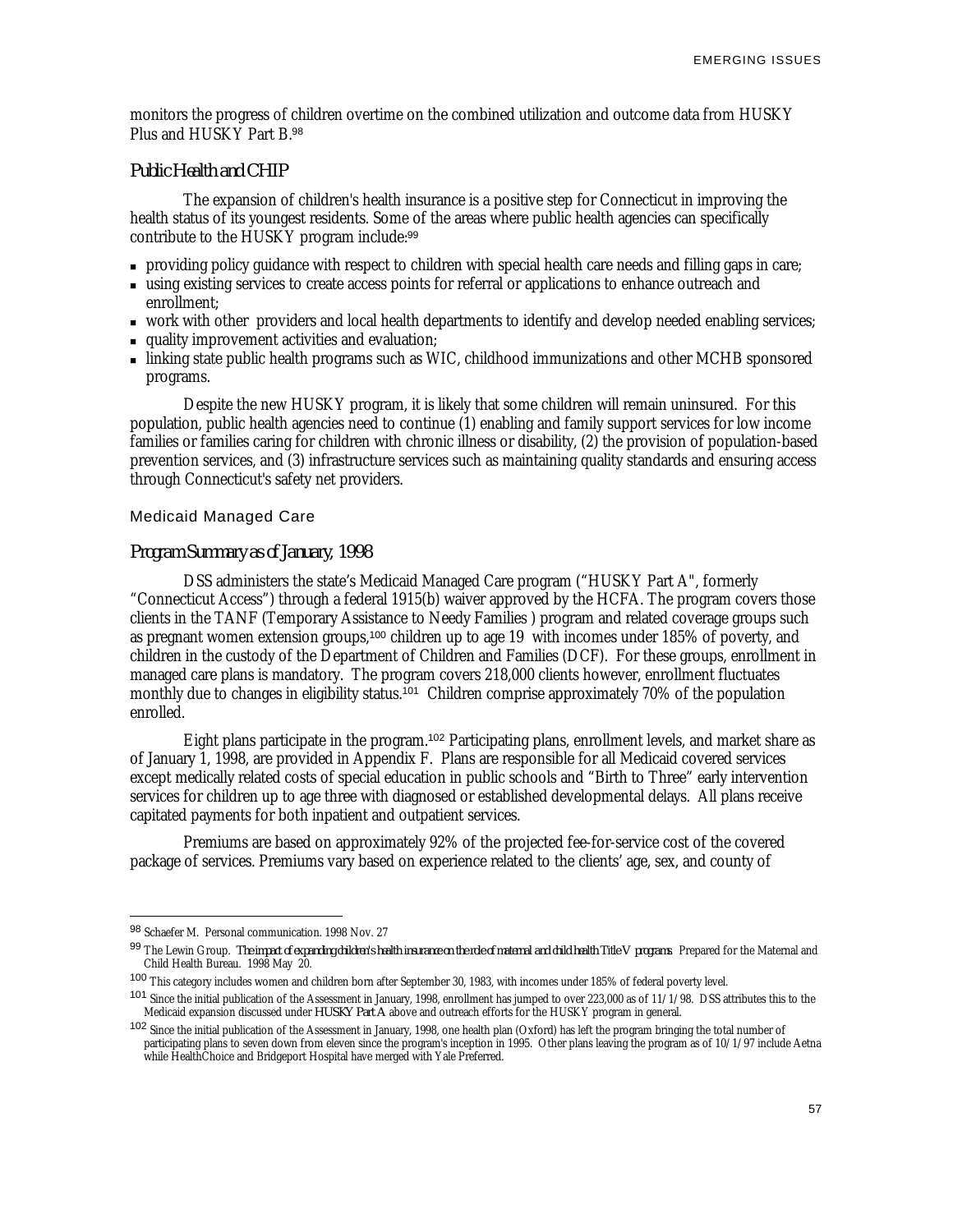monitors the progress of children overtime on the combined utilization and outcome data from HUSKY Plus and HUSKY Part B.<sup>98</sup>

## *Public Health and CHIP*

The expansion of children's health insurance is a positive step for Connecticut in improving the health status of its youngest residents. Some of the areas where public health agencies can specifically contribute to the HUSKY program include:<sup>99</sup>

- <sup>n</sup> providing policy guidance with respect to children with special health care needs and filling gaps in care;
- <sup>n</sup> using existing services to create access points for referral or applications to enhance outreach and enrollment;
- <sup>n</sup> work with other providers and local health departments to identify and develop needed enabling services;
- quality improvement activities and evaluation;
- <sup>n</sup> linking state public health programs such as WIC, childhood immunizations and other MCHB sponsored programs.

Despite the new HUSKY program, it is likely that some children will remain uninsured. For this population, public health agencies need to continue (1) enabling and family support services for low income families or families caring for children with chronic illness or disability, (2) the provision of population-based prevention services, and (3) infrastructure services such as maintaining quality standards and ensuring access through Connecticut's safety net providers.

## Medicaid Managed Care

#### *Program Summary as of January, 1998*

DSS administers the state's Medicaid Managed Care program ("HUSKY Part A", formerly "Connecticut Access") through a federal 1915(b) waiver approved by the HCFA. The program covers those clients in the TANF (Temporary Assistance to Needy Families ) program and related coverage groups such as pregnant women extension groups,<sup>100</sup> children up to age 19 with incomes under 185% of poverty, and children in the custody of the Department of Children and Families (DCF). For these groups, enrollment in managed care plans is mandatory. The program covers 218,000 clients however, enrollment fluctuates monthly due to changes in eligibility status.<sup>101</sup> Children comprise approximately 70% of the population enrolled.

Eight plans participate in the program.<sup>102</sup> Participating plans, enrollment levels, and market share as of January 1, 1998, are provided in Appendix F. Plans are responsible for all Medicaid covered services except medically related costs of special education in public schools and "Birth to Three" early intervention services for children up to age three with diagnosed or established developmental delays. All plans receive capitated payments for both inpatient and outpatient services.

Premiums are based on approximately 92% of the projected fee-for-service cost of the covered package of services. Premiums vary based on experience related to the clients' age, sex, and county of

<sup>98</sup> Schaefer M. Personal communication. 1998 Nov. 27

<sup>99</sup> The Lewin Group. *The impact of expanding children's health insurance on the role of maternal and child health Title V programs*. Prepared for the Maternal and Child Health Bureau. 1998 May 20.

<sup>100</sup> This category includes women and children born after September 30, 1983, with incomes under 185% of federal poverty level.

<sup>&</sup>lt;sup>101</sup> Since the initial publication of the Assessment in January, 1998, enrollment has jumped to over 223,000 as of 11/1/98. DSS attributes this to the Medicaid expansion discussed under *HUSKY Part A* above and outreach efforts for the HUSKY program in general.

<sup>&</sup>lt;sup>102</sup> Since the initial publication of the Assessment in January, 1998, one health plan (Oxford) has left the program bringing the total number of participating plans to seven down from eleven since the program's inception in 1995. Other plans leaving the program as of 10/1/97 include Aetna while HealthChoice and Bridgeport Hospital have merged with Yale Preferred.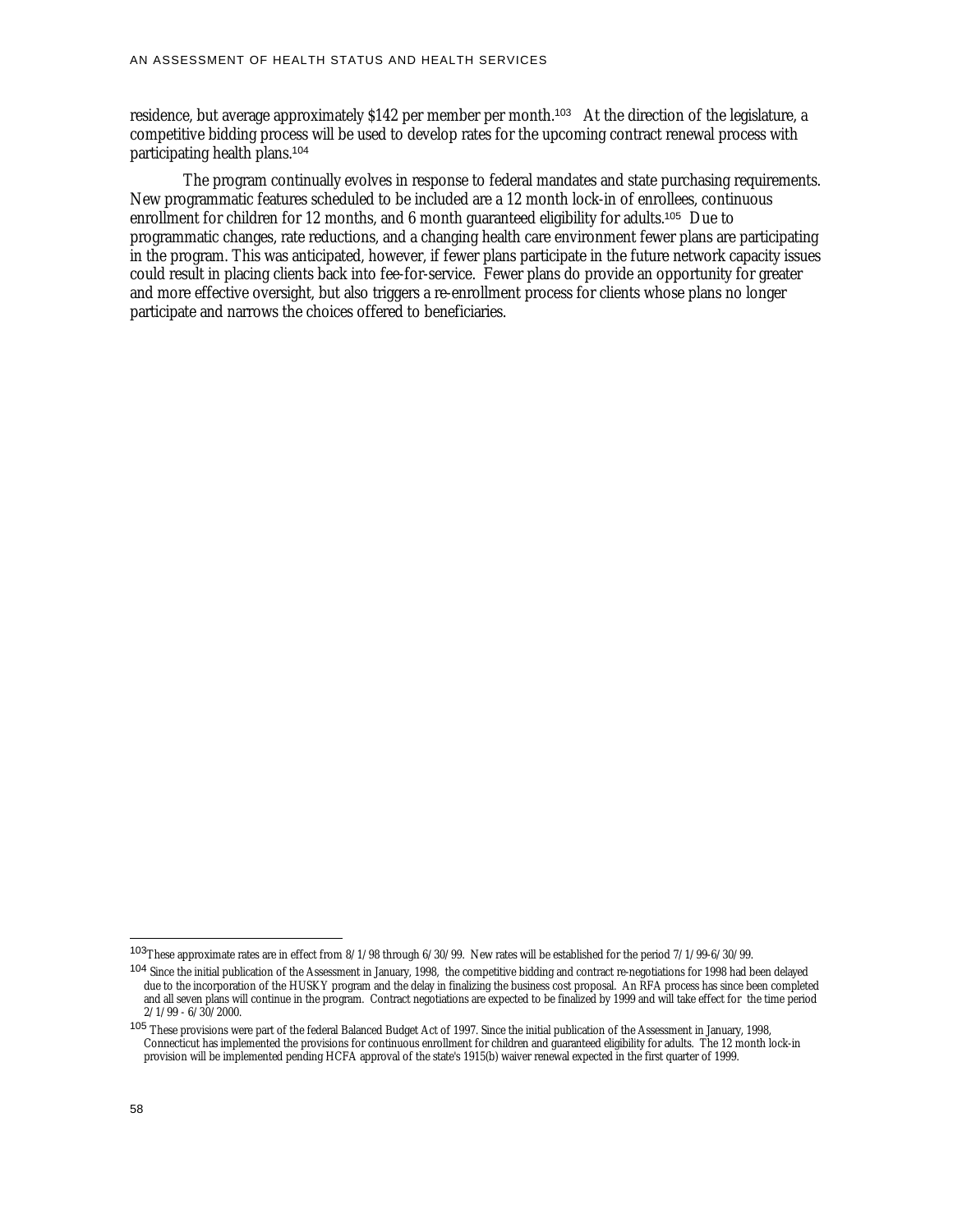residence, but average approximately \$142 per member per month.<sup>103</sup> At the direction of the legislature, a competitive bidding process will be used to develop rates for the upcoming contract renewal process with participating health plans.<sup>104</sup>

The program continually evolves in response to federal mandates and state purchasing requirements. New programmatic features scheduled to be included are a 12 month lock-in of enrollees, continuous enrollment for children for 12 months, and 6 month guaranteed eligibility for adults.<sup>105</sup> Due to programmatic changes, rate reductions, and a changing health care environment fewer plans are participating in the program. This was anticipated, however, if fewer plans participate in the future network capacity issues could result in placing clients back into fee-for-service. Fewer plans do provide an opportunity for greater and more effective oversight, but also triggers a re-enrollment process for clients whose plans no longer participate and narrows the choices offered to beneficiaries.

<sup>103</sup>These approximate rates are in effect from 8/1/98 through 6/30/99. New rates will be established for the period 7/1/99-6/30/99.

<sup>&</sup>lt;sup>104</sup> Since the initial publication of the Assessment in January, 1998, the competitive bidding and contract re-negotiations for 1998 had been delayed due to the incorporation of the HUSKY program and the delay in finalizing the business cost proposal. An RFA process has since been completed and all seven plans will continue in the program. Contract negotiations are expected to be finalized by 1999 and will take effect for the time period  $2/1/99 - 6/30/2000$ .

<sup>&</sup>lt;sup>105</sup> These provisions were part of the federal Balanced Budget Act of 1997. Since the initial publication of the Assessment in January, 1998, Connecticut has implemented the provisions for continuous enrollment for children and guaranteed eligibility for adults. The 12 month lock-in provision will be implemented pending HCFA approval of the state's 1915(b) waiver renewal expected in the first quarter of 1999.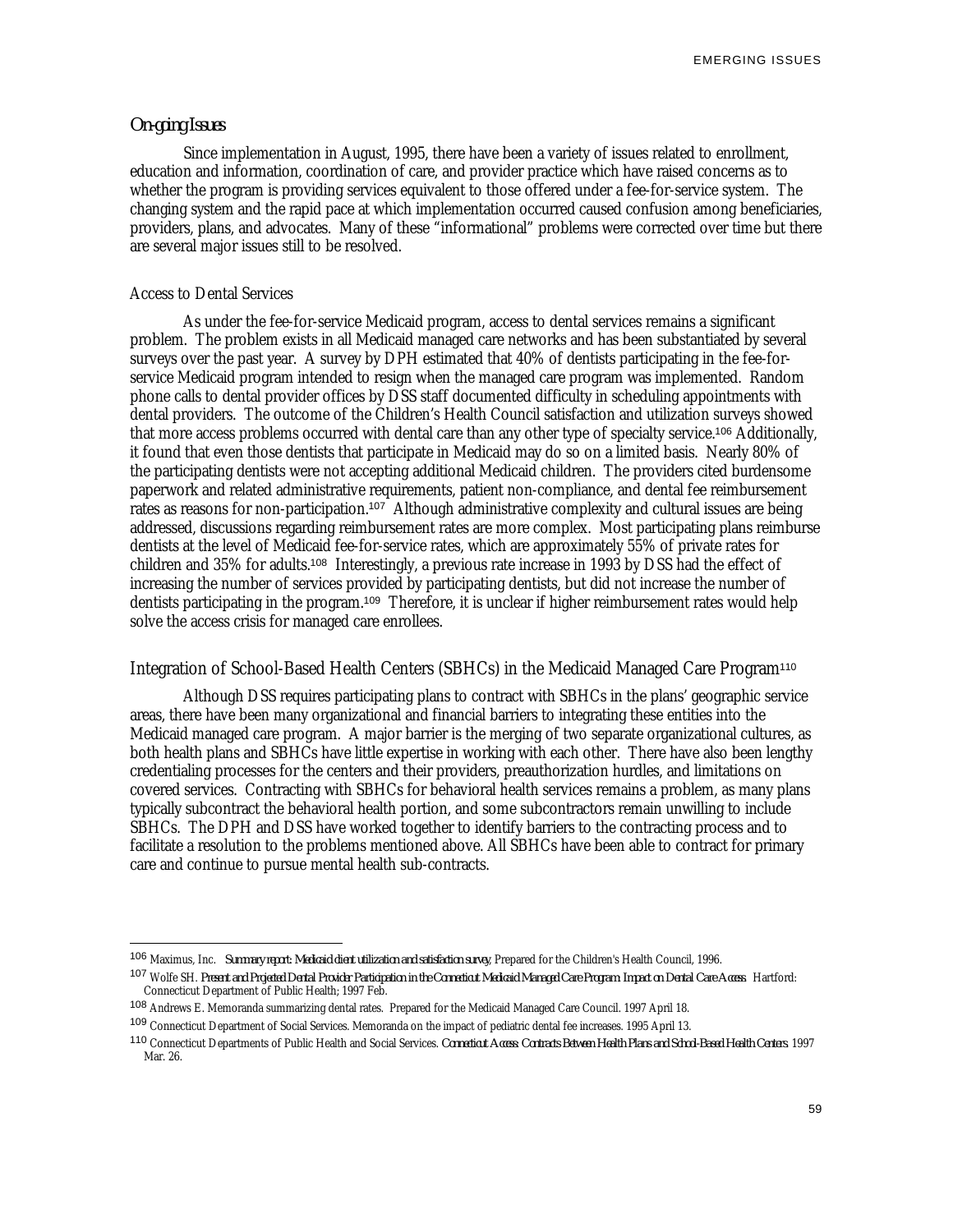EMERGING ISSUES

## *On-going Issues*

Since implementation in August, 1995, there have been a variety of issues related to enrollment, education and information, coordination of care, and provider practice which have raised concerns as to whether the program is providing services equivalent to those offered under a fee-for-service system. The changing system and the rapid pace at which implementation occurred caused confusion among beneficiaries, providers, plans, and advocates. Many of these "informational" problems were corrected over time but there are several major issues still to be resolved.

#### Access to Dental Services

-

As under the fee-for-service Medicaid program, access to dental services remains a significant problem. The problem exists in all Medicaid managed care networks and has been substantiated by several surveys over the past year. A survey by DPH estimated that 40% of dentists participating in the fee-forservice Medicaid program intended to resign when the managed care program was implemented. Random phone calls to dental provider offices by DSS staff documented difficulty in scheduling appointments with dental providers. The outcome of the Children's Health Council satisfaction and utilization surveys showed that more access problems occurred with dental care than any other type of specialty service.<sup>106</sup> Additionally, it found that even those dentists that participate in Medicaid may do so on a limited basis. Nearly 80% of the participating dentists were not accepting additional Medicaid children. The providers cited burdensome paperwork and related administrative requirements, patient non-compliance, and dental fee reimbursement rates as reasons for non-participation.<sup>107</sup> Although administrative complexity and cultural issues are being addressed, discussions regarding reimbursement rates are more complex. Most participating plans reimburse dentists at the level of Medicaid fee-for-service rates, which are approximately 55% of private rates for children and 35% for adults.<sup>108</sup> Interestingly, a previous rate increase in 1993 by DSS had the effect of increasing the number of services provided by participating dentists, but did not increase the number of dentists participating in the program.<sup>109</sup> Therefore, it is unclear if higher reimbursement rates would help solve the access crisis for managed care enrollees.

## Integration of School-Based Health Centers (SBHCs) in the Medicaid Managed Care Program<sup>110</sup>

Although DSS requires participating plans to contract with SBHCs in the plans' geographic service areas, there have been many organizational and financial barriers to integrating these entities into the Medicaid managed care program. A major barrier is the merging of two separate organizational cultures, as both health plans and SBHCs have little expertise in working with each other. There have also been lengthy credentialing processes for the centers and their providers, preauthorization hurdles, and limitations on covered services. Contracting with SBHCs for behavioral health services remains a problem, as many plans typically subcontract the behavioral health portion, and some subcontractors remain unwilling to include SBHCs. The DPH and DSS have worked together to identify barriers to the contracting process and to facilitate a resolution to the problems mentioned above. All SBHCs have been able to contract for primary care and continue to pursue mental health sub-contracts.

<sup>106</sup> Maximus, Inc. *Summary report: Medicaid client utilization and satisfaction survey*, Prepared for the Children's Health Council, 1996.

<sup>107</sup> Wolfe SH. *Present and Projected Dental Provider Participation in the Connecticut Medicaid Managed Care Program: Impact on Dental Care Access*. Hartford: Connecticut Department of Public Health; 1997 Feb.

<sup>108</sup> Andrews E. Memoranda summarizing dental rates. Prepared for the Medicaid Managed Care Council. 1997 April 18.

<sup>109</sup> Connecticut Department of Social Services. Memoranda on the impact of pediatric dental fee increases. 1995 April 13.

<sup>110</sup> Connecticut Departments of Public Health and Social Services. *Connecticut Access: Contracts Between Health Plans and School-Based Health Centers*. 1997 Mar. 26.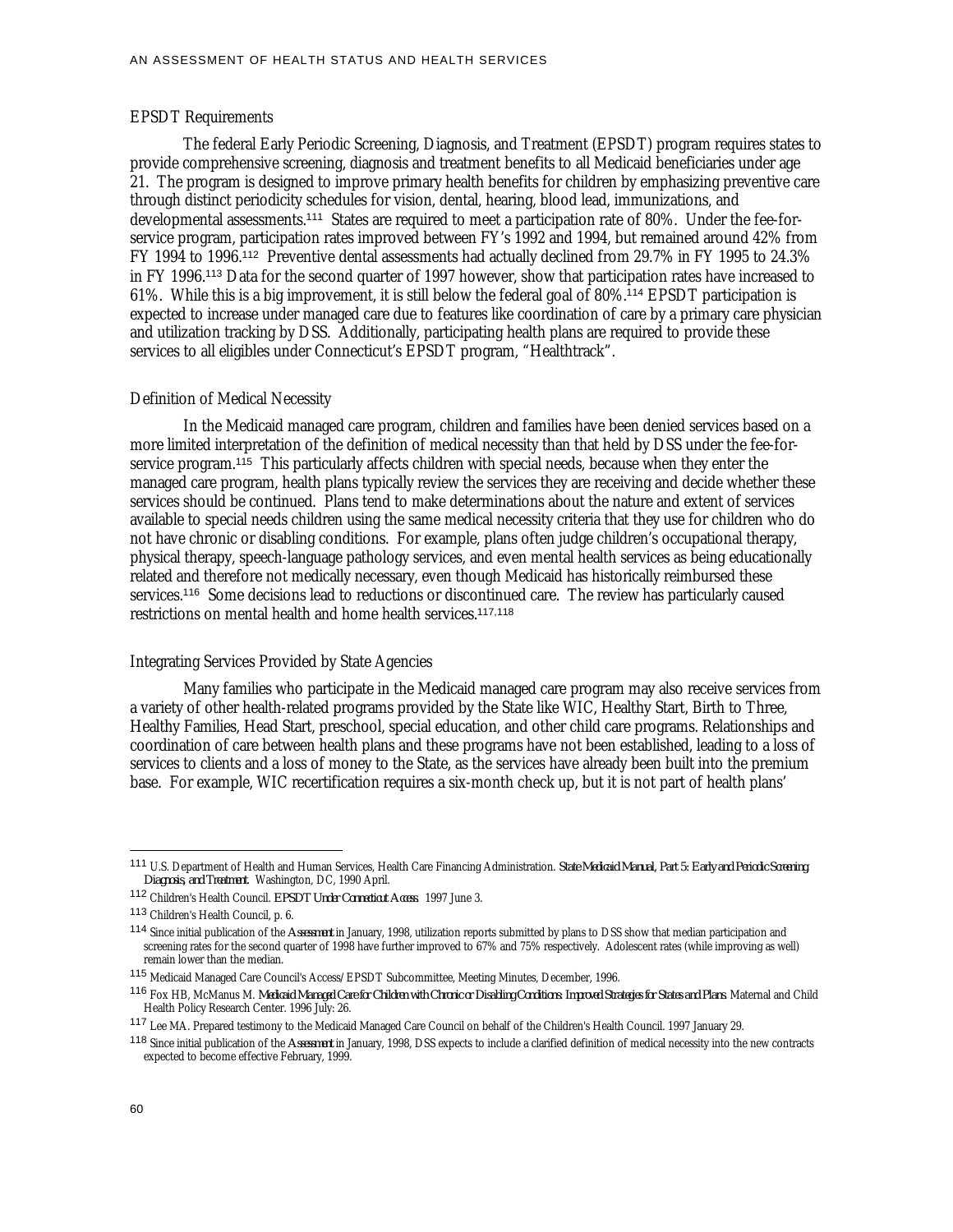#### EPSDT Requirements

The federal Early Periodic Screening, Diagnosis, and Treatment (EPSDT) program requires states to provide comprehensive screening, diagnosis and treatment benefits to all Medicaid beneficiaries under age 21. The program is designed to improve primary health benefits for children by emphasizing preventive care through distinct periodicity schedules for vision, dental, hearing, blood lead, immunizations, and developmental assessments.111 States are required to meet a participation rate of 80%. Under the fee-forservice program, participation rates improved between FY's 1992 and 1994, but remained around 42% from FY 1994 to 1996.<sup>112</sup> Preventive dental assessments had actually declined from 29.7% in FY 1995 to 24.3% in FY 1996.<sup>113</sup> Data for the second quarter of 1997 however, show that participation rates have increased to 61%. While this is a big improvement, it is still below the federal goal of 80%.<sup>114</sup> EPSDT participation is expected to increase under managed care due to features like coordination of care by a primary care physician and utilization tracking by DSS. Additionally, participating health plans are required to provide these services to all eligibles under Connecticut's EPSDT program, "Healthtrack".

#### Definition of Medical Necessity

In the Medicaid managed care program, children and families have been denied services based on a more limited interpretation of the definition of medical necessity than that held by DSS under the fee-forservice program.<sup>115</sup> This particularly affects children with special needs, because when they enter the managed care program, health plans typically review the services they are receiving and decide whether these services should be continued. Plans tend to make determinations about the nature and extent of services available to special needs children using the same medical necessity criteria that they use for children who do not have chronic or disabling conditions. For example, plans often judge children's occupational therapy, physical therapy, speech-language pathology services, and even mental health services as being educationally related and therefore not medically necessary, even though Medicaid has historically reimbursed these services.<sup>116</sup> Some decisions lead to reductions or discontinued care. The review has particularly caused restrictions on mental health and home health services.117,118

#### Integrating Services Provided by State Agencies

Many families who participate in the Medicaid managed care program may also receive services from a variety of other health-related programs provided by the State like WIC, Healthy Start, Birth to Three, Healthy Families, Head Start, preschool, special education, and other child care programs. Relationships and coordination of care between health plans and these programs have not been established, leading to a loss of services to clients and a loss of money to the State, as the services have already been built into the premium base. For example, WIC recertification requires a six-month check up, but it is not part of health plans'

<u>.</u>

<sup>111</sup> U.S. Department of Health and Human Services, Health Care Financing Administration. *State Medicaid Manual, Part 5: Early and Periodic Screening, Diagnosis, and Treatment*. Washington, DC, 1990 April.

<sup>112</sup> Children's Health Council. *EPSDT Under Connecticut Access*. 1997 June 3.

<sup>113</sup> Children's Health Council, p. 6.

<sup>114</sup> Since initial publication of the *Assessment* in January, 1998, utilization reports submitted by plans to DSS show that median participation and screening rates for the second quarter of 1998 have further improved to 67% and 75% respectively. Adolescent rates (while improving as well) remain lower than the median.

<sup>115</sup> Medicaid Managed Care Council's Access/EPSDT Subcommittee, Meeting Minutes, December, 1996.

<sup>116</sup> Fox HB, McManus M. *Medicaid Managed Care for Children with Chronic or Disabling Conditions: Improved Strategies for States and Plans*. Maternal and Child Health Policy Research Center. 1996 July: 26.

<sup>117</sup> Lee MA. Prepared testimony to the Medicaid Managed Care Council on behalf of the Children's Health Council. 1997 January 29.

<sup>118</sup> Since initial publication of the *Assessment* in January, 1998, DSS expects to include a clarified definition of medical necessity into the new contracts expected to become effective February, 1999.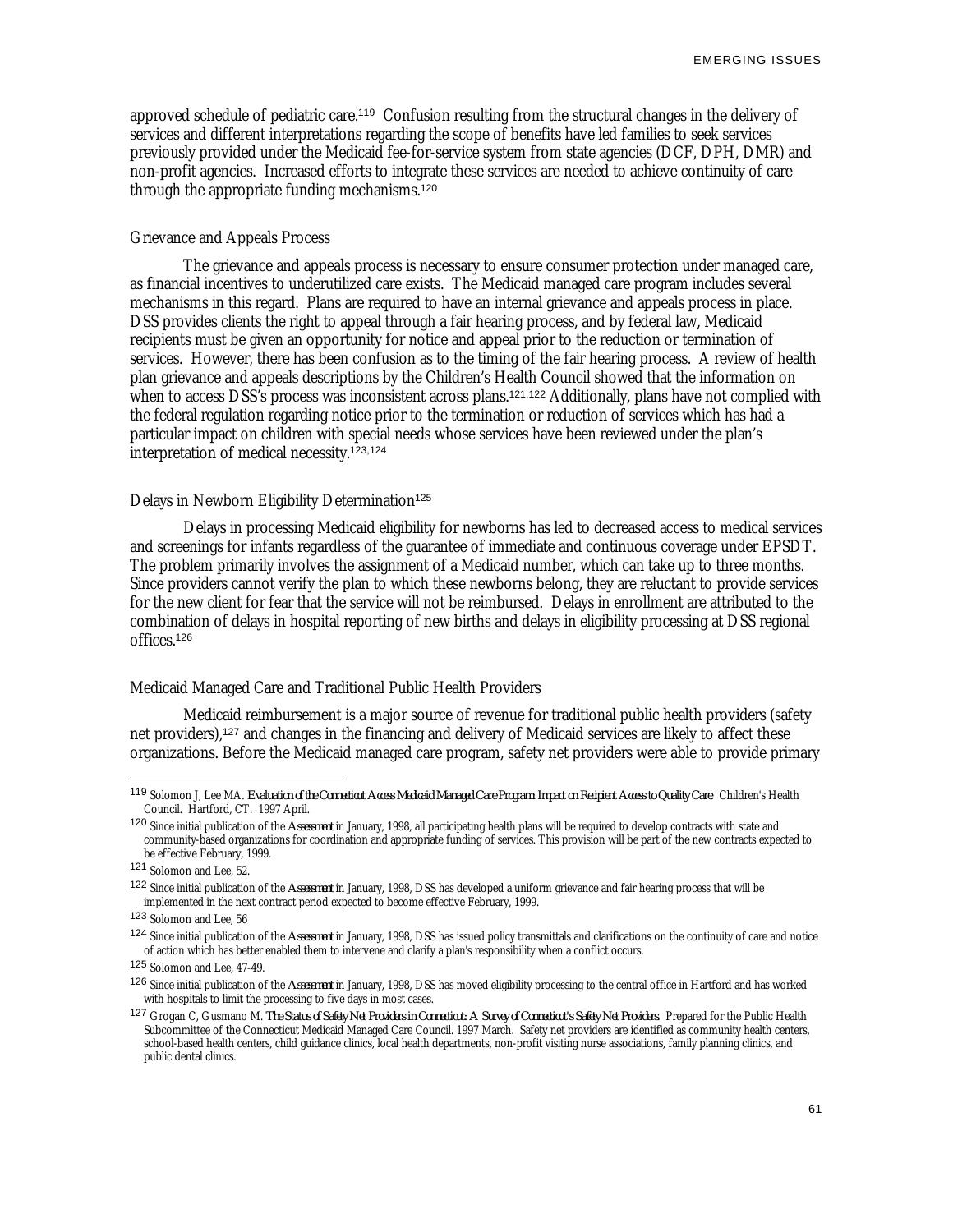approved schedule of pediatric care.<sup>119</sup> Confusion resulting from the structural changes in the delivery of services and different interpretations regarding the scope of benefits have led families to seek services previously provided under the Medicaid fee-for-service system from state agencies (DCF, DPH, DMR) and non-profit agencies. Increased efforts to integrate these services are needed to achieve continuity of care through the appropriate funding mechanisms.<sup>120</sup>

## Grievance and Appeals Process

The grievance and appeals process is necessary to ensure consumer protection under managed care, as financial incentives to underutilized care exists. The Medicaid managed care program includes several mechanisms in this regard. Plans are required to have an internal grievance and appeals process in place. DSS provides clients the right to appeal through a fair hearing process, and by federal law, Medicaid recipients must be given an opportunity for notice and appeal prior to the reduction or termination of services. However, there has been confusion as to the timing of the fair hearing process. A review of health plan grievance and appeals descriptions by the Children's Health Council showed that the information on when to access DSS's process was inconsistent across plans.<sup>121,122</sup> Additionally, plans have not complied with the federal regulation regarding notice prior to the termination or reduction of services which has had a particular impact on children with special needs whose services have been reviewed under the plan's interpretation of medical necessity.123,124

#### Delays in Newborn Eligibility Determination<sup>125</sup>

Delays in processing Medicaid eligibility for newborns has led to decreased access to medical services and screenings for infants regardless of the guarantee of immediate and continuous coverage under EPSDT. The problem primarily involves the assignment of a Medicaid number, which can take up to three months. Since providers cannot verify the plan to which these newborns belong, they are reluctant to provide services for the new client for fear that the service will not be reimbursed. Delays in enrollment are attributed to the combination of delays in hospital reporting of new births and delays in eligibility processing at DSS regional offices.<sup>126</sup>

#### Medicaid Managed Care and Traditional Public Health Providers

Medicaid reimbursement is a major source of revenue for traditional public health providers (safety net providers),<sup>127</sup> and changes in the financing and delivery of Medicaid services are likely to affect these organizations. Before the Medicaid managed care program, safety net providers were able to provide primary

<u>.</u>

<sup>119</sup> Solomon J, Lee MA. *Evaluation of the Connecticut Access Medicaid Managed Care Program: Impact on Recipient Access to Quality Care*. Children's Health Council. Hartford, CT. 1997 April.

<sup>120</sup> Since initial publication of the *Assessment* in January, 1998, all participating health plans will be required to develop contracts with state and community-based organizations for coordination and appropriate funding of services. This provision will be part of the new contracts expected to be effective February, 1999.

<sup>121</sup> Solomon and Lee, 52.

<sup>122</sup> Since initial publication of the *Assessment* in January, 1998, DSS has developed a uniform grievance and fair hearing process that will be implemented in the next contract period expected to become effective February, 1999.

<sup>123</sup> Solomon and Lee, 56

<sup>124</sup> Since initial publication of the *Assessment* in January, 1998, DSS has issued policy transmittals and clarifications on the continuity of care and notice of action which has better enabled them to intervene and clarify a plan's responsibility when a conflict occurs.

<sup>125</sup> Solomon and Lee, 47-49.

<sup>126</sup> Since initial publication of the *Assessment* in January, 1998, DSS has moved eligibility processing to the central office in Hartford and has worked with hospitals to limit the processing to five days in most cases.

<sup>127</sup> Grogan C, Gusmano M. *The Status of Safety Net Providers in Connecticut: A Survey of Connecticut's Safety Net Providers*. Prepared for the Public Health Subcommittee of the Connecticut Medicaid Managed Care Council. 1997 March. Safety net providers are identified as community health centers, school-based health centers, child guidance clinics, local health departments, non-profit visiting nurse associations, family planning clinics, and public dental clinics.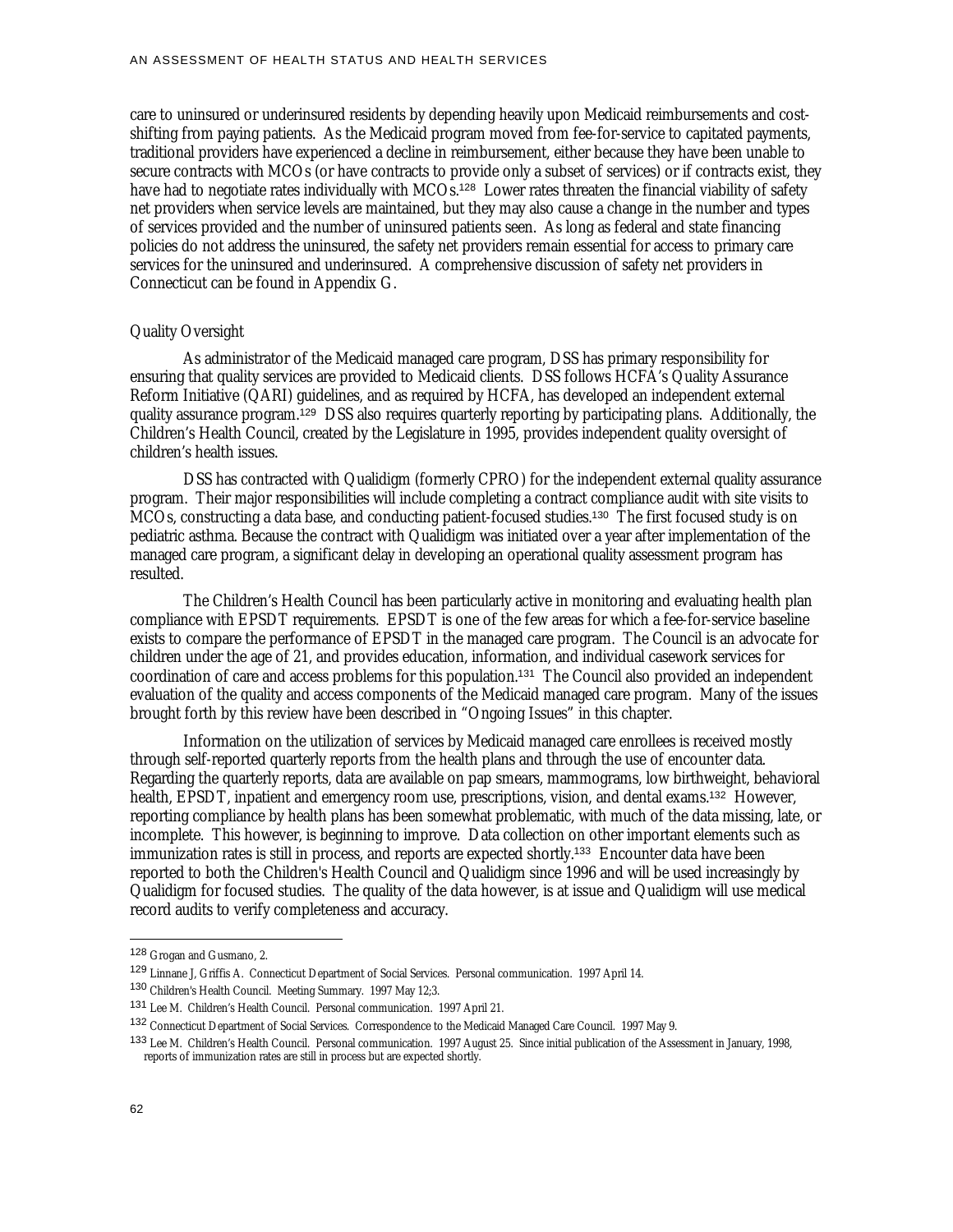care to uninsured or underinsured residents by depending heavily upon Medicaid reimbursements and costshifting from paying patients. As the Medicaid program moved from fee-for-service to capitated payments, traditional providers have experienced a decline in reimbursement, either because they have been unable to secure contracts with MCOs (or have contracts to provide only a subset of services) or if contracts exist, they have had to negotiate rates individually with MCOs.<sup>128</sup> Lower rates threaten the financial viability of safety net providers when service levels are maintained, but they may also cause a change in the number and types of services provided and the number of uninsured patients seen. As long as federal and state financing policies do not address the uninsured, the safety net providers remain essential for access to primary care services for the uninsured and underinsured. A comprehensive discussion of safety net providers in Connecticut can be found in Appendix G.

#### Quality Oversight

As administrator of the Medicaid managed care program, DSS has primary responsibility for ensuring that quality services are provided to Medicaid clients. DSS follows HCFA's Quality Assurance Reform Initiative (QARI) guidelines, and as required by HCFA, has developed an independent external quality assurance program.<sup>129</sup> DSS also requires quarterly reporting by participating plans. Additionally, the Children's Health Council, created by the Legislature in 1995, provides independent quality oversight of children's health issues.

DSS has contracted with Qualidigm (formerly CPRO) for the independent external quality assurance program. Their major responsibilities will include completing a contract compliance audit with site visits to MCOs, constructing a data base, and conducting patient-focused studies.<sup>130</sup> The first focused study is on pediatric asthma. Because the contract with Qualidigm was initiated over a year after implementation of the managed care program, a significant delay in developing an operational quality assessment program has resulted.

The Children's Health Council has been particularly active in monitoring and evaluating health plan compliance with EPSDT requirements. EPSDT is one of the few areas for which a fee-for-service baseline exists to compare the performance of EPSDT in the managed care program. The Council is an advocate for children under the age of 21, and provides education, information, and individual casework services for coordination of care and access problems for this population.<sup>131</sup> The Council also provided an independent evaluation of the quality and access components of the Medicaid managed care program. Many of the issues brought forth by this review have been described in "Ongoing Issues" in this chapter.

Information on the utilization of services by Medicaid managed care enrollees is received mostly through self-reported quarterly reports from the health plans and through the use of encounter data. Regarding the quarterly reports, data are available on pap smears, mammograms, low birthweight, behavioral health, EPSDT, inpatient and emergency room use, prescriptions, vision, and dental exams.<sup>132</sup> However, reporting compliance by health plans has been somewhat problematic, with much of the data missing, late, or incomplete. This however, is beginning to improve. Data collection on other important elements such as immunization rates is still in process, and reports are expected shortly.<sup>133</sup> Encounter data have been reported to both the Children's Health Council and Qualidigm since 1996 and will be used increasingly by Qualidigm for focused studies. The quality of the data however, is at issue and Qualidigm will use medical record audits to verify completeness and accuracy.

<sup>128</sup> Grogan and Gusmano, 2.

<sup>129</sup> Linnane J, Griffis A. Connecticut Department of Social Services. Personal communication. 1997 April 14.

<sup>130</sup> Children's Health Council. Meeting Summary. 1997 May 12;3.

<sup>131</sup> Lee M. Children's Health Council. Personal communication. 1997 April 21.

<sup>132</sup> Connecticut Department of Social Services. Correspondence to the Medicaid Managed Care Council. 1997 May 9.

<sup>133</sup> Lee M. Children's Health Council. Personal communication. 1997 August 25. Since initial publication of the Assessment in January, 1998, reports of immunization rates are still in process but are expected shortly.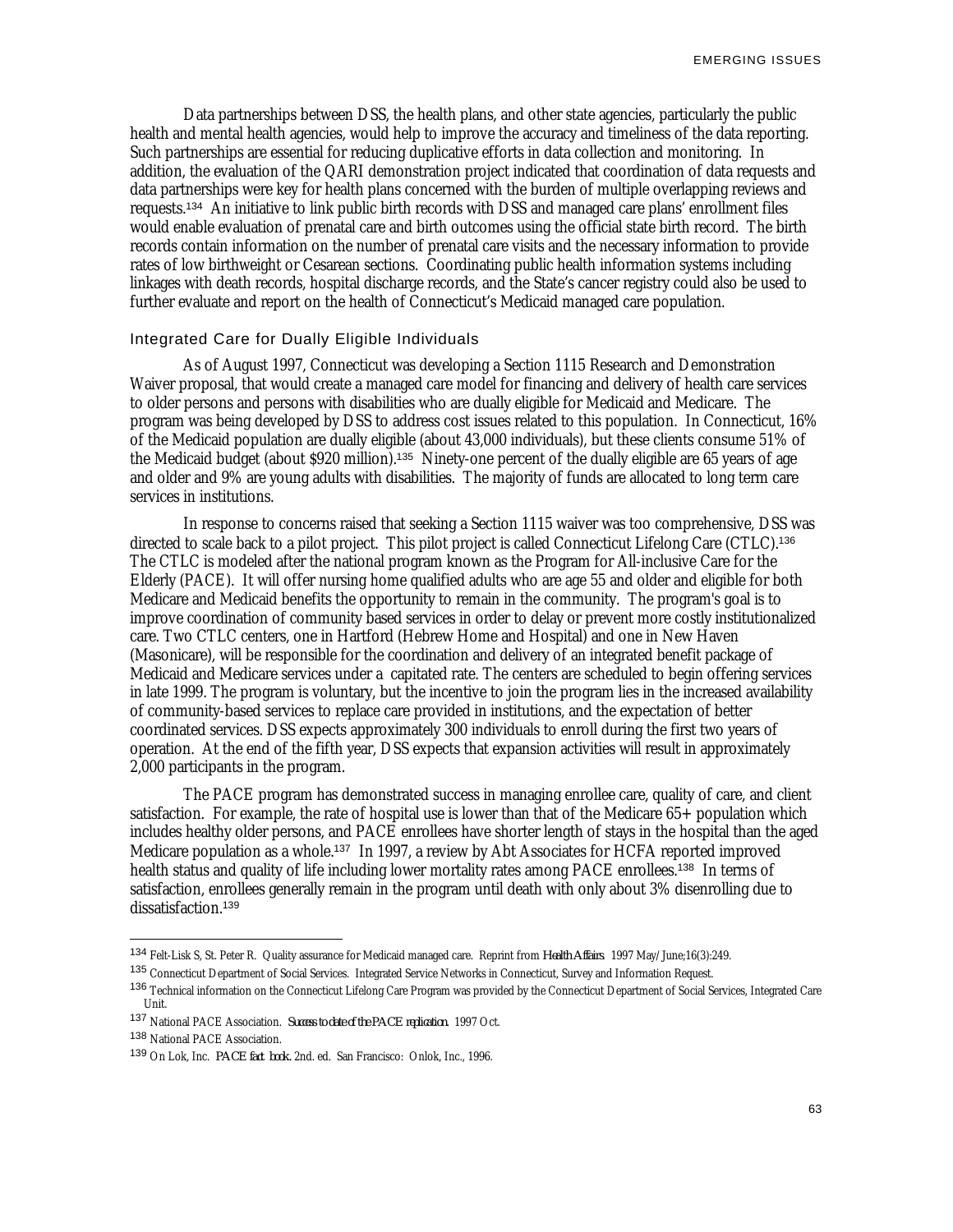Data partnerships between DSS, the health plans, and other state agencies, particularly the public health and mental health agencies, would help to improve the accuracy and timeliness of the data reporting. Such partnerships are essential for reducing duplicative efforts in data collection and monitoring. In addition, the evaluation of the QARI demonstration project indicated that coordination of data requests and data partnerships were key for health plans concerned with the burden of multiple overlapping reviews and requests.<sup>134</sup> An initiative to link public birth records with DSS and managed care plans' enrollment files would enable evaluation of prenatal care and birth outcomes using the official state birth record. The birth records contain information on the number of prenatal care visits and the necessary information to provide rates of low birthweight or Cesarean sections. Coordinating public health information systems including linkages with death records, hospital discharge records, and the State's cancer registry could also be used to further evaluate and report on the health of Connecticut's Medicaid managed care population.

## Integrated Care for Dually Eligible Individuals

As of August 1997, Connecticut was developing a Section 1115 Research and Demonstration Waiver proposal, that would create a managed care model for financing and delivery of health care services to older persons and persons with disabilities who are dually eligible for Medicaid and Medicare. The program was being developed by DSS to address cost issues related to this population. In Connecticut, 16% of the Medicaid population are dually eligible (about 43,000 individuals), but these clients consume 51% of the Medicaid budget (about \$920 million).<sup>135</sup> Ninety-one percent of the dually eligible are 65 years of age and older and 9% are young adults with disabilities. The majority of funds are allocated to long term care services in institutions.

In response to concerns raised that seeking a Section 1115 waiver was too comprehensive, DSS was directed to scale back to a pilot project. This pilot project is called Connecticut Lifelong Care (CTLC).<sup>136</sup> The CTLC is modeled after the national program known as the Program for All-inclusive Care for the Elderly (PACE). It will offer nursing home qualified adults who are age 55 and older and eligible for both Medicare and Medicaid benefits the opportunity to remain in the community. The program's goal is to improve coordination of community based services in order to delay or prevent more costly institutionalized care. Two CTLC centers, one in Hartford (Hebrew Home and Hospital) and one in New Haven (Masonicare), will be responsible for the coordination and delivery of an integrated benefit package of Medicaid and Medicare services under a capitated rate. The centers are scheduled to begin offering services in late 1999. The program is voluntary, but the incentive to join the program lies in the increased availability of community-based services to replace care provided in institutions, and the expectation of better coordinated services. DSS expects approximately 300 individuals to enroll during the first two years of operation. At the end of the fifth year, DSS expects that expansion activities will result in approximately 2,000 participants in the program.

The PACE program has demonstrated success in managing enrollee care, quality of care, and client satisfaction. For example, the rate of hospital use is lower than that of the Medicare  $65+$  population which includes healthy older persons, and PACE enrollees have shorter length of stays in the hospital than the aged Medicare population as a whole.<sup>137</sup> In 1997, a review by Abt Associates for HCFA reported improved health status and quality of life including lower mortality rates among PACE enrollees.<sup>138</sup> In terms of satisfaction, enrollees generally remain in the program until death with only about 3% disenrolling due to dissatisfaction.<sup>139</sup>

- <sup>137</sup> National PACE Association. *Success to date of the PACE replication.* 1997 Oct.
- <sup>138</sup> National PACE Association.

<sup>134</sup> Felt-Lisk S, St. Peter R. Quality assurance for Medicaid managed care. Reprint from *Health Affairs*. 1997 May/June;16(3):249.

<sup>135</sup> Connecticut Department of Social Services. Integrated Service Networks in Connecticut, Survey and Information Request.

<sup>&</sup>lt;sup>136</sup> Technical information on the Connecticut Lifelong Care Program was provided by the Connecticut Department of Social Services, Integrated Care Unit.

<sup>139</sup> On Lok, Inc. *PACE fact book.* 2nd. ed. San Francisco: Onlok, Inc., 1996.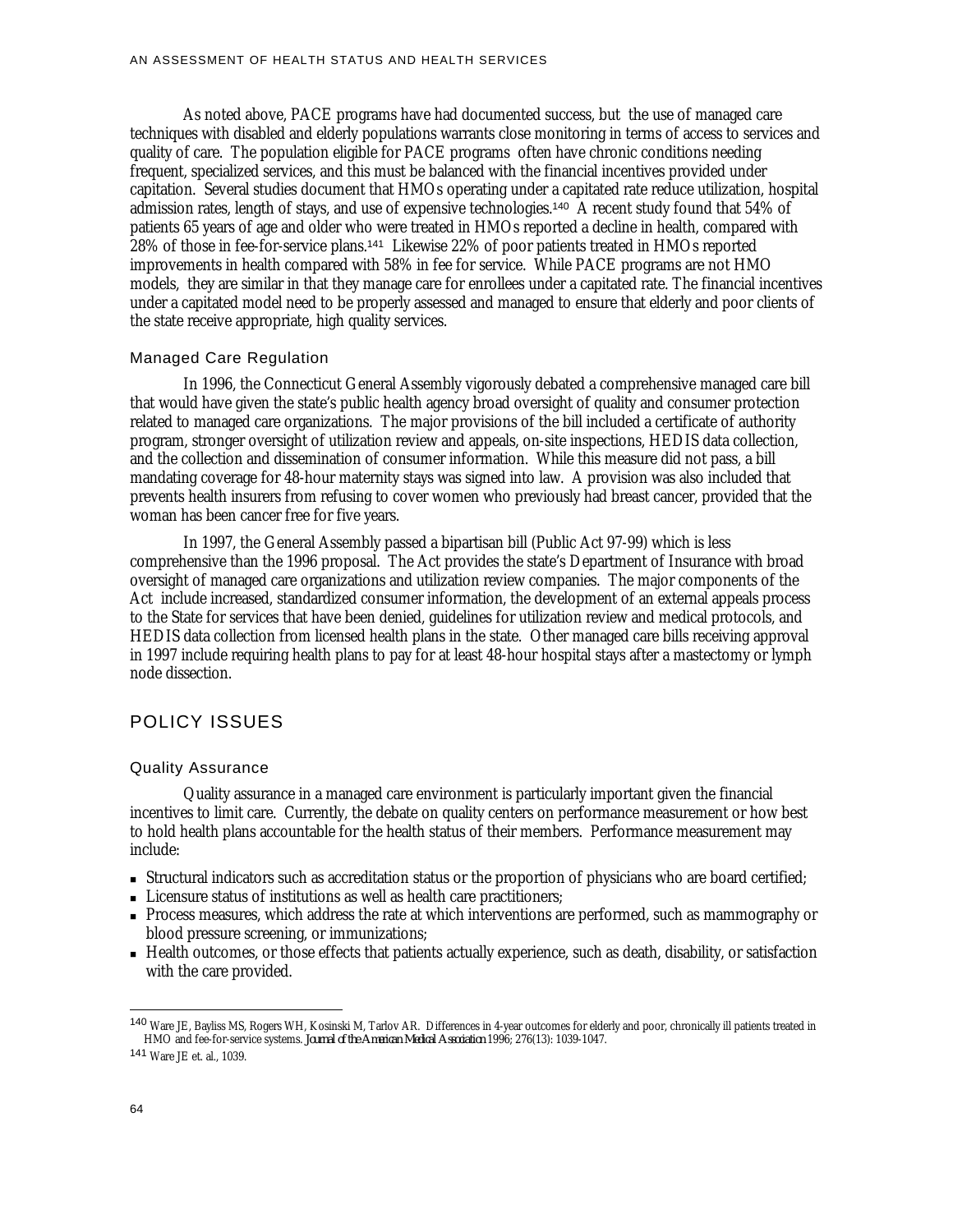As noted above, PACE programs have had documented success, but the use of managed care techniques with disabled and elderly populations warrants close monitoring in terms of access to services and quality of care. The population eligible for PACE programs often have chronic conditions needing frequent, specialized services, and this must be balanced with the financial incentives provided under capitation. Several studies document that HMOs operating under a capitated rate reduce utilization, hospital admission rates, length of stays, and use of expensive technologies.<sup>140</sup> A recent study found that 54% of patients 65 years of age and older who were treated in HMOs reported a decline in health, compared with 28% of those in fee-for-service plans.<sup>141</sup> Likewise 22% of poor patients treated in HMOs reported improvements in health compared with 58% in fee for service. While PACE programs are not HMO models, they are similar in that they manage care for enrollees under a capitated rate. The financial incentives under a capitated model need to be properly assessed and managed to ensure that elderly and poor clients of the state receive appropriate, high quality services.

#### Managed Care Regulation

In 1996, the Connecticut General Assembly vigorously debated a comprehensive managed care bill that would have given the state's public health agency broad oversight of quality and consumer protection related to managed care organizations. The major provisions of the bill included a certificate of authority program, stronger oversight of utilization review and appeals, on-site inspections, HEDIS data collection, and the collection and dissemination of consumer information. While this measure did not pass, a bill mandating coverage for 48-hour maternity stays was signed into law. A provision was also included that prevents health insurers from refusing to cover women who previously had breast cancer, provided that the woman has been cancer free for five years.

In 1997, the General Assembly passed a bipartisan bill (Public Act 97-99) which is less comprehensive than the 1996 proposal. The Act provides the state's Department of Insurance with broad oversight of managed care organizations and utilization review companies. The major components of the Act include increased, standardized consumer information, the development of an external appeals process to the State for services that have been denied, guidelines for utilization review and medical protocols, and HEDIS data collection from licensed health plans in the state. Other managed care bills receiving approval in 1997 include requiring health plans to pay for at least 48-hour hospital stays after a mastectomy or lymph node dissection.

## POLICY ISSUES

#### Quality Assurance

Quality assurance in a managed care environment is particularly important given the financial incentives to limit care. Currently, the debate on quality centers on performance measurement or how best to hold health plans accountable for the health status of their members. Performance measurement may include:

- <sup>n</sup> Structural indicators such as accreditation status or the proportion of physicians who are board certified;
- <sup>n</sup> Licensure status of institutions as well as health care practitioners;
- <sup>n</sup> Process measures, which address the rate at which interventions are performed, such as mammography or blood pressure screening, or immunizations;
- <sup>n</sup> Health outcomes, or those effects that patients actually experience, such as death, disability, or satisfaction with the care provided.

<sup>140</sup> Ware JE, Bayliss MS, Rogers WH, Kosinski M, Tarlov AR. Differences in 4-year outcomes for elderly and poor, chronically ill patients treated in HMO and fee-for-service systems. *Journal of the American Medical Association* 1996; 276(13): 1039-1047.

<sup>141</sup> Ware JE et. al., 1039.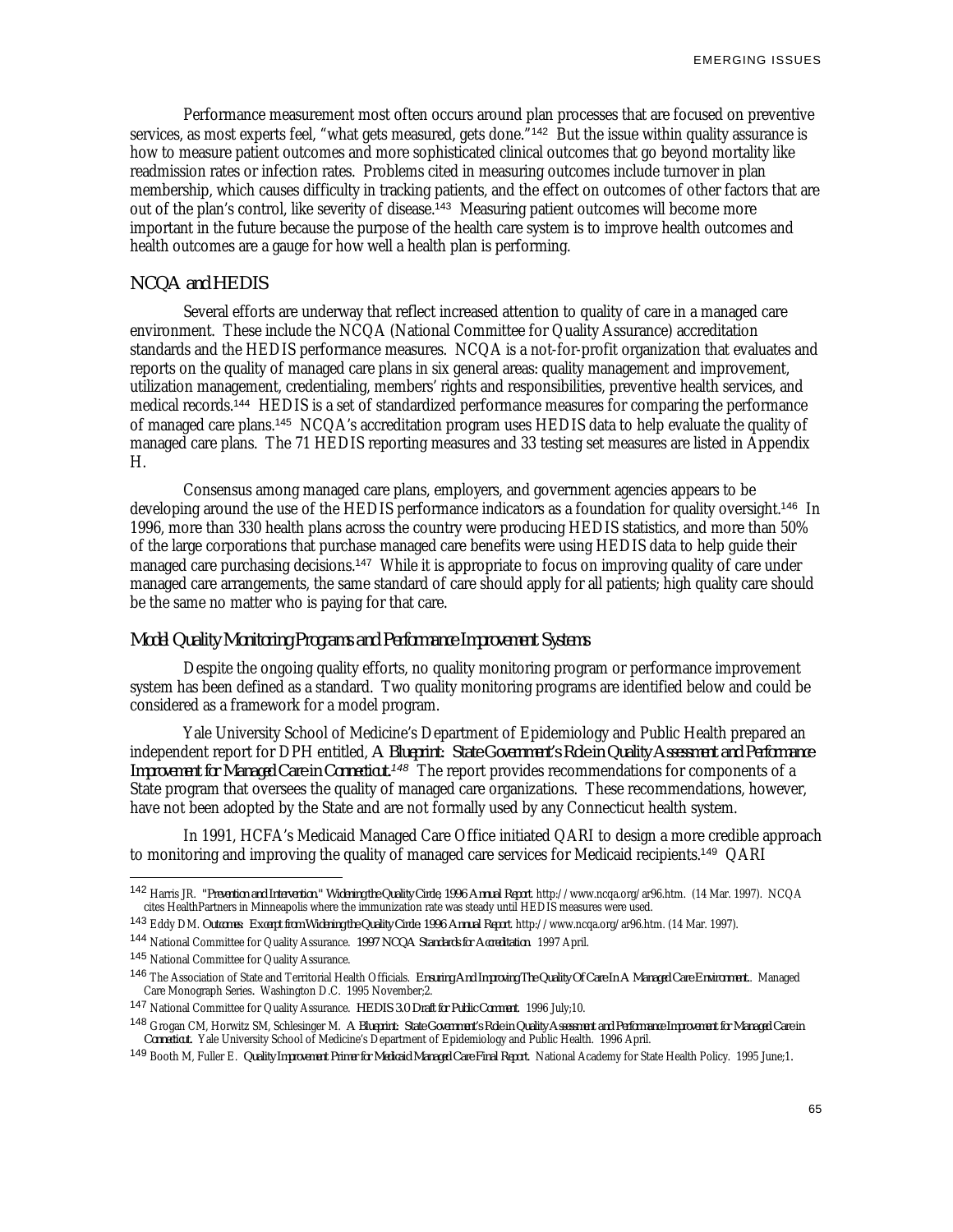Performance measurement most often occurs around plan processes that are focused on preventive services, as most experts feel, "what gets measured, gets done."<sup>142</sup> But the issue within quality assurance is how to measure patient outcomes and more sophisticated clinical outcomes that go beyond mortality like readmission rates or infection rates. Problems cited in measuring outcomes include turnover in plan membership, which causes difficulty in tracking patients, and the effect on outcomes of other factors that are out of the plan's control, like severity of disease.<sup>143</sup> Measuring patient outcomes will become more important in the future because the purpose of the health care system is to improve health outcomes and health outcomes are a gauge for how well a health plan is performing.

## *NCQA and HEDIS*

Several efforts are underway that reflect increased attention to quality of care in a managed care environment. These include the NCQA (National Committee for Quality Assurance) accreditation standards and the HEDIS performance measures. NCQA is a not-for-profit organization that evaluates and reports on the quality of managed care plans in six general areas: quality management and improvement, utilization management, credentialing, members' rights and responsibilities, preventive health services, and medical records.<sup>144</sup> HEDIS is a set of standardized performance measures for comparing the performance of managed care plans.<sup>145</sup> NCQA's accreditation program uses HEDIS data to help evaluate the quality of managed care plans. The 71 HEDIS reporting measures and 33 testing set measures are listed in Appendix H.

Consensus among managed care plans, employers, and government agencies appears to be developing around the use of the HEDIS performance indicators as a foundation for quality oversight.<sup>146</sup> In 1996, more than 330 health plans across the country were producing HEDIS statistics, and more than 50% of the large corporations that purchase managed care benefits were using HEDIS data to help guide their managed care purchasing decisions.<sup>147</sup> While it is appropriate to focus on improving quality of care under managed care arrangements, the same standard of care should apply for all patients; high quality care should be the same no matter who is paying for that care.

## *Model Quality Monitoring Programs and Performance Improvement Systems*

Despite the ongoing quality efforts, no quality monitoring program or performance improvement system has been defined as a standard. Two quality monitoring programs are identified below and could be considered as a framework for a model program.

Yale University School of Medicine's Department of Epidemiology and Public Health prepared an independent report for DPH entitled, *A Blueprint: State Government's Role in Quality Assessment and Performance Improvement for Managed Care in Connecticut.<sup>148</sup>* The report provides recommendations for components of a State program that oversees the quality of managed care organizations. These recommendations, however, have not been adopted by the State and are not formally used by any Connecticut health system.

In 1991, HCFA's Medicaid Managed Care Office initiated QARI to design a more credible approach to monitoring and improving the quality of managed care services for Medicaid recipients.<sup>149</sup> QARI

<sup>142</sup> Harris JR. *"Prevention and Intervention." Widening the Quality Circle, 1996 Annual Report*. http://www.ncqa.org/ar96.htm. (14 Mar. 1997). NCQA cites HealthPartners in Minneapolis where the immunization rate was steady until HEDIS measures were used.

<sup>143</sup> Eddy DM. *Outcomes: Excerpt from Widening the Quality Circle: 1996 Annual Report*. http://www.ncqa.org/ar96.htm. (14 Mar. 1997).

<sup>144</sup> National Committee for Quality Assurance. *1997 NCQA Standards for Accreditation*. 1997 April.

<sup>145</sup> National Committee for Quality Assurance.

<sup>146</sup> The Association of State and Territorial Health Officials. *Ensuring And Improving The Quality Of Care In A Managed Care Environment.*. Managed Care Monograph Series*.* Washington D.C. 1995 November;2.

<sup>147</sup> National Committee for Quality Assurance. *HEDIS 3.0 Draft for Public Comment*. 1996 July;10.

<sup>148</sup> Grogan CM, Horwitz SM, Schlesinger M. *A Blueprint: State Government's Role in Quality Assessment and Performance Improvement for Managed Care in Connecticut.* Yale University School of Medicine's Department of Epidemiology and Public Health. 1996 April.

<sup>149</sup> Booth M, Fuller E. *Quality Improvement Primer for Medicaid Managed Care Final Report.* National Academy for State Health Policy. 1995 June;1*.*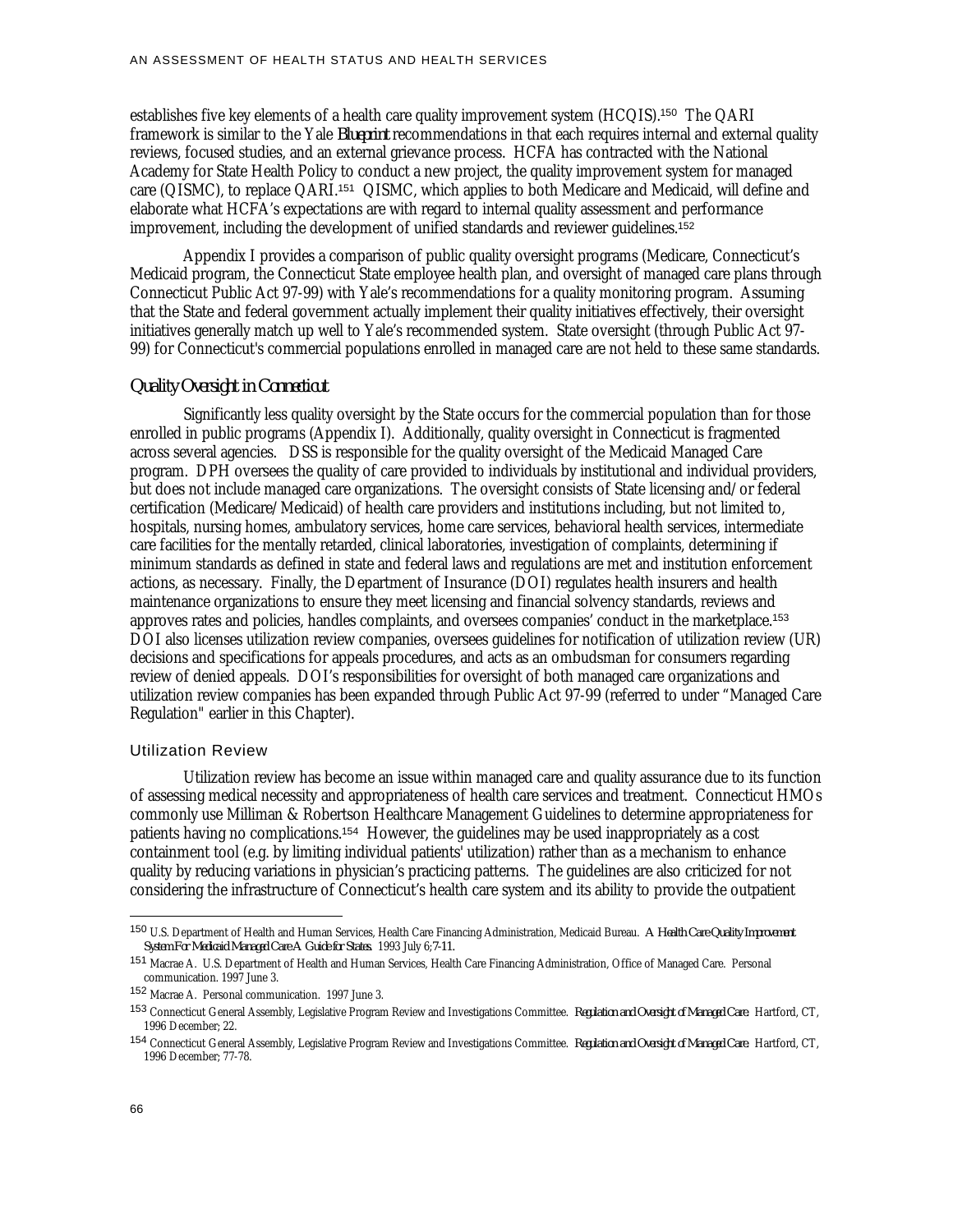establishes five key elements of a health care quality improvement system (HCQIS).<sup>150</sup> The QARI framework is similar to the Yale *Blueprint* recommendations in that each requires internal and external quality reviews, focused studies, and an external grievance process. HCFA has contracted with the National Academy for State Health Policy to conduct a new project, the quality improvement system for managed care (QISMC), to replace QARI.<sup>151</sup> QISMC, which applies to both Medicare and Medicaid, will define and elaborate what HCFA's expectations are with regard to internal quality assessment and performance improvement, including the development of unified standards and reviewer guidelines.<sup>152</sup>

Appendix I provides a comparison of public quality oversight programs (Medicare, Connecticut's Medicaid program, the Connecticut State employee health plan, and oversight of managed care plans through Connecticut Public Act 97-99) with Yale's recommendations for a quality monitoring program. Assuming that the State and federal government actually implement their quality initiatives effectively, their oversight initiatives generally match up well to Yale's recommended system. State oversight (through Public Act 97- 99) for Connecticut's commercial populations enrolled in managed care are not held to these same standards.

#### *Quality Oversight in Connecticut*

Significantly less quality oversight by the State occurs for the commercial population than for those enrolled in public programs (Appendix I). Additionally, quality oversight in Connecticut is fragmented across several agencies. DSS is responsible for the quality oversight of the Medicaid Managed Care program. DPH oversees the quality of care provided to individuals by institutional and individual providers, but does not include managed care organizations. The oversight consists of State licensing and/or federal certification (Medicare/Medicaid) of health care providers and institutions including, but not limited to, hospitals, nursing homes, ambulatory services, home care services, behavioral health services, intermediate care facilities for the mentally retarded, clinical laboratories, investigation of complaints, determining if minimum standards as defined in state and federal laws and regulations are met and institution enforcement actions, as necessary. Finally, the Department of Insurance (DOI) regulates health insurers and health maintenance organizations to ensure they meet licensing and financial solvency standards, reviews and approves rates and policies, handles complaints, and oversees companies' conduct in the marketplace.<sup>153</sup> DOI also licenses utilization review companies, oversees guidelines for notification of utilization review (UR) decisions and specifications for appeals procedures, and acts as an ombudsman for consumers regarding review of denied appeals. DOI's responsibilities for oversight of both managed care organizations and utilization review companies has been expanded through Public Act 97-99 (referred to under "Managed Care Regulation" earlier in this Chapter).

#### Utilization Review

Utilization review has become an issue within managed care and quality assurance due to its function of assessing medical necessity and appropriateness of health care services and treatment. Connecticut HMOs commonly use Milliman & Robertson Healthcare Management Guidelines to determine appropriateness for patients having no complications.<sup>154</sup> However, the guidelines may be used inappropriately as a cost containment tool (e.g. by limiting individual patients' utilization) rather than as a mechanism to enhance quality by reducing variations in physician's practicing patterns. The guidelines are also criticized for not considering the infrastructure of Connecticut's health care system and its ability to provide the outpatient

<sup>150</sup> U.S. Department of Health and Human Services, Health Care Financing Administration, Medicaid Bureau. *A Health Care Quality Improvement System For Medicaid Managed Care A Guide for States.* 1993 July 6;*7-11.*

<sup>151</sup> Macrae A. U.S. Department of Health and Human Services, Health Care Financing Administration, Office of Managed Care. Personal communication. 1997 June 3.

<sup>152</sup> Macrae A. Personal communication. 1997 June 3.

<sup>153</sup> Connecticut General Assembly, Legislative Program Review and Investigations Committee. *Regulation and Oversight of Managed Care.* Hartford, CT, 1996 December; 22.

<sup>154</sup> Connecticut General Assembly, Legislative Program Review and Investigations Committee. *Regulation and Oversight of Managed Care.* Hartford, CT, 1996 December; 77-78.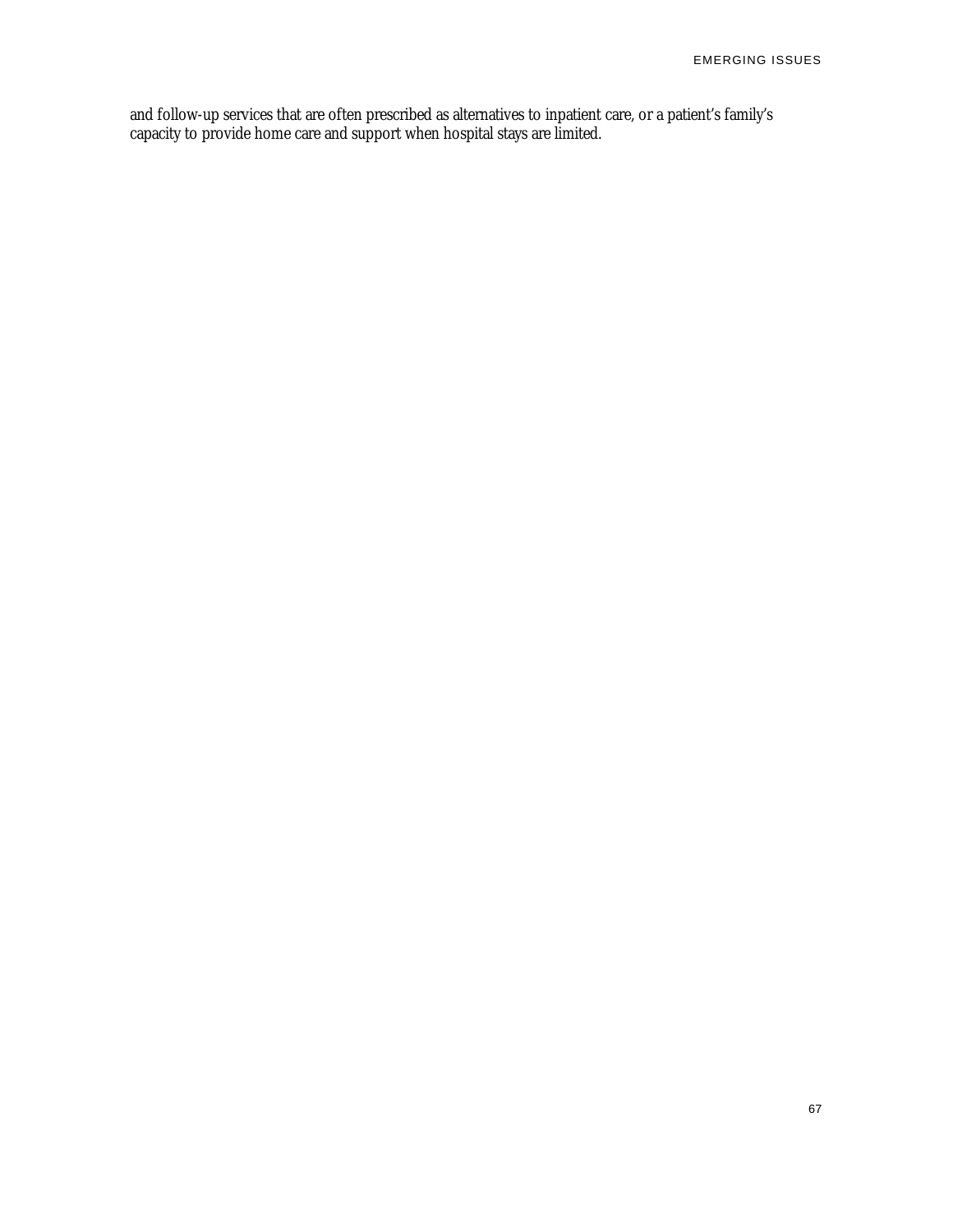and follow-up services that are often prescribed as alternatives to inpatient care, or a patient's family's capacity to provide home care and support when hospital stays are limited.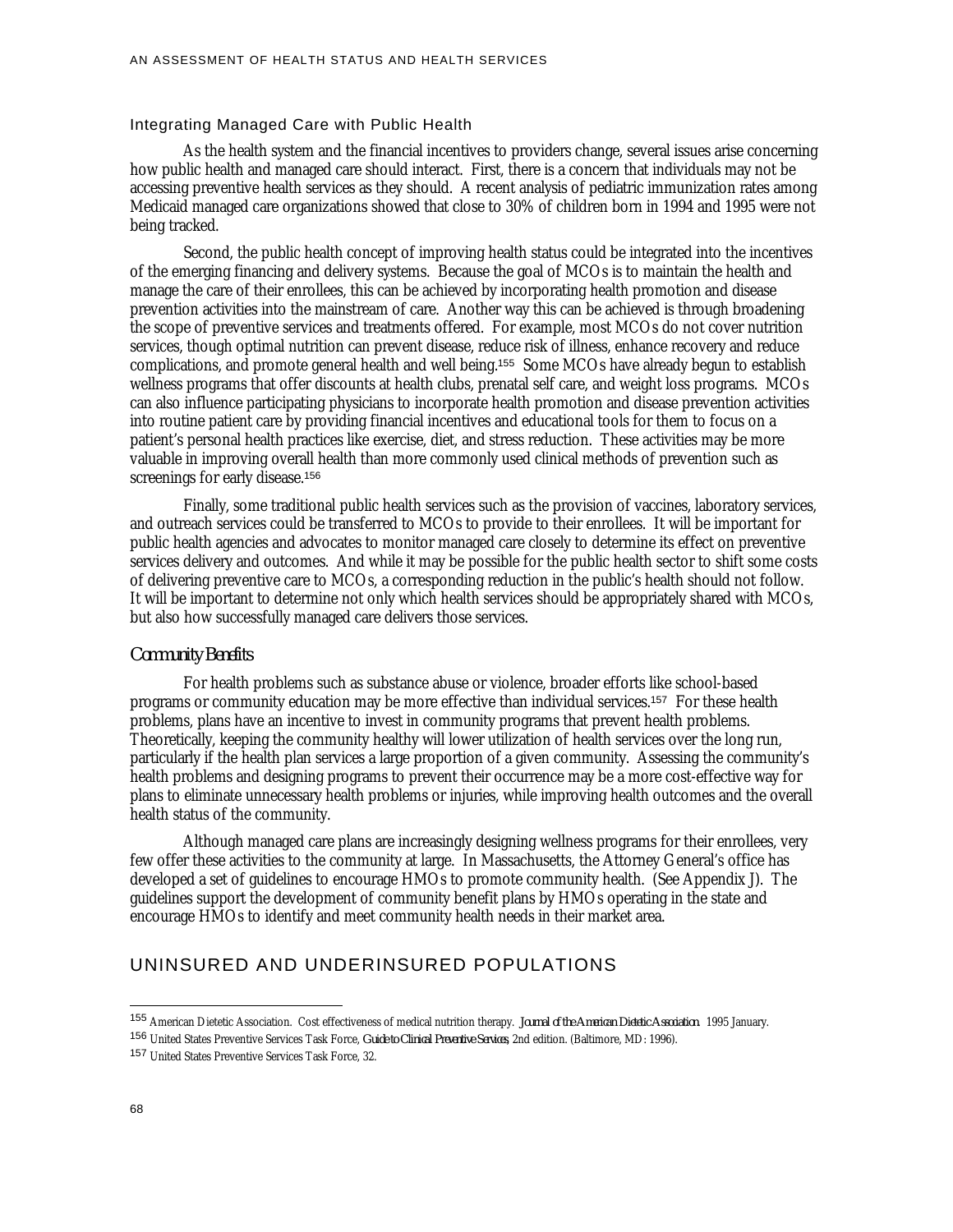## Integrating Managed Care with Public Health

As the health system and the financial incentives to providers change, several issues arise concerning how public health and managed care should interact. First, there is a concern that individuals may not be accessing preventive health services as they should. A recent analysis of pediatric immunization rates among Medicaid managed care organizations showed that close to 30% of children born in 1994 and 1995 were not being tracked.

Second, the public health concept of improving health status could be integrated into the incentives of the emerging financing and delivery systems. Because the goal of MCOs is to maintain the health and manage the care of their enrollees, this can be achieved by incorporating health promotion and disease prevention activities into the mainstream of care. Another way this can be achieved is through broadening the scope of preventive services and treatments offered. For example, most MCOs do not cover nutrition services, though optimal nutrition can prevent disease, reduce risk of illness, enhance recovery and reduce complications, and promote general health and well being.<sup>155</sup> Some MCOs have already begun to establish wellness programs that offer discounts at health clubs, prenatal self care, and weight loss programs. MCOs can also influence participating physicians to incorporate health promotion and disease prevention activities into routine patient care by providing financial incentives and educational tools for them to focus on a patient's personal health practices like exercise, diet, and stress reduction. These activities may be more valuable in improving overall health than more commonly used clinical methods of prevention such as screenings for early disease.<sup>156</sup>

Finally, some traditional public health services such as the provision of vaccines, laboratory services, and outreach services could be transferred to MCOs to provide to their enrollees. It will be important for public health agencies and advocates to monitor managed care closely to determine its effect on preventive services delivery and outcomes. And while it may be possible for the public health sector to shift some costs of delivering preventive care to MCOs, a corresponding reduction in the public's health should not follow. It will be important to determine not only which health services should be appropriately shared with MCOs, but also how successfully managed care delivers those services.

#### *Community Benefits*

For health problems such as substance abuse or violence, broader efforts like school-based programs or community education may be more effective than individual services.<sup>157</sup> For these health problems, plans have an incentive to invest in community programs that prevent health problems. Theoretically, keeping the community healthy will lower utilization of health services over the long run, particularly if the health plan services a large proportion of a given community. Assessing the community's health problems and designing programs to prevent their occurrence may be a more cost-effective way for plans to eliminate unnecessary health problems or injuries, while improving health outcomes and the overall health status of the community.

Although managed care plans are increasingly designing wellness programs for their enrollees, very few offer these activities to the community at large. In Massachusetts, the Attorney General's office has developed a set of guidelines to encourage HMOs to promote community health. (See Appendix J). The guidelines support the development of community benefit plans by HMOs operating in the state and encourage HMOs to identify and meet community health needs in their market area.

## UNINSURED AND UNDERINSURED POPULATIONS

<sup>155</sup> American Dietetic Association. Cost effectiveness of medical nutrition therapy. *Journal of the American Dietetic Association*. 1995 January.

<sup>156</sup> United States Preventive Services Task Force, *Guide to Clinical Preventive Services*, 2nd edition. (Baltimore, MD: 1996).

<sup>157</sup> United States Preventive Services Task Force, 32.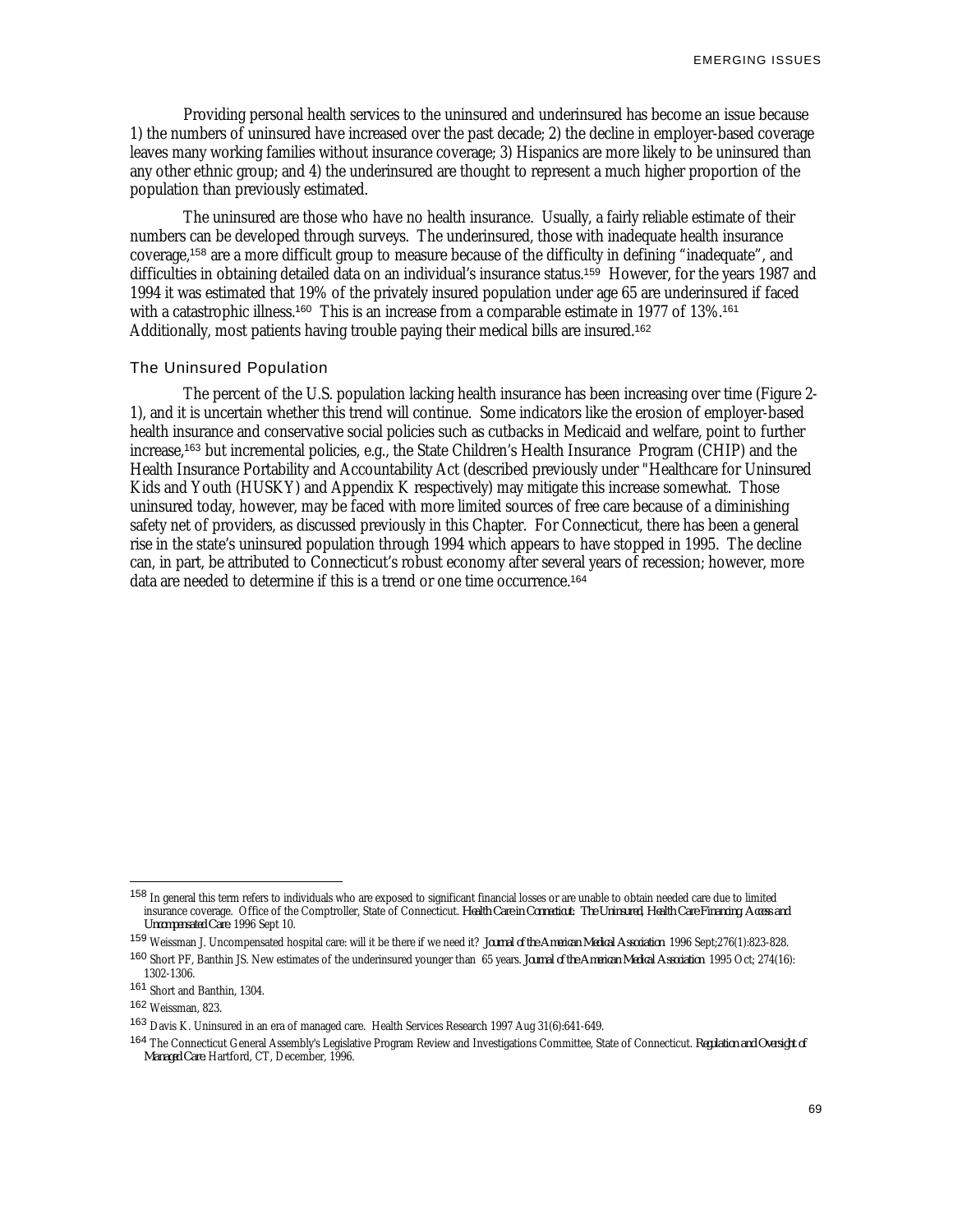Providing personal health services to the uninsured and underinsured has become an issue because 1) the numbers of uninsured have increased over the past decade; 2) the decline in employer-based coverage leaves many working families without insurance coverage; 3) Hispanics are more likely to be uninsured than any other ethnic group; and 4) the underinsured are thought to represent a much higher proportion of the population than previously estimated.

The uninsured are those who have no health insurance. Usually, a fairly reliable estimate of their numbers can be developed through surveys. The underinsured, those with inadequate health insurance coverage,<sup>158</sup> are a more difficult group to measure because of the difficulty in defining "inadequate", and difficulties in obtaining detailed data on an individual's insurance status.<sup>159</sup> However, for the years 1987 and 1994 it was estimated that 19% of the privately insured population under age 65 are underinsured if faced with a catastrophic illness.<sup>160</sup> This is an increase from a comparable estimate in 1977 of 13%.<sup>161</sup> Additionally, most patients having trouble paying their medical bills are insured.<sup>162</sup>

#### The Uninsured Population

The percent of the U.S. population lacking health insurance has been increasing over time (Figure 2- 1), and it is uncertain whether this trend will continue. Some indicators like the erosion of employer-based health insurance and conservative social policies such as cutbacks in Medicaid and welfare, point to further increase,<sup>163</sup> but incremental policies, e.g., the State Children's Health Insurance Program (CHIP) and the Health Insurance Portability and Accountability Act (described previously under "Healthcare for Uninsured Kids and Youth (HUSKY) and Appendix K respectively) may mitigate this increase somewhat. Those uninsured today, however, may be faced with more limited sources of free care because of a diminishing safety net of providers, as discussed previously in this Chapter. For Connecticut, there has been a general rise in the state's uninsured population through 1994 which appears to have stopped in 1995. The decline can, in part, be attributed to Connecticut's robust economy after several years of recession; however, more data are needed to determine if this is a trend or one time occurrence.<sup>164</sup>

<sup>&</sup>lt;sup>158</sup> In general this term refers to individuals who are exposed to significant financial losses or are unable to obtain needed care due to limited insurance coverage. Office of the Comptroller, State of Connecticut. *Health Care in Connecticut: The Uninsured, Health Care Financing, Access and Uncompensated Care*. 1996 Sept 10.

<sup>159</sup> Weissman J. Uncompensated hospital care: will it be there if we need it? *Journal of the American Medical Association* 1996 Sept;276(1):823-828.

<sup>160</sup> Short PF, Banthin JS. New estimates of the underinsured younger than 65 years. *Journal of the American Medical Association* 1995 Oct; 274(16): 1302-1306.

<sup>161</sup> Short and Banthin, 1304.

<sup>162</sup> Weissman, 823.

<sup>163</sup> Davis K. Uninsured in an era of managed care. Health Services Research 1997 Aug 31(6):641-649.

<sup>164</sup> The Connecticut General Assembly's Legislative Program Review and Investigations Committee, State of Connecticut. *Regulation and Oversight of Managed Care*. Hartford, CT, December, 1996.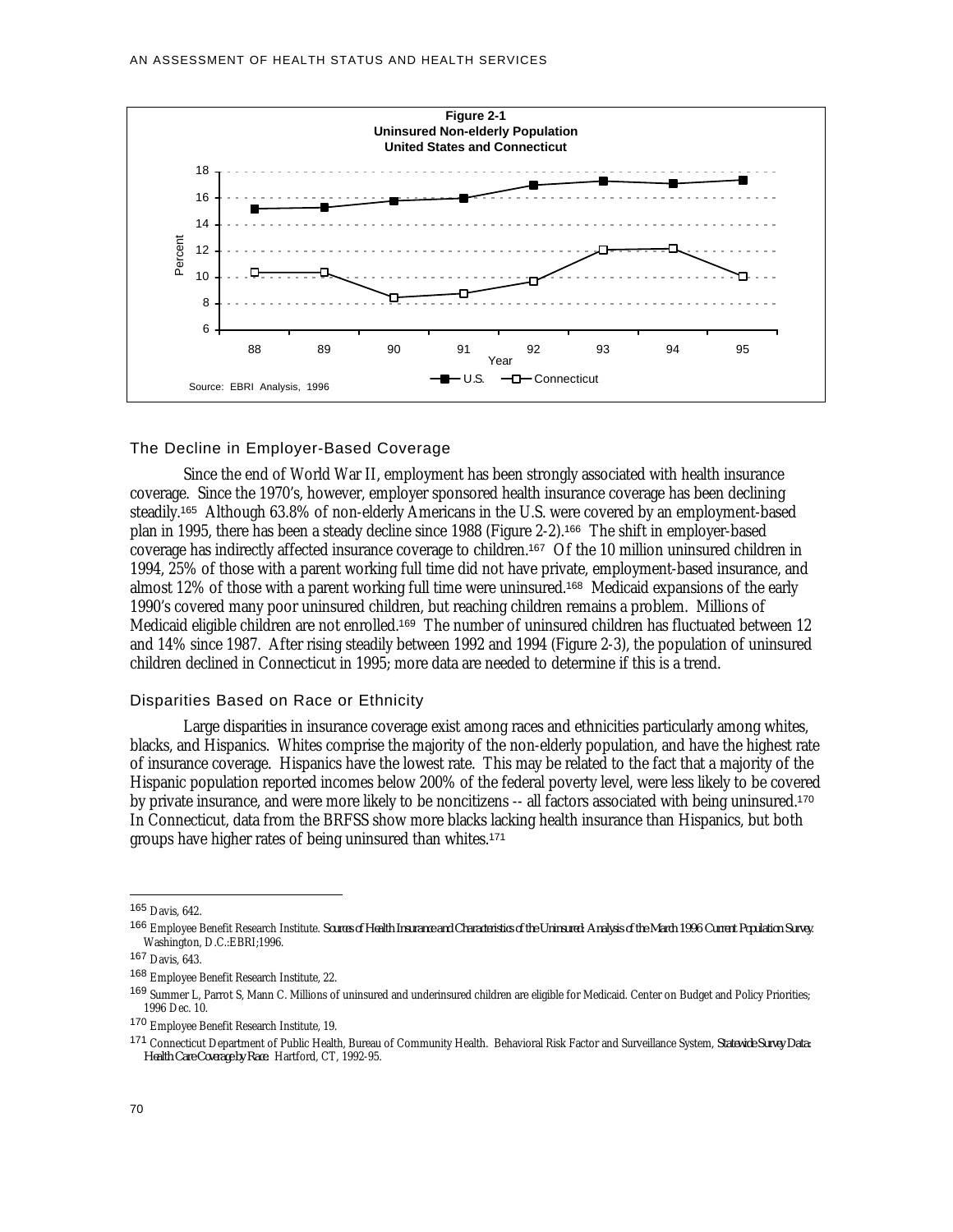

#### The Decline in Employer-Based Coverage

Since the end of World War II, employment has been strongly associated with health insurance coverage. Since the 1970's, however, employer sponsored health insurance coverage has been declining steadily.<sup>165</sup> Although 63.8% of non-elderly Americans in the U.S. were covered by an employment-based plan in 1995, there has been a steady decline since 1988 (Figure 2-2).<sup>166</sup> The shift in employer-based coverage has indirectly affected insurance coverage to children.<sup>167</sup> Of the 10 million uninsured children in 1994, 25% of those with a parent working full time did not have private, employment-based insurance, and almost 12% of those with a parent working full time were uninsured.<sup>168</sup> Medicaid expansions of the early 1990's covered many poor uninsured children, but reaching children remains a problem. Millions of Medicaid eligible children are not enrolled.<sup>169</sup> The number of uninsured children has fluctuated between 12 and 14% since 1987. After rising steadily between 1992 and 1994 (Figure 2-3), the population of uninsured children declined in Connecticut in 1995; more data are needed to determine if this is a trend.

## Disparities Based on Race or Ethnicity

Large disparities in insurance coverage exist among races and ethnicities particularly among whites, blacks, and Hispanics. Whites comprise the majority of the non-elderly population, and have the highest rate of insurance coverage. Hispanics have the lowest rate. This may be related to the fact that a majority of the Hispanic population reported incomes below 200% of the federal poverty level, were less likely to be covered by private insurance, and were more likely to be noncitizens -- all factors associated with being uninsured.<sup>170</sup> In Connecticut, data from the BRFSS show more blacks lacking health insurance than Hispanics, but both groups have higher rates of being uninsured than whites.<sup>171</sup>

<sup>165</sup> Davis, 642.

<sup>166</sup> Employee Benefit Research Institute. *Sources of Health Insurance and Characteristics of the Uninsured: Analysis of the March 1996 Current Population Survey*. Washington, D.C.:EBRI;1996.

<sup>167</sup> Davis, 643.

<sup>168</sup> Employee Benefit Research Institute, 22.

<sup>169</sup> Summer L. Parrot S. Mann C. Millions of uninsured and underinsured children are eligible for Medicaid. Center on Budget and Policy Priorities; 1996 Dec. 10.

<sup>170</sup> Employee Benefit Research Institute, 19.

<sup>171</sup> Connecticut Department of Public Health, Bureau of Community Health. Behavioral Risk Factor and Surveillance System, *Statewide Survey Data: Health Care Coverage by Race.* Hartford, CT, 1992-95.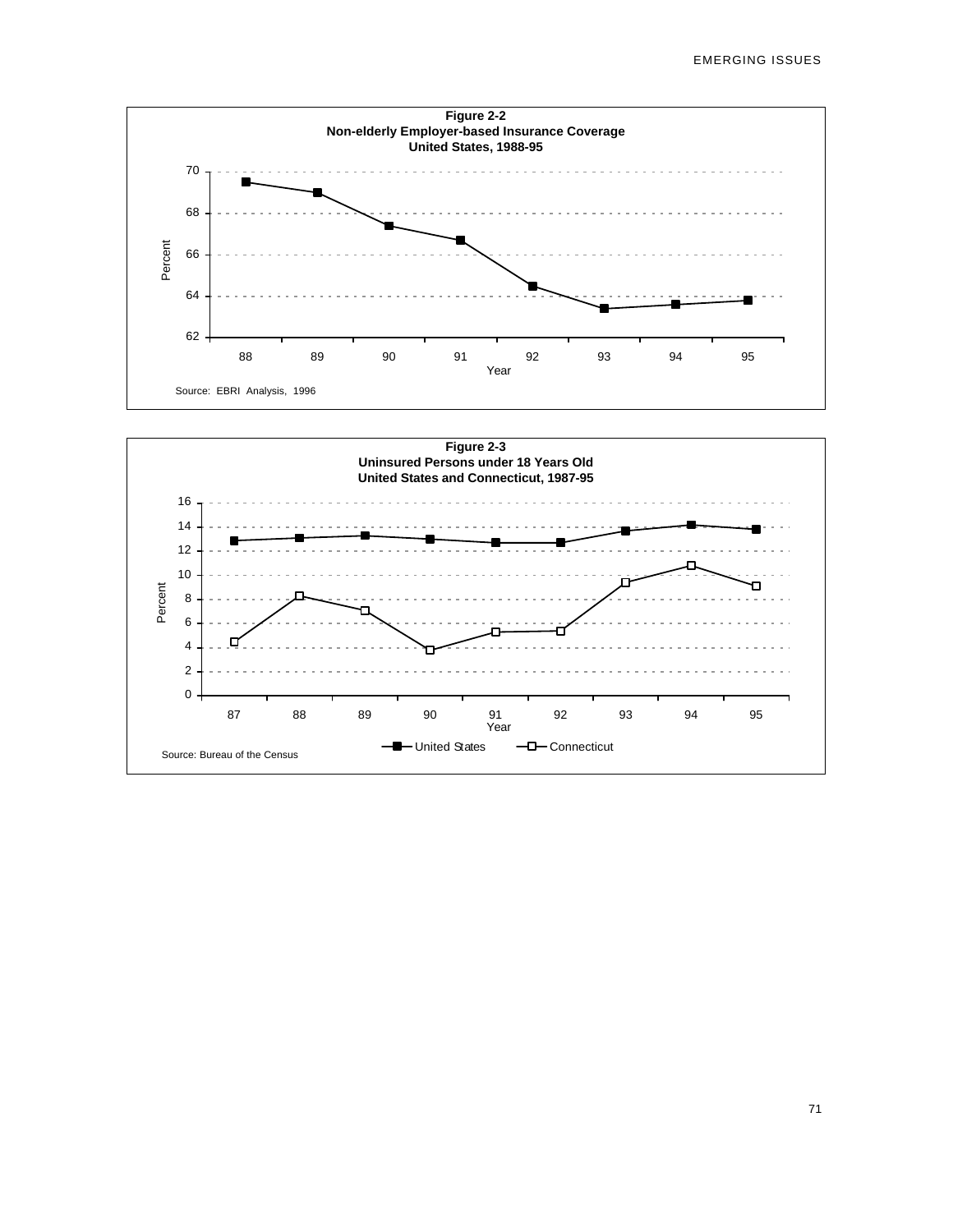

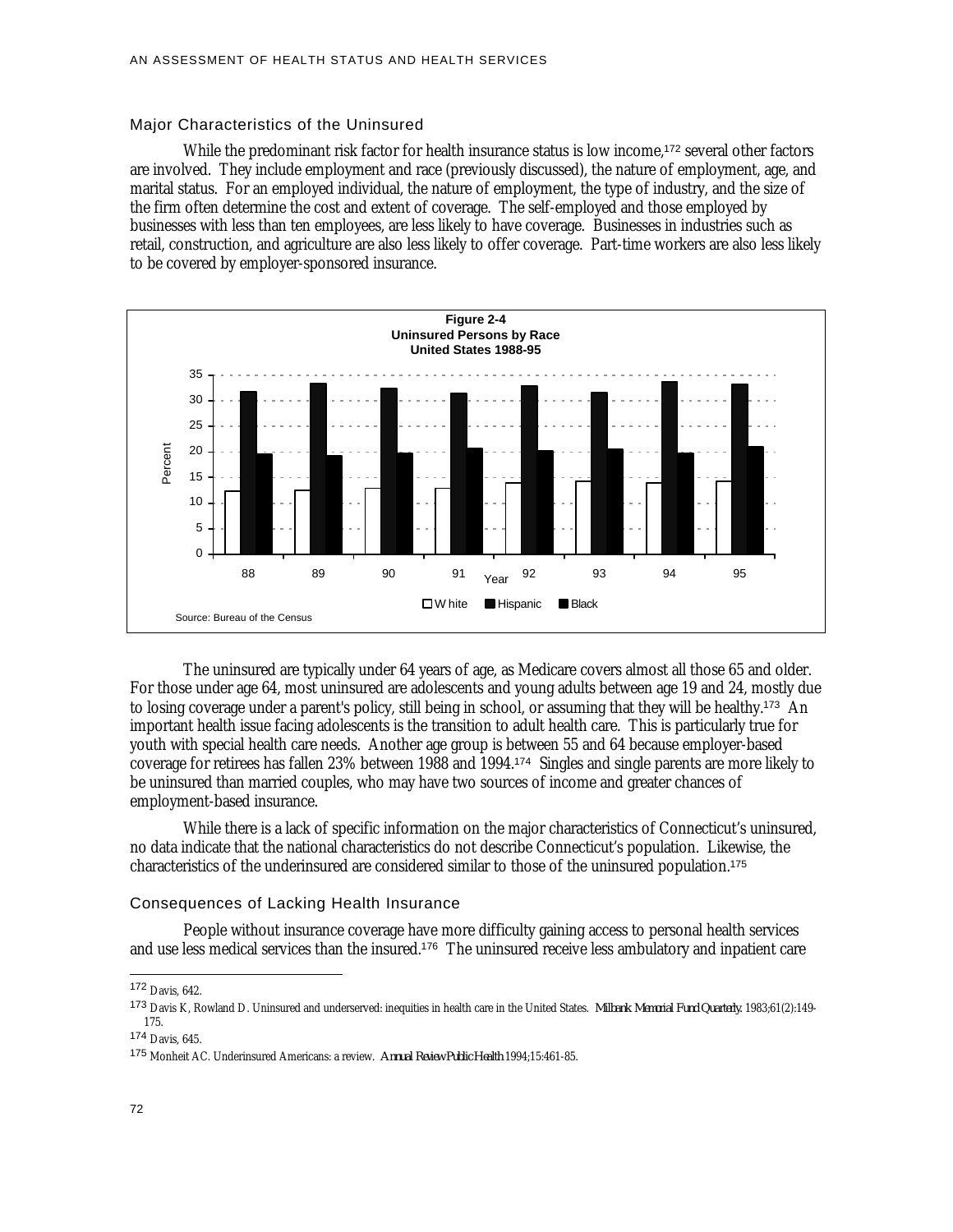#### Major Characteristics of the Uninsured

While the predominant risk factor for health insurance status is low income,<sup>172</sup> several other factors are involved. They include employment and race (previously discussed), the nature of employment, age, and marital status. For an employed individual, the nature of employment, the type of industry, and the size of the firm often determine the cost and extent of coverage. The self-employed and those employed by businesses with less than ten employees, are less likely to have coverage. Businesses in industries such as retail, construction, and agriculture are also less likely to offer coverage. Part-time workers are also less likely to be covered by employer-sponsored insurance.



The uninsured are typically under 64 years of age, as Medicare covers almost all those 65 and older. For those under age 64, most uninsured are adolescents and young adults between age 19 and 24, mostly due to losing coverage under a parent's policy, still being in school, or assuming that they will be healthy.<sup>173</sup> An important health issue facing adolescents is the transition to adult health care. This is particularly true for youth with special health care needs. Another age group is between 55 and 64 because employer-based coverage for retirees has fallen 23% between 1988 and 1994.<sup>174</sup> Singles and single parents are more likely to be uninsured than married couples, who may have two sources of income and greater chances of employment-based insurance.

While there is a lack of specific information on the major characteristics of Connecticut's uninsured, no data indicate that the national characteristics do not describe Connecticut's population. Likewise, the characteristics of the underinsured are considered similar to those of the uninsured population.<sup>175</sup>

## Consequences of Lacking Health Insurance

People without insurance coverage have more difficulty gaining access to personal health services and use less medical services than the insured.<sup>176</sup> The uninsured receive less ambulatory and inpatient care

<sup>174</sup> Davis, 645.

<sup>172</sup> Davis, 642.

<sup>173</sup> Davis K, Rowland D. Uninsured and underserved: inequities in health care in the United States. *Milbank Memorial Fund Quarterly.* 1983;61(2):149- 175.

<sup>175</sup> Monheit AC. Underinsured Americans: a review. *Annual Review Public Health* 1994;15:461-85.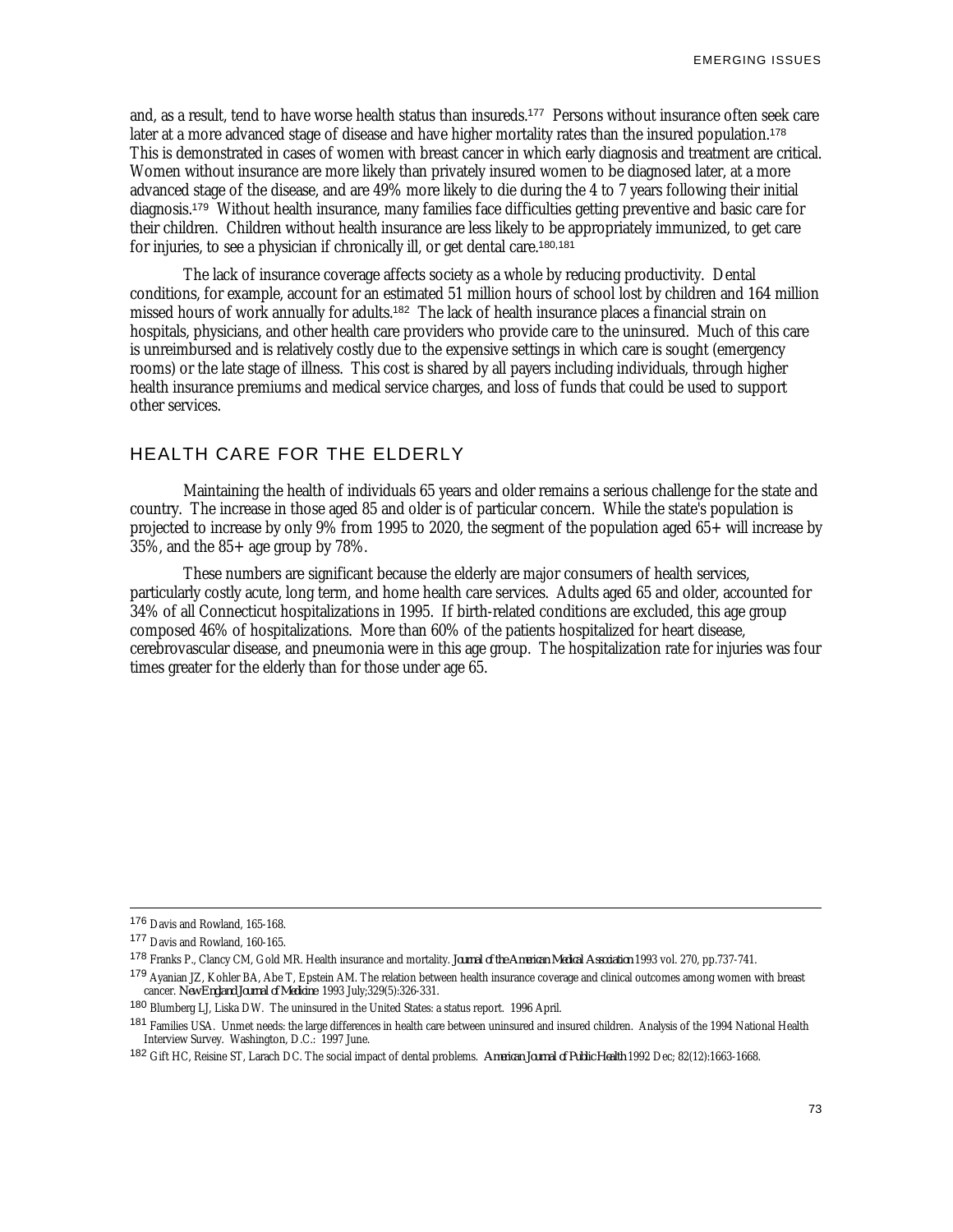and, as a result, tend to have worse health status than insureds.<sup>177</sup> Persons without insurance often seek care later at a more advanced stage of disease and have higher mortality rates than the insured population.<sup>178</sup> This is demonstrated in cases of women with breast cancer in which early diagnosis and treatment are critical. Women without insurance are more likely than privately insured women to be diagnosed later, at a more advanced stage of the disease, and are 49% more likely to die during the 4 to 7 years following their initial diagnosis.<sup>179</sup> Without health insurance, many families face difficulties getting preventive and basic care for their children. Children without health insurance are less likely to be appropriately immunized, to get care for injuries, to see a physician if chronically ill, or get dental care.180,181

The lack of insurance coverage affects society as a whole by reducing productivity. Dental conditions, for example, account for an estimated 51 million hours of school lost by children and 164 million missed hours of work annually for adults.<sup>182</sup> The lack of health insurance places a financial strain on hospitals, physicians, and other health care providers who provide care to the uninsured. Much of this care is unreimbursed and is relatively costly due to the expensive settings in which care is sought (emergency rooms) or the late stage of illness. This cost is shared by all payers including individuals, through higher health insurance premiums and medical service charges, and loss of funds that could be used to support other services.

## HEALTH CARE FOR THE ELDERLY

Maintaining the health of individuals 65 years and older remains a serious challenge for the state and country. The increase in those aged 85 and older is of particular concern. While the state's population is projected to increase by only 9% from 1995 to 2020, the segment of the population aged 65+ will increase by  $35\%$ , and the  $85+$  age group by 78%.

These numbers are significant because the elderly are major consumers of health services, particularly costly acute, long term, and home health care services. Adults aged 65 and older, accounted for 34% of all Connecticut hospitalizations in 1995. If birth-related conditions are excluded, this age group composed 46% of hospitalizations. More than 60% of the patients hospitalized for heart disease, cerebrovascular disease, and pneumonia were in this age group. The hospitalization rate for injuries was four times greater for the elderly than for those under age 65.

<sup>176</sup> Davis and Rowland, 165-168.

<sup>177</sup> Davis and Rowland, 160-165.

<sup>178</sup> Franks P., Clancy CM, Gold MR. Health insurance and mortality. *Journal of the American Medical Association* 1993 vol. 270, pp.737-741.

<sup>179</sup> Ayanian JZ, Kohler BA, Abe T, Epstein AM. The relation between health insurance coverage and clinical outcomes among women with breast cancer. *New England Journal of Medicine* 1993 July;329(5):326-331.

<sup>180</sup> Blumberg LJ, Liska DW. The uninsured in the United States: a status report. 1996 April.

<sup>&</sup>lt;sup>181</sup> Families USA. Unmet needs: the large differences in health care between uninsured and insured children. Analysis of the 1994 National Health Interview Survey. Washington, D.C.: 1997 June.

<sup>182</sup> Gift HC, Reisine ST, Larach DC. The social impact of dental problems. *American Journal of Public Health* 1992 Dec; 82(12):1663-1668.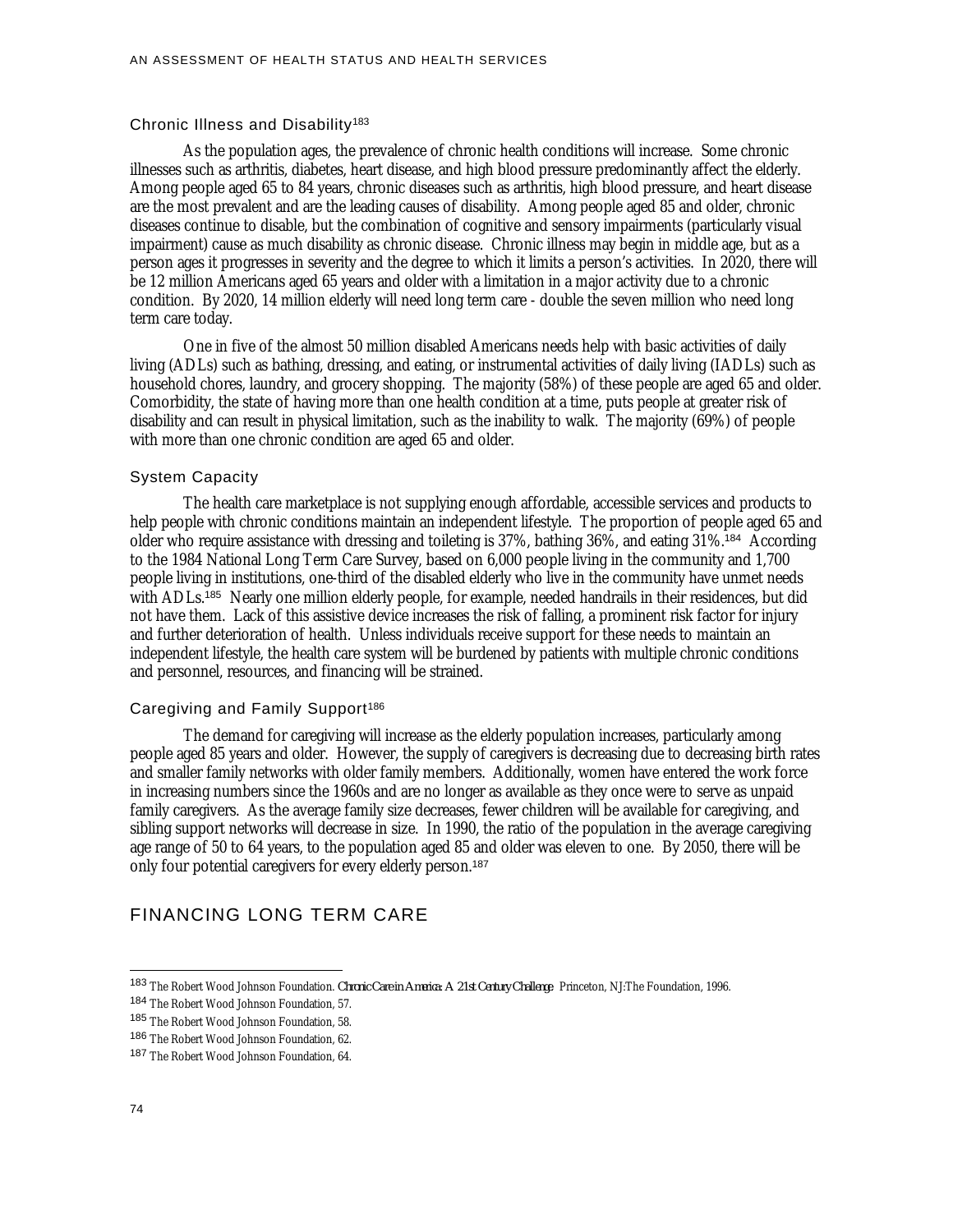#### Chronic Illness and Disability<sup>183</sup>

As the population ages, the prevalence of chronic health conditions will increase. Some chronic illnesses such as arthritis, diabetes, heart disease, and high blood pressure predominantly affect the elderly. Among people aged 65 to 84 years, chronic diseases such as arthritis, high blood pressure, and heart disease are the most prevalent and are the leading causes of disability. Among people aged 85 and older, chronic diseases continue to disable, but the combination of cognitive and sensory impairments (particularly visual impairment) cause as much disability as chronic disease. Chronic illness may begin in middle age, but as a person ages it progresses in severity and the degree to which it limits a person's activities. In 2020, there will be 12 million Americans aged 65 years and older with a limitation in a major activity due to a chronic condition. By 2020, 14 million elderly will need long term care - double the seven million who need long term care today.

One in five of the almost 50 million disabled Americans needs help with basic activities of daily living (ADLs) such as bathing, dressing, and eating, or instrumental activities of daily living (IADLs) such as household chores, laundry, and grocery shopping. The majority (58%) of these people are aged 65 and older. Comorbidity, the state of having more than one health condition at a time, puts people at greater risk of disability and can result in physical limitation, such as the inability to walk. The majority (69%) of people with more than one chronic condition are aged 65 and older.

#### System Capacity

The health care marketplace is not supplying enough affordable, accessible services and products to help people with chronic conditions maintain an independent lifestyle. The proportion of people aged 65 and older who require assistance with dressing and toileting is 37%, bathing 36%, and eating 31%.<sup>184</sup> According to the 1984 National Long Term Care Survey, based on 6,000 people living in the community and 1,700 people living in institutions, one-third of the disabled elderly who live in the community have unmet needs with ADLs.<sup>185</sup> Nearly one million elderly people, for example, needed handrails in their residences, but did not have them. Lack of this assistive device increases the risk of falling, a prominent risk factor for injury and further deterioration of health. Unless individuals receive support for these needs to maintain an independent lifestyle, the health care system will be burdened by patients with multiple chronic conditions and personnel, resources, and financing will be strained.

#### Caregiving and Family Support<sup>186</sup>

The demand for caregiving will increase as the elderly population increases, particularly among people aged 85 years and older. However, the supply of caregivers is decreasing due to decreasing birth rates and smaller family networks with older family members. Additionally, women have entered the work force in increasing numbers since the 1960s and are no longer as available as they once were to serve as unpaid family caregivers. As the average family size decreases, fewer children will be available for caregiving, and sibling support networks will decrease in size. In 1990, the ratio of the population in the average caregiving age range of 50 to 64 years, to the population aged 85 and older was eleven to one. By 2050, there will be only four potential caregivers for every elderly person.<sup>187</sup>

## FINANCING LONG TERM CARE

<sup>183</sup> The Robert Wood Johnson Foundation. *Chronic Care in America: A 21st Century Challenge*. Princeton, NJ:The Foundation, 1996.

<sup>184</sup> The Robert Wood Johnson Foundation, 57.

<sup>185</sup> The Robert Wood Johnson Foundation, 58.

<sup>186</sup> The Robert Wood Johnson Foundation, 62.

<sup>187</sup> The Robert Wood Johnson Foundation, 64.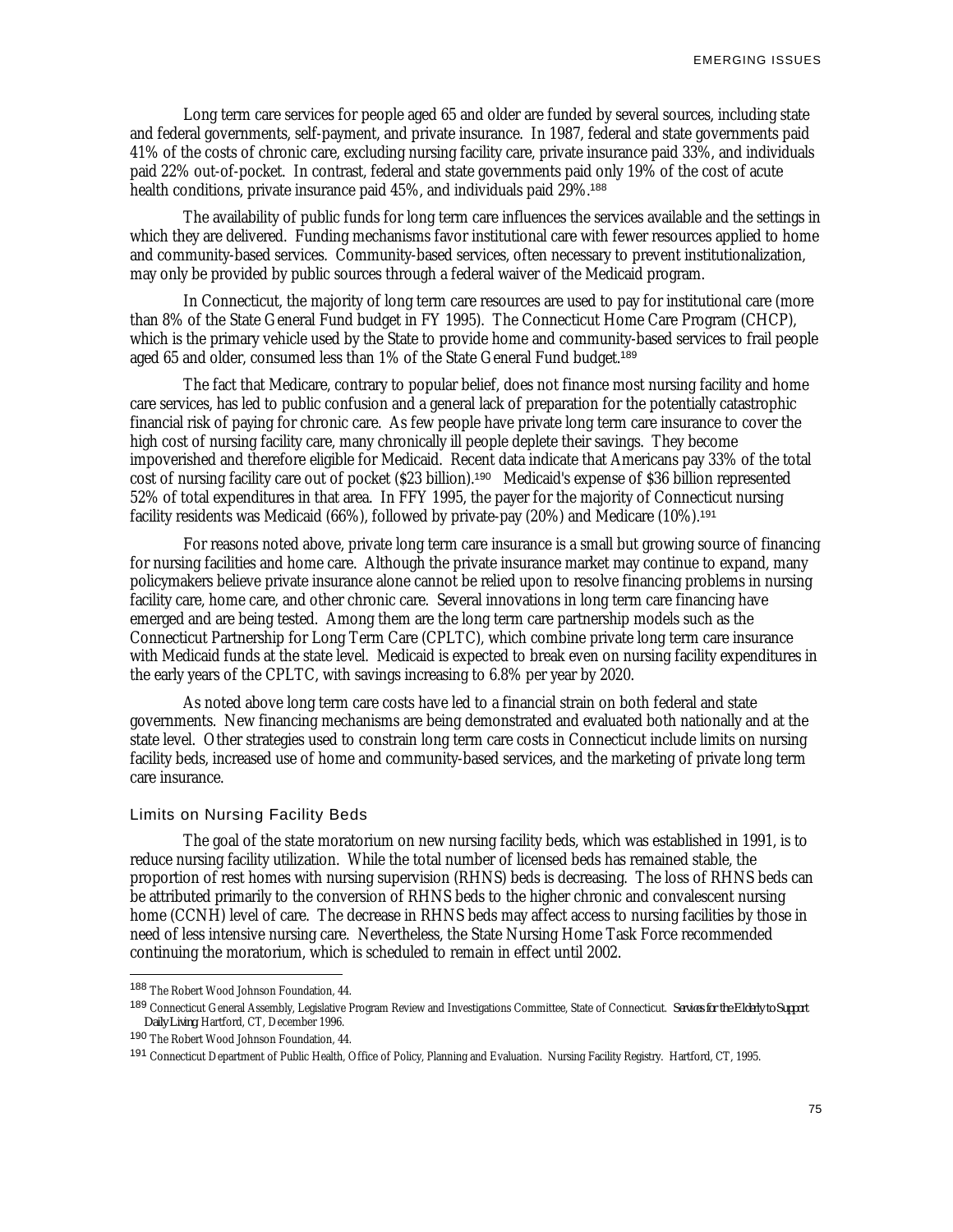Long term care services for people aged 65 and older are funded by several sources, including state and federal governments, self-payment, and private insurance. In 1987, federal and state governments paid 41% of the costs of chronic care, excluding nursing facility care, private insurance paid 33%, and individuals paid 22% out-of-pocket. In contrast, federal and state governments paid only 19% of the cost of acute health conditions, private insurance paid 45%, and individuals paid 29%.<sup>188</sup>

The availability of public funds for long term care influences the services available and the settings in which they are delivered. Funding mechanisms favor institutional care with fewer resources applied to home and community-based services. Community-based services, often necessary to prevent institutionalization, may only be provided by public sources through a federal waiver of the Medicaid program.

In Connecticut, the majority of long term care resources are used to pay for institutional care (more than 8% of the State General Fund budget in FY 1995). The Connecticut Home Care Program (CHCP), which is the primary vehicle used by the State to provide home and community-based services to frail people aged 65 and older, consumed less than 1% of the State General Fund budget.<sup>189</sup>

The fact that Medicare, contrary to popular belief, does not finance most nursing facility and home care services, has led to public confusion and a general lack of preparation for the potentially catastrophic financial risk of paying for chronic care. As few people have private long term care insurance to cover the high cost of nursing facility care, many chronically ill people deplete their savings. They become impoverished and therefore eligible for Medicaid. Recent data indicate that Americans pay 33% of the total cost of nursing facility care out of pocket (\$23 billion).<sup>190</sup> Medicaid's expense of \$36 billion represented 52% of total expenditures in that area. In FFY 1995, the payer for the majority of Connecticut nursing facility residents was Medicaid (66%), followed by private-pay (20%) and Medicare (10%).<sup>191</sup>

For reasons noted above, private long term care insurance is a small but growing source of financing for nursing facilities and home care. Although the private insurance market may continue to expand, many policymakers believe private insurance alone cannot be relied upon to resolve financing problems in nursing facility care, home care, and other chronic care. Several innovations in long term care financing have emerged and are being tested. Among them are the long term care partnership models such as the Connecticut Partnership for Long Term Care (CPLTC), which combine private long term care insurance with Medicaid funds at the state level. Medicaid is expected to break even on nursing facility expenditures in the early years of the CPLTC, with savings increasing to 6.8% per year by 2020.

As noted above long term care costs have led to a financial strain on both federal and state governments. New financing mechanisms are being demonstrated and evaluated both nationally and at the state level. Other strategies used to constrain long term care costs in Connecticut include limits on nursing facility beds, increased use of home and community-based services, and the marketing of private long term care insurance.

## Limits on Nursing Facility Beds

The goal of the state moratorium on new nursing facility beds, which was established in 1991, is to reduce nursing facility utilization. While the total number of licensed beds has remained stable, the proportion of rest homes with nursing supervision (RHNS) beds is decreasing. The loss of RHNS beds can be attributed primarily to the conversion of RHNS beds to the higher chronic and convalescent nursing home (CCNH) level of care. The decrease in RHNS beds may affect access to nursing facilities by those in need of less intensive nursing care. Nevertheless, the State Nursing Home Task Force recommended continuing the moratorium, which is scheduled to remain in effect until 2002.

<sup>188</sup> The Robert Wood Johnson Foundation, 44.

<sup>189</sup> Connecticut General Assembly, Legislative Program Review and Investigations Committee, State of Connecticut. *Services for the Elderly to Support Daily Living*. Hartford, CT, December 1996.

<sup>190</sup> The Robert Wood Johnson Foundation, 44.

<sup>191</sup> Connecticut Department of Public Health, Office of Policy, Planning and Evaluation. Nursing Facility Registry. Hartford, CT, 1995.